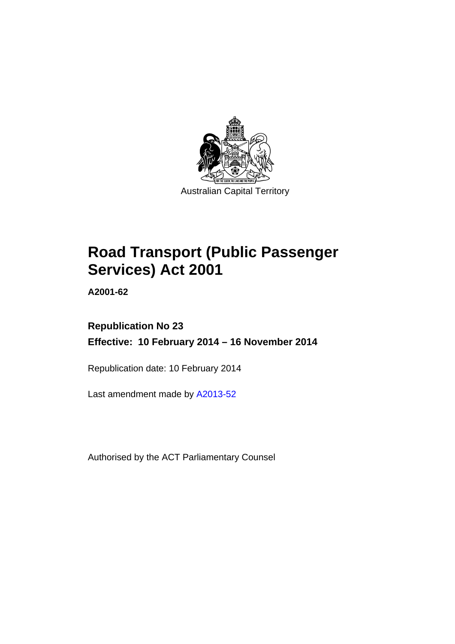

# **Road Transport (Public Passenger Services) Act 2001**

**A2001-62** 

# **Republication No 23 Effective: 10 February 2014 – 16 November 2014**

Republication date: 10 February 2014

Last amendment made by [A2013-52](http://www.legislation.act.gov.au/a/2013-52)

Authorised by the ACT Parliamentary Counsel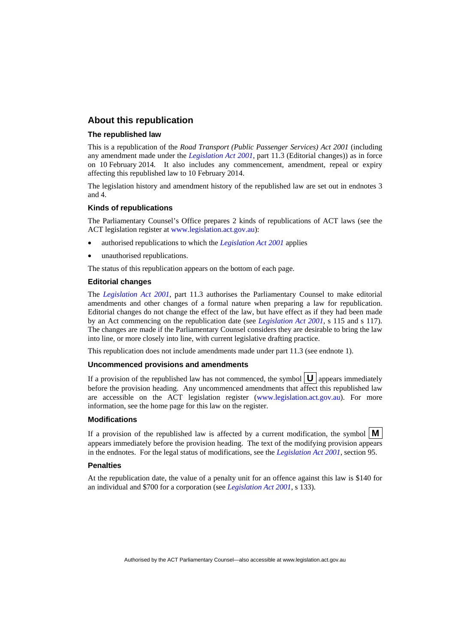#### **About this republication**

#### **The republished law**

This is a republication of the *Road Transport (Public Passenger Services) Act 2001* (including any amendment made under the *[Legislation Act 2001](http://www.legislation.act.gov.au/a/2001-14)*, part 11.3 (Editorial changes)) as in force on 10 February 2014*.* It also includes any commencement, amendment, repeal or expiry affecting this republished law to 10 February 2014.

The legislation history and amendment history of the republished law are set out in endnotes 3 and 4.

#### **Kinds of republications**

The Parliamentary Counsel's Office prepares 2 kinds of republications of ACT laws (see the ACT legislation register at [www.legislation.act.gov.au](http://www.legislation.act.gov.au/)):

- authorised republications to which the *[Legislation Act 2001](http://www.legislation.act.gov.au/a/2001-14)* applies
- unauthorised republications.

The status of this republication appears on the bottom of each page.

#### **Editorial changes**

The *[Legislation Act 2001](http://www.legislation.act.gov.au/a/2001-14)*, part 11.3 authorises the Parliamentary Counsel to make editorial amendments and other changes of a formal nature when preparing a law for republication. Editorial changes do not change the effect of the law, but have effect as if they had been made by an Act commencing on the republication date (see *[Legislation Act 2001](http://www.legislation.act.gov.au/a/2001-14)*, s 115 and s 117). The changes are made if the Parliamentary Counsel considers they are desirable to bring the law into line, or more closely into line, with current legislative drafting practice.

This republication does not include amendments made under part 11.3 (see endnote 1).

#### **Uncommenced provisions and amendments**

If a provision of the republished law has not commenced, the symbol  $\mathbf{U}$  appears immediately before the provision heading. Any uncommenced amendments that affect this republished law are accessible on the ACT legislation register [\(www.legislation.act.gov.au\)](http://www.legislation.act.gov.au/). For more information, see the home page for this law on the register.

#### **Modifications**

If a provision of the republished law is affected by a current modification, the symbol  $\mathbf{M}$ appears immediately before the provision heading. The text of the modifying provision appears in the endnotes. For the legal status of modifications, see the *[Legislation Act 2001](http://www.legislation.act.gov.au/a/2001-14)*, section 95.

#### **Penalties**

At the republication date, the value of a penalty unit for an offence against this law is \$140 for an individual and \$700 for a corporation (see *[Legislation Act 2001](http://www.legislation.act.gov.au/a/2001-14)*, s 133).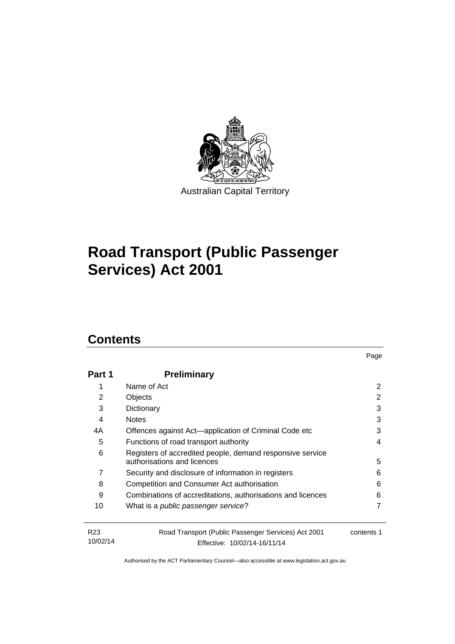

# **Road Transport (Public Passenger Services) Act 2001**

# **Contents**

| Part 1                      | <b>Preliminary</b>                                                                            |            |  |  |
|-----------------------------|-----------------------------------------------------------------------------------------------|------------|--|--|
| 1                           | Name of Act                                                                                   |            |  |  |
| 2                           | Objects                                                                                       | 2          |  |  |
| 3                           | Dictionary                                                                                    | 3          |  |  |
| 4                           | <b>Notes</b>                                                                                  | 3          |  |  |
| 4A                          | Offences against Act-application of Criminal Code etc                                         | 3          |  |  |
| 5                           | Functions of road transport authority<br>4                                                    |            |  |  |
| 6                           | Registers of accredited people, demand responsive service<br>authorisations and licences<br>5 |            |  |  |
| 7                           | Security and disclosure of information in registers                                           | 6          |  |  |
| 8                           | Competition and Consumer Act authorisation                                                    | 6          |  |  |
| 9                           | Combinations of accreditations, authorisations and licences                                   | 6          |  |  |
| 10                          | What is a <i>public passenger service</i> ?                                                   |            |  |  |
| R <sub>23</sub><br>10/02/14 | Road Transport (Public Passenger Services) Act 2001<br>Effective: 10/02/14-16/11/14           | contents 1 |  |  |

Page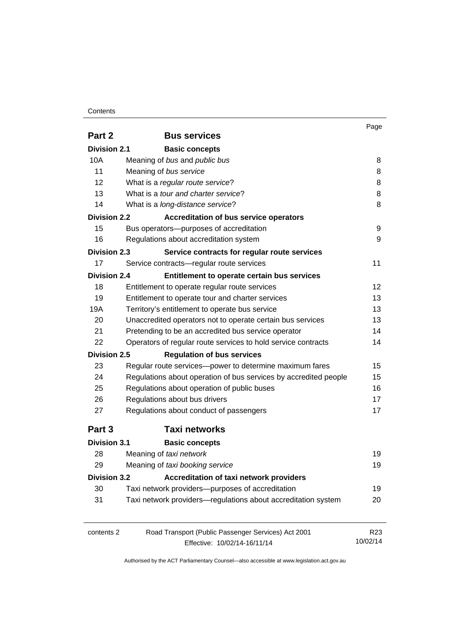#### **Contents**

|                     |                                                                  | Page            |
|---------------------|------------------------------------------------------------------|-----------------|
| Part 2              | <b>Bus services</b>                                              |                 |
| <b>Division 2.1</b> | <b>Basic concepts</b>                                            |                 |
| 10A                 | Meaning of bus and public bus                                    | 8               |
| 11                  | Meaning of bus service                                           |                 |
| 12                  | What is a regular route service?                                 | 8               |
| 13                  | What is a <i>tour and charter service</i> ?                      | 8               |
| 14                  | What is a long-distance service?                                 | 8               |
| <b>Division 2.2</b> | <b>Accreditation of bus service operators</b>                    |                 |
| 15                  | Bus operators---purposes of accreditation                        | 9               |
| 16                  | Regulations about accreditation system                           | 9               |
| Division 2.3        | Service contracts for regular route services                     |                 |
| 17                  | Service contracts-regular route services                         | 11              |
| <b>Division 2.4</b> | Entitlement to operate certain bus services                      |                 |
| 18                  | Entitlement to operate regular route services                    | 12              |
| 19                  | Entitlement to operate tour and charter services                 | 13              |
| 19A                 | Territory's entitlement to operate bus service                   | 13              |
| 20                  | Unaccredited operators not to operate certain bus services       | 13              |
| 21                  | Pretending to be an accredited bus service operator              |                 |
| 22                  | Operators of regular route services to hold service contracts    | 14              |
| <b>Division 2.5</b> | <b>Regulation of bus services</b>                                |                 |
| 23                  | Regular route services-power to determine maximum fares          | 15              |
| 24                  | Regulations about operation of bus services by accredited people | 15              |
| 25                  | Regulations about operation of public buses                      | 16              |
| 26                  | Regulations about bus drivers                                    | 17              |
| 27                  | Regulations about conduct of passengers                          | 17              |
| Part 3              | <b>Taxi networks</b>                                             |                 |
| <b>Division 3.1</b> | <b>Basic concepts</b>                                            |                 |
| 28                  | Meaning of taxi network                                          | 19              |
| 29                  | Meaning of taxi booking service                                  | 19              |
| <b>Division 3.2</b> | Accreditation of taxi network providers                          |                 |
| 30                  | Taxi network providers-purposes of accreditation                 | 19              |
| 31                  | Taxi network providers-regulations about accreditation system    | 20              |
| contents 2          | Road Transport (Public Passenger Services) Act 2001              | R <sub>23</sub> |
|                     | Effective: 10/02/14-16/11/14                                     | 10/02/14        |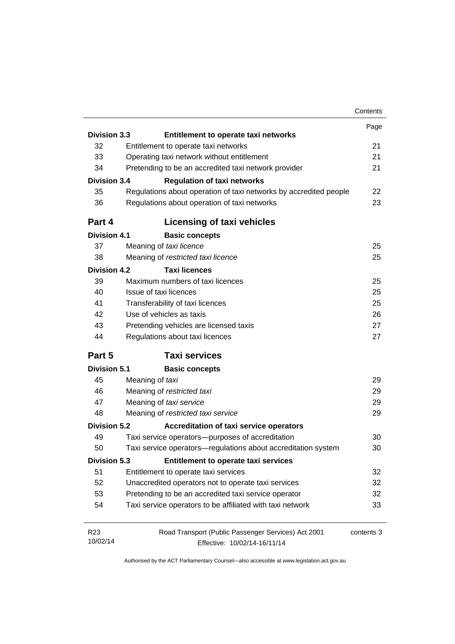|                     |                                                                   | Contents   |
|---------------------|-------------------------------------------------------------------|------------|
|                     |                                                                   | Page       |
| <b>Division 3.3</b> | Entitlement to operate taxi networks                              |            |
| 32                  | Entitlement to operate taxi networks                              | 21         |
| 33                  | Operating taxi network without entitlement                        | 21         |
| 34                  | Pretending to be an accredited taxi network provider              | 21         |
| <b>Division 3.4</b> | <b>Regulation of taxi networks</b>                                |            |
| 35                  | Regulations about operation of taxi networks by accredited people | 22         |
| 36                  | Regulations about operation of taxi networks                      | 23         |
| Part 4              | <b>Licensing of taxi vehicles</b>                                 |            |
| <b>Division 4.1</b> | <b>Basic concepts</b>                                             |            |
| 37                  | Meaning of taxi licence                                           | 25         |
| 38                  | Meaning of restricted taxi licence                                | 25         |
| <b>Division 4.2</b> | <b>Taxi licences</b>                                              |            |
| 39                  | Maximum numbers of taxi licences                                  | 25         |
| 40                  | Issue of taxi licences                                            | 25         |
| 41                  | Transferability of taxi licences                                  | 25         |
| 42                  | Use of vehicles as taxis                                          | 26         |
| 43                  | Pretending vehicles are licensed taxis                            | 27         |
| 44                  | Regulations about taxi licences                                   | 27         |
| Part 5              | <b>Taxi services</b>                                              |            |
| <b>Division 5.1</b> | <b>Basic concepts</b>                                             |            |
| 45                  | Meaning of taxi                                                   | 29         |
| 46                  | Meaning of restricted taxi                                        | 29         |
| 47                  | Meaning of taxi service                                           | 29         |
| 48                  | Meaning of restricted taxi service                                | 29         |
| <b>Division 5.2</b> | Accreditation of taxi service operators                           |            |
| 49                  | Taxi service operators-purposes of accreditation                  | 30         |
| 50                  | Taxi service operators-regulations about accreditation system     | 30         |
| Division 5.3        | Entitlement to operate taxi services                              |            |
| 51                  | Entitlement to operate taxi services                              | 32         |
| 52                  | Unaccredited operators not to operate taxi services               | 32         |
| 53                  | Pretending to be an accredited taxi service operator              | 32         |
| 54                  | Taxi service operators to be affiliated with taxi network         | 33         |
| R <sub>23</sub>     | Road Transport (Public Passenger Services) Act 2001               | contents 3 |
| 10/02/14            | Effective: 10/02/14-16/11/14                                      |            |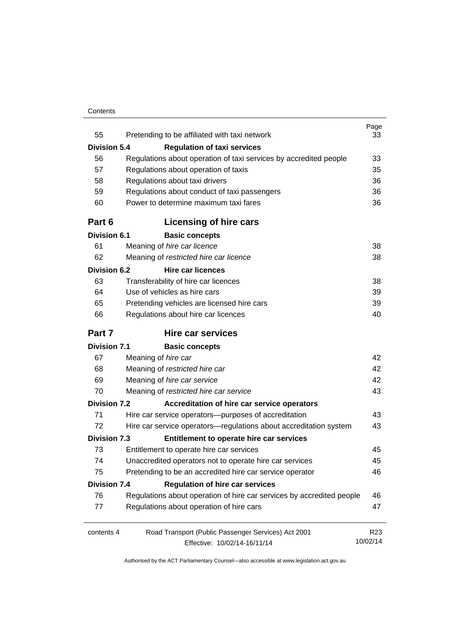#### **Contents**

| 55                  | Pretending to be affiliated with taxi network                         | Page<br>33      |
|---------------------|-----------------------------------------------------------------------|-----------------|
| <b>Division 5.4</b> | <b>Regulation of taxi services</b>                                    |                 |
| 56                  | Regulations about operation of taxi services by accredited people     | 33              |
| 57                  | Regulations about operation of taxis                                  | 35              |
| 58                  | Regulations about taxi drivers                                        | 36              |
| 59                  | Regulations about conduct of taxi passengers                          | 36              |
| 60                  | Power to determine maximum taxi fares                                 | 36              |
| Part 6              | Licensing of hire cars                                                |                 |
| <b>Division 6.1</b> | <b>Basic concepts</b>                                                 |                 |
| 61                  | Meaning of hire car licence                                           | 38              |
| 62                  | Meaning of restricted hire car licence                                | 38              |
| <b>Division 6.2</b> | <b>Hire car licences</b>                                              |                 |
| 63                  | Transferability of hire car licences                                  | 38              |
| 64                  | Use of vehicles as hire cars                                          | 39              |
| 65                  | Pretending vehicles are licensed hire cars                            | 39              |
| 66                  | Regulations about hire car licences                                   | 40              |
| Part 7              | <b>Hire car services</b>                                              |                 |
| <b>Division 7.1</b> | <b>Basic concepts</b>                                                 |                 |
| 67                  | Meaning of hire car                                                   | 42              |
| 68                  | Meaning of restricted hire car                                        | 42              |
| 69                  | 42<br>Meaning of hire car service                                     |                 |
| 70                  | Meaning of restricted hire car service                                | 43              |
| <b>Division 7.2</b> | Accreditation of hire car service operators                           |                 |
| 71                  | Hire car service operators—purposes of accreditation                  | 43              |
| 72                  | Hire car service operators—regulations about accreditation system     | 43              |
| <b>Division 7.3</b> | Entitlement to operate hire car services                              |                 |
| 73                  | Entitlement to operate hire car services                              | 45              |
| 74                  | Unaccredited operators not to operate hire car services               | 45              |
| 75                  | Pretending to be an accredited hire car service operator              | 46              |
| <b>Division 7.4</b> | <b>Regulation of hire car services</b>                                |                 |
| 76                  | Regulations about operation of hire car services by accredited people | 46              |
| 77                  | Regulations about operation of hire cars                              | 47              |
| contents 4          | Road Transport (Public Passenger Services) Act 2001                   | R <sub>23</sub> |
|                     | Effective: 10/02/14-16/11/14                                          | 10/02/14        |
|                     |                                                                       |                 |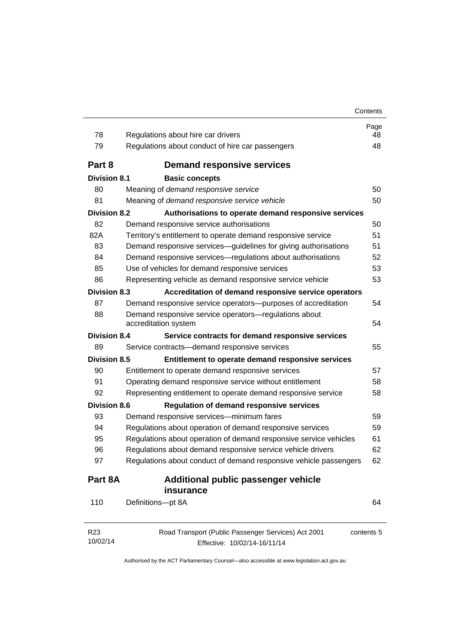| Contents |
|----------|
|----------|

| 78                          | Regulations about hire car drivers                                                  | Page<br>48 |
|-----------------------------|-------------------------------------------------------------------------------------|------------|
| 79                          | Regulations about conduct of hire car passengers                                    | 48         |
| Part 8                      | <b>Demand responsive services</b>                                                   |            |
| <b>Division 8.1</b>         | <b>Basic concepts</b>                                                               |            |
| 80                          | Meaning of demand responsive service                                                | 50         |
| 81                          | Meaning of demand responsive service vehicle                                        | 50         |
| <b>Division 8.2</b>         | Authorisations to operate demand responsive services                                |            |
| 82                          | Demand responsive service authorisations                                            | 50         |
| 82A                         | Territory's entitlement to operate demand responsive service                        | 51         |
| 83                          | Demand responsive services-guidelines for giving authorisations                     | 51         |
| 84                          | Demand responsive services-regulations about authorisations                         | 52         |
| 85                          | Use of vehicles for demand responsive services                                      | 53         |
| 86                          | Representing vehicle as demand responsive service vehicle                           | 53         |
| <b>Division 8.3</b>         | Accreditation of demand responsive service operators                                |            |
| 87                          | Demand responsive service operators-purposes of accreditation                       | 54         |
| 88                          | Demand responsive service operators-regulations about<br>accreditation system       | 54         |
| <b>Division 8.4</b>         | Service contracts for demand responsive services                                    |            |
| 89                          | Service contracts-demand responsive services                                        | 55         |
| <b>Division 8.5</b>         | Entitlement to operate demand responsive services                                   |            |
| 90                          | Entitlement to operate demand responsive services                                   | 57         |
| 91                          | Operating demand responsive service without entitlement                             | 58         |
| 92                          | Representing entitlement to operate demand responsive service                       | 58         |
| <b>Division 8.6</b>         | <b>Regulation of demand responsive services</b>                                     |            |
| 93                          | Demand responsive services-minimum fares                                            | 59         |
| 94                          | Regulations about operation of demand responsive services                           | 59         |
| 95                          | Regulations about operation of demand responsive service vehicles                   | 61         |
| 96                          | Regulations about demand responsive service vehicle drivers                         | 62         |
| 97                          | Regulations about conduct of demand responsive vehicle passengers                   | 62         |
| Part 8A                     | Additional public passenger vehicle                                                 |            |
| 110                         | insurance<br>Definitions-pt 8A                                                      | 64         |
| R <sub>23</sub><br>10/02/14 | Road Transport (Public Passenger Services) Act 2001<br>Effective: 10/02/14-16/11/14 | contents 5 |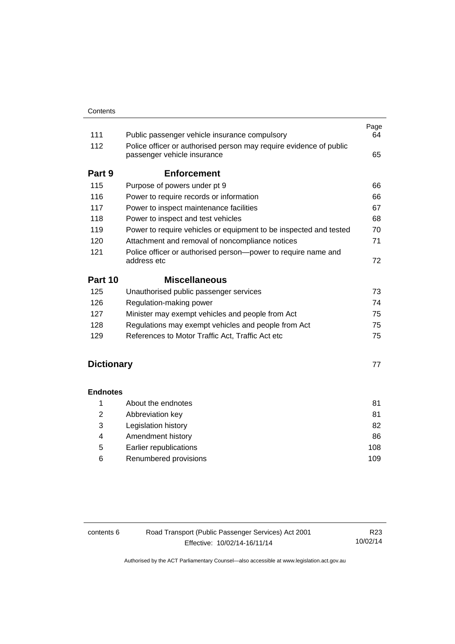| 111               | Public passenger vehicle insurance compulsory                                                     | Page<br>64 |
|-------------------|---------------------------------------------------------------------------------------------------|------------|
| 112               | Police officer or authorised person may require evidence of public<br>passenger vehicle insurance | 65         |
| Part 9            | <b>Enforcement</b>                                                                                |            |
| 115               | Purpose of powers under pt 9                                                                      | 66         |
| 116               | Power to require records or information                                                           | 66         |
| 117               | Power to inspect maintenance facilities                                                           | 67         |
| 118               | Power to inspect and test vehicles                                                                | 68         |
| 119               | Power to require vehicles or equipment to be inspected and tested                                 | 70         |
| 120               | Attachment and removal of noncompliance notices                                                   | 71         |
| 121               | Police officer or authorised person-power to require name and<br>address etc.                     | 72         |
| Part 10           | <b>Miscellaneous</b>                                                                              |            |
| 125               | Unauthorised public passenger services                                                            | 73         |
| 126               | Regulation-making power                                                                           | 74         |
| 127               | Minister may exempt vehicles and people from Act                                                  | 75         |
| 128               | Regulations may exempt vehicles and people from Act                                               | 75         |
| 129               | References to Motor Traffic Act, Traffic Act etc                                                  | 75         |
| <b>Dictionary</b> |                                                                                                   | 77         |

#### **[Endnotes](#page-88-0)**

|   | About the endnotes     | 81  |
|---|------------------------|-----|
| 2 | Abbreviation key       | 81  |
| 3 | Legislation history    | 82  |
| 4 | Amendment history      | 86  |
| 5 | Earlier republications | 108 |
| 6 | Renumbered provisions  | 109 |

| contents 6 | Road Transport (Public Passenger Services) Act 2001 | R23      |
|------------|-----------------------------------------------------|----------|
|            | Effective: 10/02/14-16/11/14                        | 10/02/14 |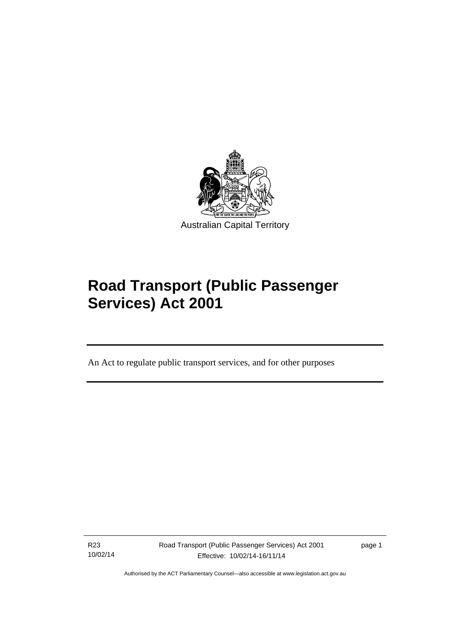

# **Road Transport (Public Passenger Services) Act 2001**

An Act to regulate public transport services, and for other purposes

R23 10/02/14

l

page 1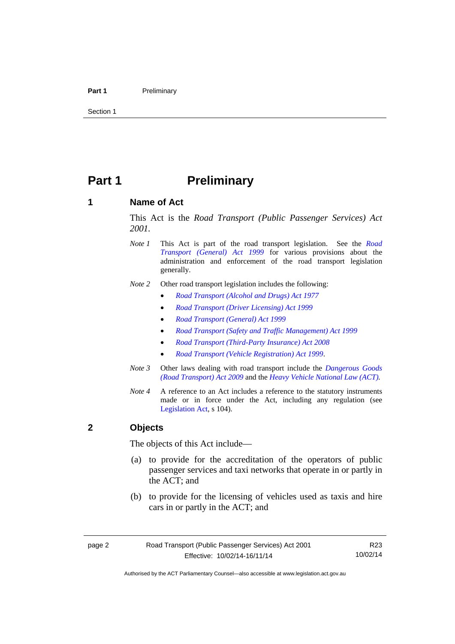#### Part 1 **Preliminary**

Section 1

# <span id="page-9-0"></span>**Part 1** Preliminary

#### <span id="page-9-1"></span>**1 Name of Act**

This Act is the *Road Transport (Public Passenger Services) Act 2001.* 

- *Note 1* This Act is part of the road transport legislation. See the *[Road](http://www.legislation.act.gov.au/a/1999-77)  [Transport \(General\) Act 1999](http://www.legislation.act.gov.au/a/1999-77)* for various provisions about the administration and enforcement of the road transport legislation generally.
- *Note 2* Other road transport legislation includes the following:
	- *[Road Transport \(Alcohol and Drugs\) Act 1977](http://www.legislation.act.gov.au/a/1977-17)*
	- *[Road Transport \(Driver Licensing\) Act 1999](http://www.legislation.act.gov.au/a/1999-78)*
	- *[Road Transport \(General\) Act 1999](http://www.legislation.act.gov.au/a/1999-77)*
	- *[Road Transport \(Safety and Traffic Management\) Act 1999](http://www.legislation.act.gov.au/a/1999-80)*
	- *[Road Transport \(Third-Party Insurance\) Act 2008](http://www.legislation.act.gov.au/a/2008-1)*
	- *[Road Transport \(Vehicle Registration\) Act 1999](http://www.legislation.act.gov.au/a/1999-81)*.
- *Note 3* Other laws dealing with road transport include the *[Dangerous Goods](http://www.legislation.act.gov.au/a/2009-34)  [\(Road Transport\) Act 2009](http://www.legislation.act.gov.au/a/2009-34)* and the *[Heavy Vehicle National Law \(ACT\).](http://www.legislation.act.gov.au/a/db_49155/default.asp)*
- *Note 4* A reference to an Act includes a reference to the statutory instruments made or in force under the Act, including any regulation (see [Legislation Act,](http://www.legislation.act.gov.au/a/2001-14) s 104).

#### <span id="page-9-2"></span>**2 Objects**

The objects of this Act include—

- (a) to provide for the accreditation of the operators of public passenger services and taxi networks that operate in or partly in the ACT; and
- (b) to provide for the licensing of vehicles used as taxis and hire cars in or partly in the ACT; and

R23 10/02/14

Authorised by the ACT Parliamentary Counsel—also accessible at www.legislation.act.gov.au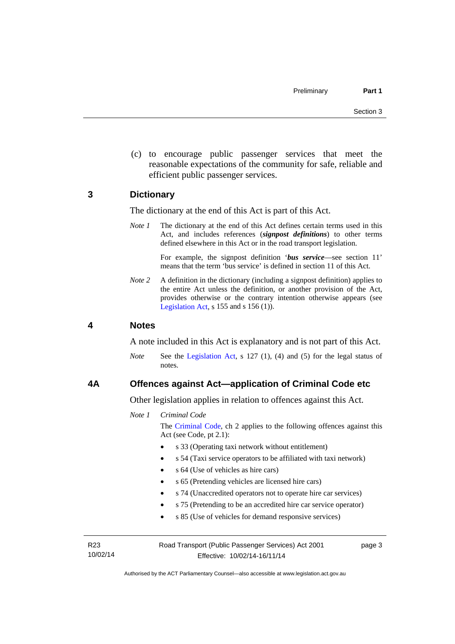(c) to encourage public passenger services that meet the reasonable expectations of the community for safe, reliable and efficient public passenger services.

#### <span id="page-10-0"></span>**3 Dictionary**

The dictionary at the end of this Act is part of this Act.

*Note 1* The dictionary at the end of this Act defines certain terms used in this Act, and includes references (*signpost definitions*) to other terms defined elsewhere in this Act or in the road transport legislation.

> For example, the signpost definition '*bus service*—see section 11' means that the term 'bus service' is defined in section 11 of this Act.

*Note* 2 A definition in the dictionary (including a signpost definition) applies to the entire Act unless the definition, or another provision of the Act, provides otherwise or the contrary intention otherwise appears (see [Legislation Act,](http://www.legislation.act.gov.au/a/2001-14) s  $155$  and s  $156$  (1)).

#### <span id="page-10-1"></span>**4 Notes**

A note included in this Act is explanatory and is not part of this Act.

*Note* See the [Legislation Act](http://www.legislation.act.gov.au/a/2001-14), s 127 (1), (4) and (5) for the legal status of notes.

#### <span id="page-10-2"></span>**4A Offences against Act—application of Criminal Code etc**

Other legislation applies in relation to offences against this Act.

*Note 1 Criminal Code*

The [Criminal Code](http://www.legislation.act.gov.au/a/2002-51), ch 2 applies to the following offences against this Act (see Code, pt 2.1):

- s 33 (Operating taxi network without entitlement)
- s 54 (Taxi service operators to be affiliated with taxi network)
- s 64 (Use of vehicles as hire cars)
- s 65 (Pretending vehicles are licensed hire cars)
- s 74 (Unaccredited operators not to operate hire car services)
- s 75 (Pretending to be an accredited hire car service operator)
- s 85 (Use of vehicles for demand responsive services)

R23 10/02/14 Road Transport (Public Passenger Services) Act 2001 Effective: 10/02/14-16/11/14

page 3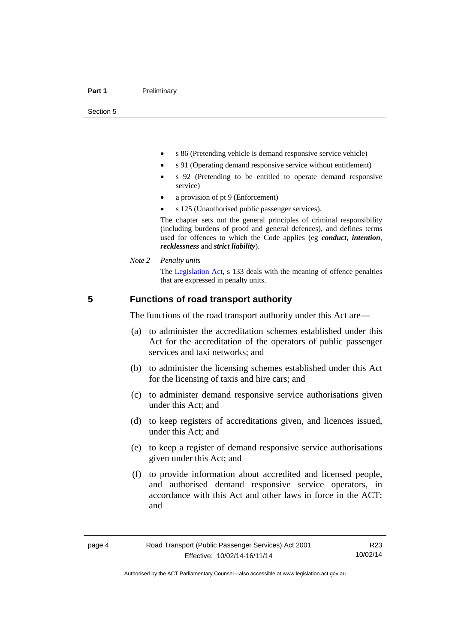Section 5

- s 86 (Pretending vehicle is demand responsive service vehicle)
- s 91 (Operating demand responsive service without entitlement)
- s 92 (Pretending to be entitled to operate demand responsive service)
- a provision of pt 9 (Enforcement)
- s 125 (Unauthorised public passenger services).

The chapter sets out the general principles of criminal responsibility (including burdens of proof and general defences), and defines terms used for offences to which the Code applies (eg *conduct*, *intention*, *recklessness* and *strict liability*).

*Note 2 Penalty units* 

The [Legislation Act](http://www.legislation.act.gov.au/a/2001-14), s 133 deals with the meaning of offence penalties that are expressed in penalty units.

#### <span id="page-11-0"></span>**5 Functions of road transport authority**

The functions of the road transport authority under this Act are—

- (a) to administer the accreditation schemes established under this Act for the accreditation of the operators of public passenger services and taxi networks; and
- (b) to administer the licensing schemes established under this Act for the licensing of taxis and hire cars; and
- (c) to administer demand responsive service authorisations given under this Act; and
- (d) to keep registers of accreditations given, and licences issued, under this Act; and
- (e) to keep a register of demand responsive service authorisations given under this Act; and
- (f) to provide information about accredited and licensed people, and authorised demand responsive service operators, in accordance with this Act and other laws in force in the ACT; and

R23 10/02/14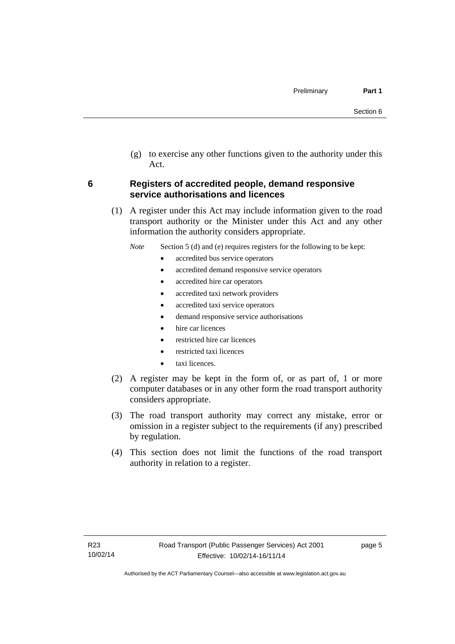(g) to exercise any other functions given to the authority under this Act.

#### <span id="page-12-0"></span>**6 Registers of accredited people, demand responsive service authorisations and licences**

(1) A register under this Act may include information given to the road transport authority or the Minister under this Act and any other information the authority considers appropriate.

*Note* Section 5 (d) and (e) requires registers for the following to be kept:

- accredited bus service operators
- accredited demand responsive service operators
- accredited hire car operators
- accredited taxi network providers
- accredited taxi service operators
- demand responsive service authorisations
- hire car licences
- restricted hire car licences
- restricted taxi licences
- taxi licences.
- (2) A register may be kept in the form of, or as part of, 1 or more computer databases or in any other form the road transport authority considers appropriate.
- (3) The road transport authority may correct any mistake, error or omission in a register subject to the requirements (if any) prescribed by regulation.
- (4) This section does not limit the functions of the road transport authority in relation to a register.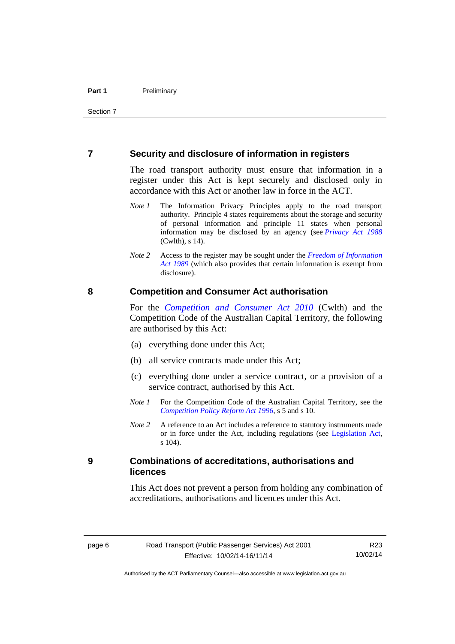#### <span id="page-13-0"></span>**7 Security and disclosure of information in registers**

The road transport authority must ensure that information in a register under this Act is kept securely and disclosed only in accordance with this Act or another law in force in the ACT.

- *Note 1* The Information Privacy Principles apply to the road transport authority. Principle 4 states requirements about the storage and security of personal information and principle 11 states when personal information may be disclosed by an agency (see *[Privacy Act 1988](http://www.comlaw.gov.au/Current/C2004A03712)* (Cwlth), s 14).
- *Note 2* Access to the register may be sought under the *[Freedom of Information](http://www.legislation.act.gov.au/a/alt_a1989-46co)  [Act 1989](http://www.legislation.act.gov.au/a/alt_a1989-46co)* (which also provides that certain information is exempt from disclosure).

#### <span id="page-13-1"></span>**8 Competition and Consumer Act authorisation**

For the *[Competition and Consumer Act 2010](http://www.comlaw.gov.au/Details/C2013C00004)* (Cwlth) and the Competition Code of the Australian Capital Territory, the following are authorised by this Act:

- (a) everything done under this Act;
- (b) all service contracts made under this Act;
- (c) everything done under a service contract, or a provision of a service contract, authorised by this Act.
- *Note 1* For the Competition Code of the Australian Capital Territory, see the *[Competition Policy Reform Act 1996](http://www.legislation.act.gov.au/a/1996-21)*, s 5 and s 10.
- *Note 2* A reference to an Act includes a reference to statutory instruments made or in force under the Act, including regulations (see [Legislation Act,](http://www.legislation.act.gov.au/a/2001-14) s 104).

#### <span id="page-13-2"></span>**9 Combinations of accreditations, authorisations and licences**

This Act does not prevent a person from holding any combination of accreditations, authorisations and licences under this Act.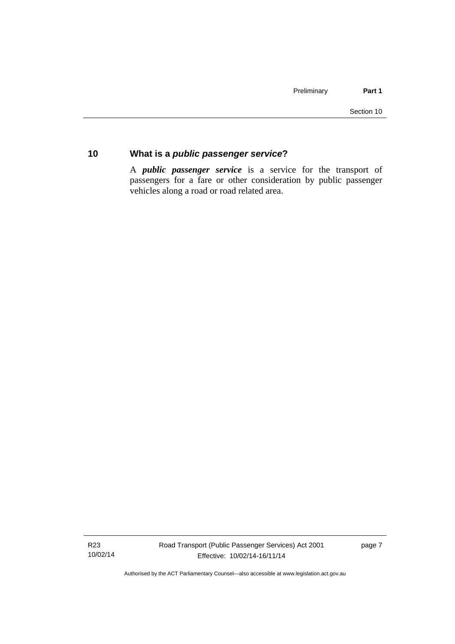#### <span id="page-14-0"></span>**10 What is a** *public passenger service***?**

A *public passenger service* is a service for the transport of passengers for a fare or other consideration by public passenger vehicles along a road or road related area.

R23 10/02/14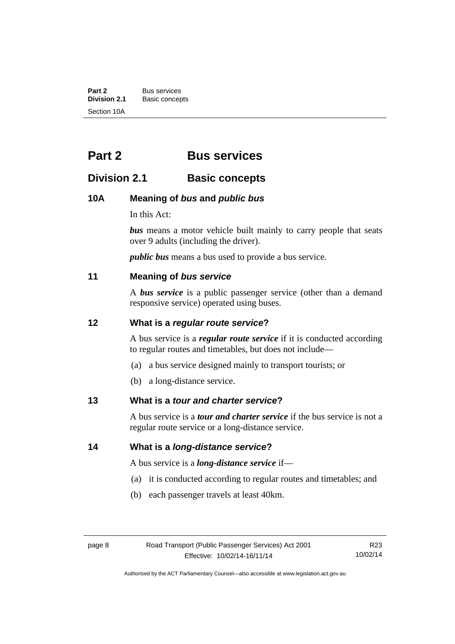**Part 2** Bus services<br> **Division 2.1** Basic concer **Division 2.1** Basic concepts Section 10A

# <span id="page-15-0"></span>**Part 2 Bus services**

### <span id="page-15-1"></span>**Division 2.1 Basic concepts**

#### <span id="page-15-2"></span>**10A Meaning of** *bus* **and** *public bus*

In this Act:

*bus* means a motor vehicle built mainly to carry people that seats over 9 adults (including the driver).

*public bus* means a bus used to provide a bus service.

#### <span id="page-15-3"></span>**11 Meaning of** *bus service*

A *bus service* is a public passenger service (other than a demand responsive service) operated using buses.

#### <span id="page-15-4"></span>**12 What is a** *regular route service***?**

A bus service is a *regular route service* if it is conducted according to regular routes and timetables, but does not include—

- (a) a bus service designed mainly to transport tourists; or
- (b) a long-distance service.

#### <span id="page-15-5"></span>**13 What is a** *tour and charter service***?**

A bus service is a *tour and charter service* if the bus service is not a regular route service or a long-distance service.

<span id="page-15-6"></span>**14 What is a** *long-distance service***?**

A bus service is a *long-distance service* if—

- (a) it is conducted according to regular routes and timetables; and
- (b) each passenger travels at least 40km.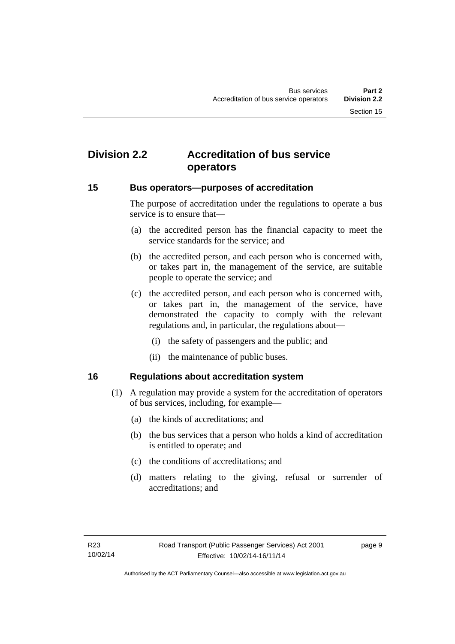# <span id="page-16-0"></span>**Division 2.2 Accreditation of bus service operators**

#### <span id="page-16-1"></span>**15 Bus operators—purposes of accreditation**

The purpose of accreditation under the regulations to operate a bus service is to ensure that—

- (a) the accredited person has the financial capacity to meet the service standards for the service; and
- (b) the accredited person, and each person who is concerned with, or takes part in, the management of the service, are suitable people to operate the service; and
- (c) the accredited person, and each person who is concerned with, or takes part in, the management of the service, have demonstrated the capacity to comply with the relevant regulations and, in particular, the regulations about—
	- (i) the safety of passengers and the public; and
	- (ii) the maintenance of public buses.

#### <span id="page-16-2"></span>**16 Regulations about accreditation system**

- (1) A regulation may provide a system for the accreditation of operators of bus services, including, for example—
	- (a) the kinds of accreditations; and
	- (b) the bus services that a person who holds a kind of accreditation is entitled to operate; and
	- (c) the conditions of accreditations; and
	- (d) matters relating to the giving, refusal or surrender of accreditations; and

page 9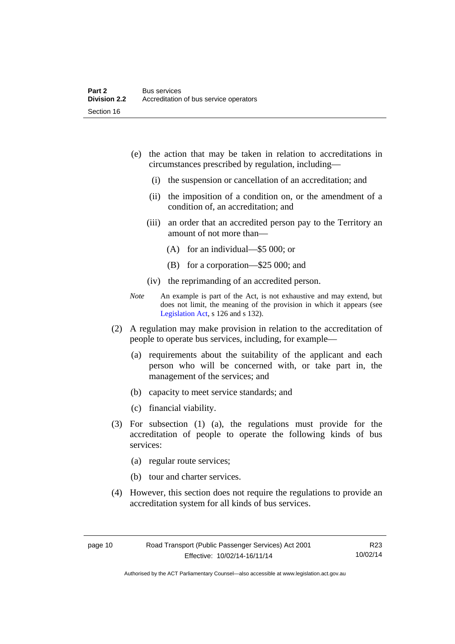- (e) the action that may be taken in relation to accreditations in circumstances prescribed by regulation, including—
	- (i) the suspension or cancellation of an accreditation; and
	- (ii) the imposition of a condition on, or the amendment of a condition of, an accreditation; and
	- (iii) an order that an accredited person pay to the Territory an amount of not more than—
		- (A) for an individual—\$5 000; or
		- (B) for a corporation—\$25 000; and
	- (iv) the reprimanding of an accredited person.
- *Note* An example is part of the Act, is not exhaustive and may extend, but does not limit, the meaning of the provision in which it appears (see [Legislation Act,](http://www.legislation.act.gov.au/a/2001-14) s 126 and s 132).
- (2) A regulation may make provision in relation to the accreditation of people to operate bus services, including, for example—
	- (a) requirements about the suitability of the applicant and each person who will be concerned with, or take part in, the management of the services; and
	- (b) capacity to meet service standards; and
	- (c) financial viability.
- (3) For subsection (1) (a), the regulations must provide for the accreditation of people to operate the following kinds of bus services:
	- (a) regular route services;
	- (b) tour and charter services.
- (4) However, this section does not require the regulations to provide an accreditation system for all kinds of bus services.

R23 10/02/14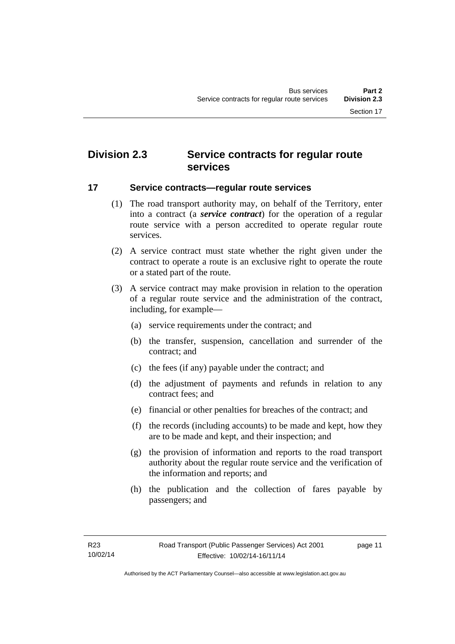# <span id="page-18-0"></span>**Division 2.3 Service contracts for regular route services**

#### <span id="page-18-1"></span>**17 Service contracts—regular route services**

- (1) The road transport authority may, on behalf of the Territory, enter into a contract (a *service contract*) for the operation of a regular route service with a person accredited to operate regular route services.
- (2) A service contract must state whether the right given under the contract to operate a route is an exclusive right to operate the route or a stated part of the route.
- (3) A service contract may make provision in relation to the operation of a regular route service and the administration of the contract, including, for example—
	- (a) service requirements under the contract; and
	- (b) the transfer, suspension, cancellation and surrender of the contract; and
	- (c) the fees (if any) payable under the contract; and
	- (d) the adjustment of payments and refunds in relation to any contract fees; and
	- (e) financial or other penalties for breaches of the contract; and
	- (f) the records (including accounts) to be made and kept, how they are to be made and kept, and their inspection; and
	- (g) the provision of information and reports to the road transport authority about the regular route service and the verification of the information and reports; and
	- (h) the publication and the collection of fares payable by passengers; and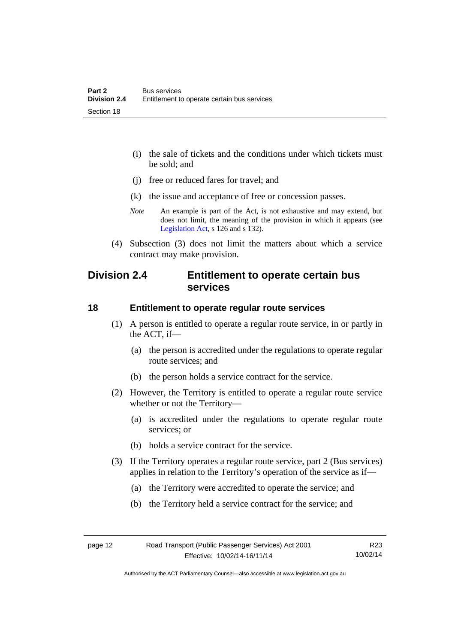- (i) the sale of tickets and the conditions under which tickets must be sold; and
- (j) free or reduced fares for travel; and
- (k) the issue and acceptance of free or concession passes.
- *Note* An example is part of the Act, is not exhaustive and may extend, but does not limit, the meaning of the provision in which it appears (see [Legislation Act,](http://www.legislation.act.gov.au/a/2001-14) s 126 and s 132).
- (4) Subsection (3) does not limit the matters about which a service contract may make provision.

## <span id="page-19-0"></span>**Division 2.4 Entitlement to operate certain bus services**

#### <span id="page-19-1"></span>**18 Entitlement to operate regular route services**

- (1) A person is entitled to operate a regular route service, in or partly in the ACT, if—
	- (a) the person is accredited under the regulations to operate regular route services; and
	- (b) the person holds a service contract for the service.
- (2) However, the Territory is entitled to operate a regular route service whether or not the Territory—
	- (a) is accredited under the regulations to operate regular route services; or
	- (b) holds a service contract for the service.
- (3) If the Territory operates a regular route service, part 2 (Bus services) applies in relation to the Territory's operation of the service as if—
	- (a) the Territory were accredited to operate the service; and
	- (b) the Territory held a service contract for the service; and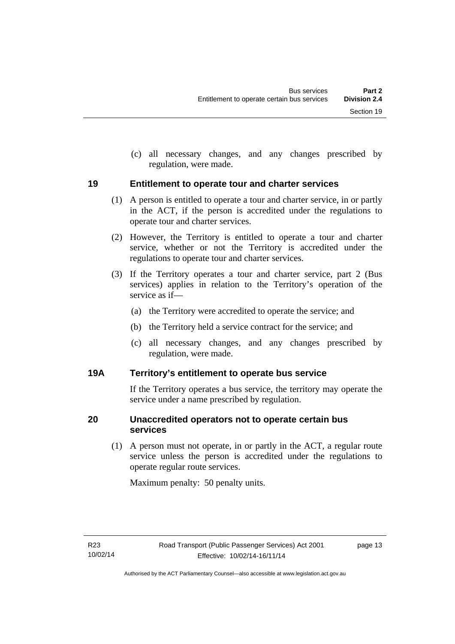(c) all necessary changes, and any changes prescribed by regulation, were made.

#### <span id="page-20-0"></span>**19 Entitlement to operate tour and charter services**

- (1) A person is entitled to operate a tour and charter service, in or partly in the ACT, if the person is accredited under the regulations to operate tour and charter services.
- (2) However, the Territory is entitled to operate a tour and charter service, whether or not the Territory is accredited under the regulations to operate tour and charter services.
- (3) If the Territory operates a tour and charter service, part 2 (Bus services) applies in relation to the Territory's operation of the service as if—
	- (a) the Territory were accredited to operate the service; and
	- (b) the Territory held a service contract for the service; and
	- (c) all necessary changes, and any changes prescribed by regulation, were made.

#### <span id="page-20-1"></span>**19A Territory's entitlement to operate bus service**

If the Territory operates a bus service, the territory may operate the service under a name prescribed by regulation.

#### <span id="page-20-2"></span>**20 Unaccredited operators not to operate certain bus services**

(1) A person must not operate, in or partly in the ACT, a regular route service unless the person is accredited under the regulations to operate regular route services.

Maximum penalty: 50 penalty units.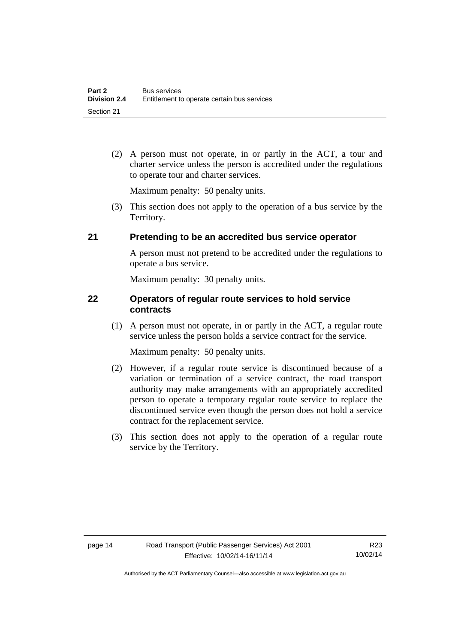(2) A person must not operate, in or partly in the ACT, a tour and charter service unless the person is accredited under the regulations to operate tour and charter services.

Maximum penalty: 50 penalty units.

 (3) This section does not apply to the operation of a bus service by the Territory.

#### <span id="page-21-0"></span>**21 Pretending to be an accredited bus service operator**

A person must not pretend to be accredited under the regulations to operate a bus service.

Maximum penalty: 30 penalty units.

#### <span id="page-21-1"></span>**22 Operators of regular route services to hold service contracts**

(1) A person must not operate, in or partly in the ACT, a regular route service unless the person holds a service contract for the service.

Maximum penalty: 50 penalty units.

- (2) However, if a regular route service is discontinued because of a variation or termination of a service contract, the road transport authority may make arrangements with an appropriately accredited person to operate a temporary regular route service to replace the discontinued service even though the person does not hold a service contract for the replacement service.
- (3) This section does not apply to the operation of a regular route service by the Territory.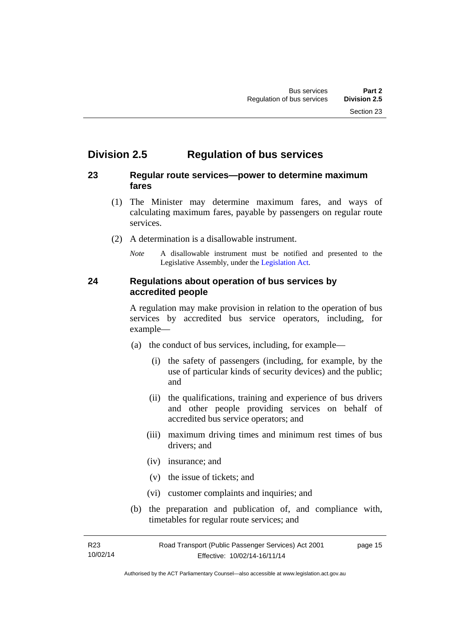# <span id="page-22-0"></span>**Division 2.5 Regulation of bus services**

#### <span id="page-22-1"></span>**23 Regular route services—power to determine maximum fares**

- (1) The Minister may determine maximum fares, and ways of calculating maximum fares, payable by passengers on regular route services.
- (2) A determination is a disallowable instrument.
	- *Note* A disallowable instrument must be notified and presented to the Legislative Assembly, under the [Legislation Act.](http://www.legislation.act.gov.au/a/2001-14)

#### <span id="page-22-2"></span>**24 Regulations about operation of bus services by accredited people**

A regulation may make provision in relation to the operation of bus services by accredited bus service operators, including, for example—

- (a) the conduct of bus services, including, for example—
	- (i) the safety of passengers (including, for example, by the use of particular kinds of security devices) and the public; and
	- (ii) the qualifications, training and experience of bus drivers and other people providing services on behalf of accredited bus service operators; and
	- (iii) maximum driving times and minimum rest times of bus drivers; and
	- (iv) insurance; and
	- (v) the issue of tickets; and
	- (vi) customer complaints and inquiries; and
- (b) the preparation and publication of, and compliance with, timetables for regular route services; and

R23 10/02/14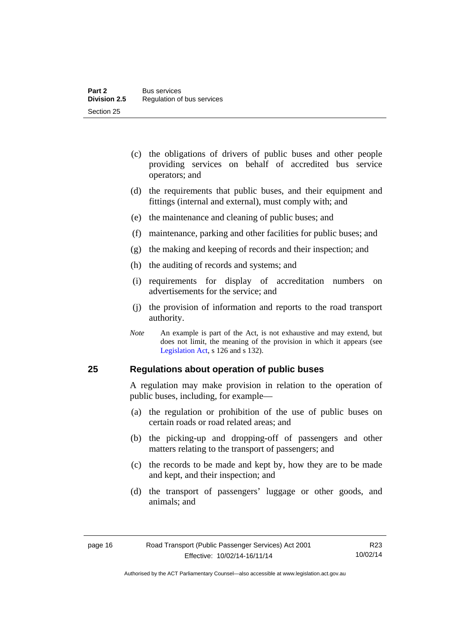- (c) the obligations of drivers of public buses and other people providing services on behalf of accredited bus service operators; and
- (d) the requirements that public buses, and their equipment and fittings (internal and external), must comply with; and
- (e) the maintenance and cleaning of public buses; and
- (f) maintenance, parking and other facilities for public buses; and
- (g) the making and keeping of records and their inspection; and
- (h) the auditing of records and systems; and
- (i) requirements for display of accreditation numbers on advertisements for the service; and
- (j) the provision of information and reports to the road transport authority.
- *Note* An example is part of the Act, is not exhaustive and may extend, but does not limit, the meaning of the provision in which it appears (see [Legislation Act,](http://www.legislation.act.gov.au/a/2001-14) s 126 and s 132).

#### <span id="page-23-0"></span>**25 Regulations about operation of public buses**

A regulation may make provision in relation to the operation of public buses, including, for example—

- (a) the regulation or prohibition of the use of public buses on certain roads or road related areas; and
- (b) the picking-up and dropping-off of passengers and other matters relating to the transport of passengers; and
- (c) the records to be made and kept by, how they are to be made and kept, and their inspection; and
- (d) the transport of passengers' luggage or other goods, and animals; and

R23 10/02/14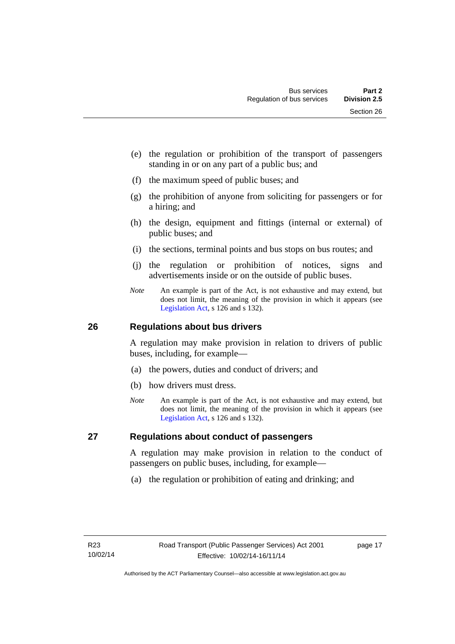- (e) the regulation or prohibition of the transport of passengers standing in or on any part of a public bus; and
- (f) the maximum speed of public buses; and
- (g) the prohibition of anyone from soliciting for passengers or for a hiring; and
- (h) the design, equipment and fittings (internal or external) of public buses; and
- (i) the sections, terminal points and bus stops on bus routes; and
- (j) the regulation or prohibition of notices, signs and advertisements inside or on the outside of public buses.
- *Note* An example is part of the Act, is not exhaustive and may extend, but does not limit, the meaning of the provision in which it appears (see [Legislation Act,](http://www.legislation.act.gov.au/a/2001-14) s 126 and s 132).

#### <span id="page-24-0"></span>**26 Regulations about bus drivers**

A regulation may make provision in relation to drivers of public buses, including, for example—

- (a) the powers, duties and conduct of drivers; and
- (b) how drivers must dress.
- *Note* An example is part of the Act, is not exhaustive and may extend, but does not limit, the meaning of the provision in which it appears (see [Legislation Act,](http://www.legislation.act.gov.au/a/2001-14) s 126 and s 132).

#### <span id="page-24-1"></span>**27 Regulations about conduct of passengers**

A regulation may make provision in relation to the conduct of passengers on public buses, including, for example—

(a) the regulation or prohibition of eating and drinking; and

page 17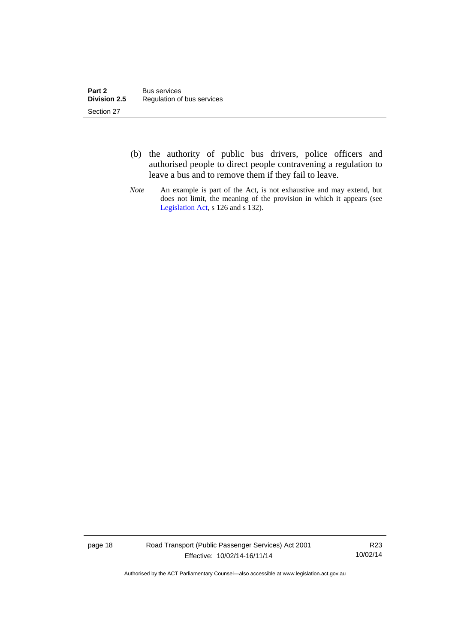- (b) the authority of public bus drivers, police officers and authorised people to direct people contravening a regulation to leave a bus and to remove them if they fail to leave.
- *Note* An example is part of the Act, is not exhaustive and may extend, but does not limit, the meaning of the provision in which it appears (see [Legislation Act,](http://www.legislation.act.gov.au/a/2001-14) s 126 and s 132).

page 18 Road Transport (Public Passenger Services) Act 2001 Effective: 10/02/14-16/11/14

R23 10/02/14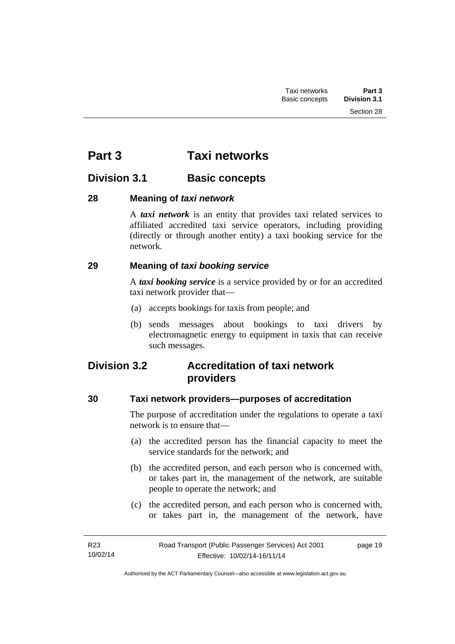# <span id="page-26-0"></span>**Part 3 Taxi networks**

# <span id="page-26-1"></span>**Division 3.1 Basic concepts**

#### <span id="page-26-2"></span>**28 Meaning of** *taxi network*

A *taxi network* is an entity that provides taxi related services to affiliated accredited taxi service operators, including providing (directly or through another entity) a taxi booking service for the network.

#### <span id="page-26-3"></span>**29 Meaning of** *taxi booking service*

A *taxi booking service* is a service provided by or for an accredited taxi network provider that—

- (a) accepts bookings for taxis from people; and
- (b) sends messages about bookings to taxi drivers by electromagnetic energy to equipment in taxis that can receive such messages.

# <span id="page-26-4"></span>**Division 3.2 Accreditation of taxi network providers**

### <span id="page-26-5"></span>**30 Taxi network providers—purposes of accreditation**

The purpose of accreditation under the regulations to operate a taxi network is to ensure that—

- (a) the accredited person has the financial capacity to meet the service standards for the network; and
- (b) the accredited person, and each person who is concerned with, or takes part in, the management of the network, are suitable people to operate the network; and
- (c) the accredited person, and each person who is concerned with, or takes part in, the management of the network, have

page 19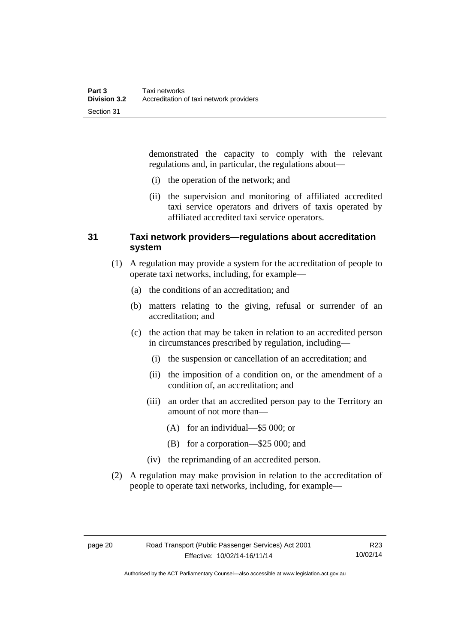demonstrated the capacity to comply with the relevant regulations and, in particular, the regulations about—

- (i) the operation of the network; and
- (ii) the supervision and monitoring of affiliated accredited taxi service operators and drivers of taxis operated by affiliated accredited taxi service operators.

#### <span id="page-27-0"></span>**31 Taxi network providers—regulations about accreditation system**

- (1) A regulation may provide a system for the accreditation of people to operate taxi networks, including, for example—
	- (a) the conditions of an accreditation; and
	- (b) matters relating to the giving, refusal or surrender of an accreditation; and
	- (c) the action that may be taken in relation to an accredited person in circumstances prescribed by regulation, including—
		- (i) the suspension or cancellation of an accreditation; and
		- (ii) the imposition of a condition on, or the amendment of a condition of, an accreditation; and
		- (iii) an order that an accredited person pay to the Territory an amount of not more than—
			- (A) for an individual—\$5 000; or
			- (B) for a corporation—\$25 000; and
		- (iv) the reprimanding of an accredited person.
- (2) A regulation may make provision in relation to the accreditation of people to operate taxi networks, including, for example—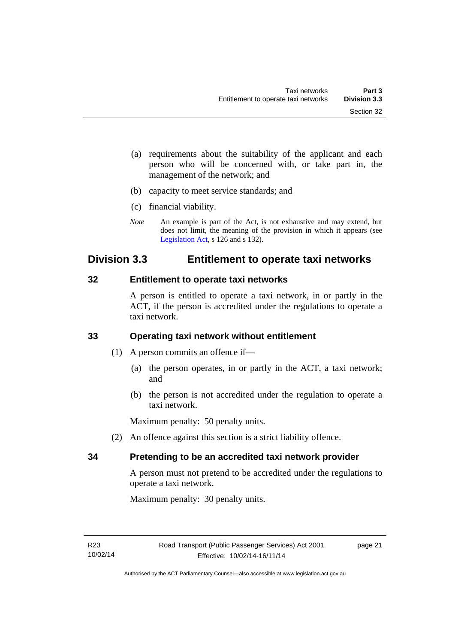- (a) requirements about the suitability of the applicant and each person who will be concerned with, or take part in, the management of the network; and
- (b) capacity to meet service standards; and
- (c) financial viability.
- *Note* An example is part of the Act, is not exhaustive and may extend, but does not limit, the meaning of the provision in which it appears (see [Legislation Act,](http://www.legislation.act.gov.au/a/2001-14) s 126 and s 132).

## <span id="page-28-0"></span>**Division 3.3 Entitlement to operate taxi networks**

#### <span id="page-28-1"></span>**32 Entitlement to operate taxi networks**

A person is entitled to operate a taxi network, in or partly in the ACT, if the person is accredited under the regulations to operate a taxi network.

#### <span id="page-28-2"></span>**33 Operating taxi network without entitlement**

- (1) A person commits an offence if—
	- (a) the person operates, in or partly in the ACT, a taxi network; and
	- (b) the person is not accredited under the regulation to operate a taxi network.

Maximum penalty: 50 penalty units.

(2) An offence against this section is a strict liability offence.

#### <span id="page-28-3"></span>**34 Pretending to be an accredited taxi network provider**

A person must not pretend to be accredited under the regulations to operate a taxi network.

Maximum penalty: 30 penalty units.

page 21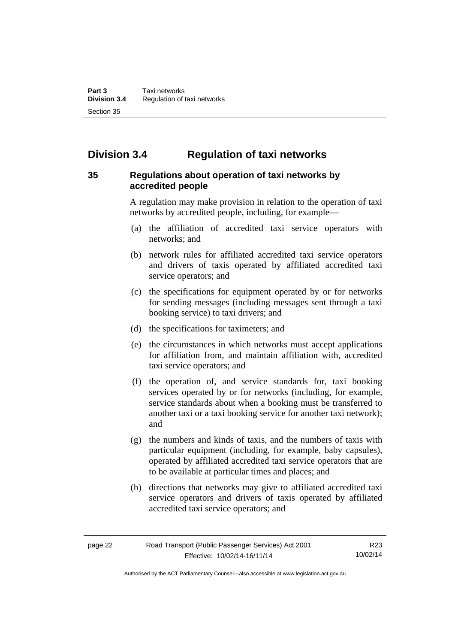# <span id="page-29-0"></span>**Division 3.4 Regulation of taxi networks**

#### <span id="page-29-1"></span>**35 Regulations about operation of taxi networks by accredited people**

A regulation may make provision in relation to the operation of taxi networks by accredited people, including, for example—

- (a) the affiliation of accredited taxi service operators with networks; and
- (b) network rules for affiliated accredited taxi service operators and drivers of taxis operated by affiliated accredited taxi service operators; and
- (c) the specifications for equipment operated by or for networks for sending messages (including messages sent through a taxi booking service) to taxi drivers; and
- (d) the specifications for taximeters; and
- (e) the circumstances in which networks must accept applications for affiliation from, and maintain affiliation with, accredited taxi service operators; and
- (f) the operation of, and service standards for, taxi booking services operated by or for networks (including, for example, service standards about when a booking must be transferred to another taxi or a taxi booking service for another taxi network); and
- (g) the numbers and kinds of taxis, and the numbers of taxis with particular equipment (including, for example, baby capsules), operated by affiliated accredited taxi service operators that are to be available at particular times and places; and
- (h) directions that networks may give to affiliated accredited taxi service operators and drivers of taxis operated by affiliated accredited taxi service operators; and

Authorised by the ACT Parliamentary Counsel—also accessible at www.legislation.act.gov.au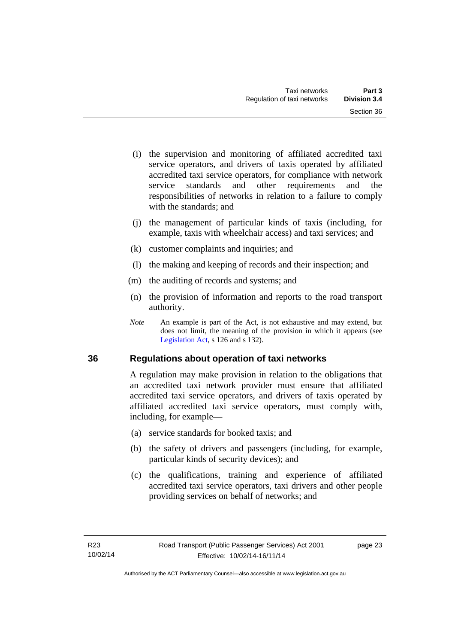- (i) the supervision and monitoring of affiliated accredited taxi service operators, and drivers of taxis operated by affiliated accredited taxi service operators, for compliance with network service standards and other requirements and the responsibilities of networks in relation to a failure to comply with the standards; and
- (j) the management of particular kinds of taxis (including, for example, taxis with wheelchair access) and taxi services; and
- (k) customer complaints and inquiries; and
- (l) the making and keeping of records and their inspection; and
- (m) the auditing of records and systems; and
- (n) the provision of information and reports to the road transport authority.
- *Note* An example is part of the Act, is not exhaustive and may extend, but does not limit, the meaning of the provision in which it appears (see [Legislation Act,](http://www.legislation.act.gov.au/a/2001-14) s 126 and s 132).

#### <span id="page-30-0"></span>**36 Regulations about operation of taxi networks**

A regulation may make provision in relation to the obligations that an accredited taxi network provider must ensure that affiliated accredited taxi service operators, and drivers of taxis operated by affiliated accredited taxi service operators, must comply with, including, for example—

- (a) service standards for booked taxis; and
- (b) the safety of drivers and passengers (including, for example, particular kinds of security devices); and
- (c) the qualifications, training and experience of affiliated accredited taxi service operators, taxi drivers and other people providing services on behalf of networks; and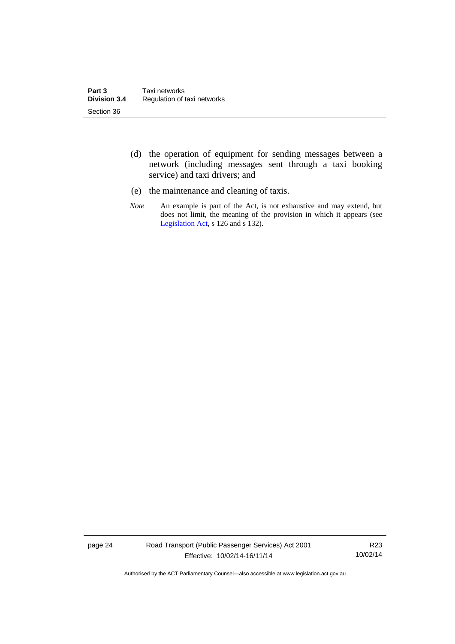- (d) the operation of equipment for sending messages between a network (including messages sent through a taxi booking service) and taxi drivers; and
- (e) the maintenance and cleaning of taxis.
- *Note* An example is part of the Act, is not exhaustive and may extend, but does not limit, the meaning of the provision in which it appears (see [Legislation Act,](http://www.legislation.act.gov.au/a/2001-14) s 126 and s 132).

page 24 Road Transport (Public Passenger Services) Act 2001 Effective: 10/02/14-16/11/14

R23 10/02/14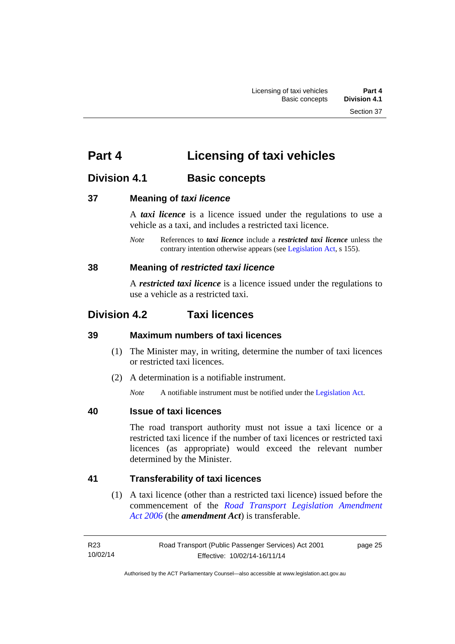# <span id="page-32-0"></span>**Part 4 Licensing of taxi vehicles**

# <span id="page-32-1"></span>**Division 4.1 Basic concepts**

#### <span id="page-32-2"></span>**37 Meaning of** *taxi licence*

A *taxi licence* is a licence issued under the regulations to use a vehicle as a taxi, and includes a restricted taxi licence.

*Note* References to *taxi licence* include a *restricted taxi licence* unless the contrary intention otherwise appears (see [Legislation Act,](http://www.legislation.act.gov.au/a/2001-14) s 155).

#### <span id="page-32-3"></span>**38 Meaning of** *restricted taxi licence*

A *restricted taxi licence* is a licence issued under the regulations to use a vehicle as a restricted taxi.

# <span id="page-32-4"></span>**Division 4.2 Taxi licences**

#### <span id="page-32-5"></span>**39 Maximum numbers of taxi licences**

- (1) The Minister may, in writing, determine the number of taxi licences or restricted taxi licences.
- (2) A determination is a notifiable instrument.

*Note* A notifiable instrument must be notified under the [Legislation Act](http://www.legislation.act.gov.au/a/2001-14).

#### <span id="page-32-6"></span>**40 Issue of taxi licences**

The road transport authority must not issue a taxi licence or a restricted taxi licence if the number of taxi licences or restricted taxi licences (as appropriate) would exceed the relevant number determined by the Minister.

#### <span id="page-32-7"></span>**41 Transferability of taxi licences**

(1) A taxi licence (other than a restricted taxi licence) issued before the commencement of the *[Road Transport Legislation Amendment](http://www.legislation.act.gov.au/a/2006-26)  [Act 2006](http://www.legislation.act.gov.au/a/2006-26)* (the *amendment Act*) is transferable.

page 25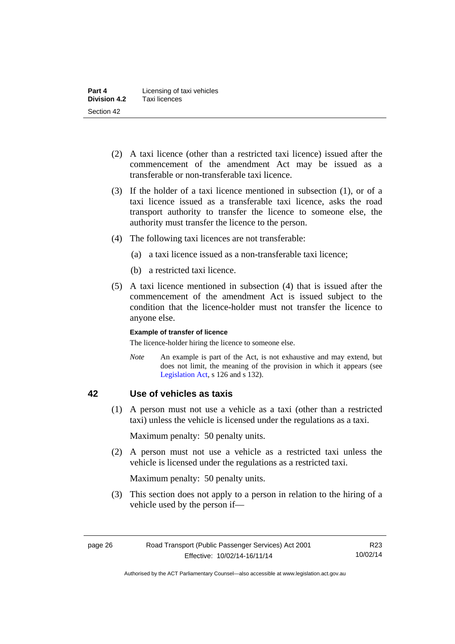- (2) A taxi licence (other than a restricted taxi licence) issued after the commencement of the amendment Act may be issued as a transferable or non-transferable taxi licence.
- (3) If the holder of a taxi licence mentioned in subsection (1), or of a taxi licence issued as a transferable taxi licence, asks the road transport authority to transfer the licence to someone else, the authority must transfer the licence to the person.
- (4) The following taxi licences are not transferable:
	- (a) a taxi licence issued as a non-transferable taxi licence;
	- (b) a restricted taxi licence.
- (5) A taxi licence mentioned in subsection (4) that is issued after the commencement of the amendment Act is issued subject to the condition that the licence-holder must not transfer the licence to anyone else.

#### **Example of transfer of licence**

The licence-holder hiring the licence to someone else.

*Note* An example is part of the Act, is not exhaustive and may extend, but does not limit, the meaning of the provision in which it appears (see [Legislation Act,](http://www.legislation.act.gov.au/a/2001-14) s 126 and s 132).

#### <span id="page-33-0"></span>**42 Use of vehicles as taxis**

 (1) A person must not use a vehicle as a taxi (other than a restricted taxi) unless the vehicle is licensed under the regulations as a taxi.

Maximum penalty: 50 penalty units.

 (2) A person must not use a vehicle as a restricted taxi unless the vehicle is licensed under the regulations as a restricted taxi.

Maximum penalty: 50 penalty units.

 (3) This section does not apply to a person in relation to the hiring of a vehicle used by the person if—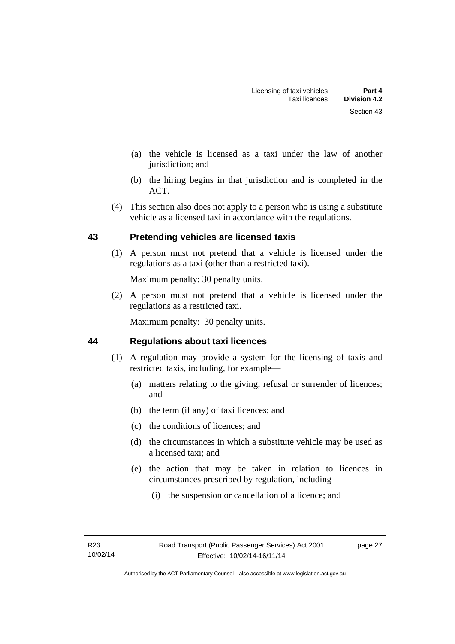- (a) the vehicle is licensed as a taxi under the law of another jurisdiction; and
- (b) the hiring begins in that jurisdiction and is completed in the ACT.
- (4) This section also does not apply to a person who is using a substitute vehicle as a licensed taxi in accordance with the regulations.

#### <span id="page-34-0"></span>**43 Pretending vehicles are licensed taxis**

(1) A person must not pretend that a vehicle is licensed under the regulations as a taxi (other than a restricted taxi).

Maximum penalty: 30 penalty units.

 (2) A person must not pretend that a vehicle is licensed under the regulations as a restricted taxi.

Maximum penalty: 30 penalty units.

#### <span id="page-34-1"></span>**44 Regulations about taxi licences**

- (1) A regulation may provide a system for the licensing of taxis and restricted taxis, including, for example—
	- (a) matters relating to the giving, refusal or surrender of licences; and
	- (b) the term (if any) of taxi licences; and
	- (c) the conditions of licences; and
	- (d) the circumstances in which a substitute vehicle may be used as a licensed taxi; and
	- (e) the action that may be taken in relation to licences in circumstances prescribed by regulation, including—
		- (i) the suspension or cancellation of a licence; and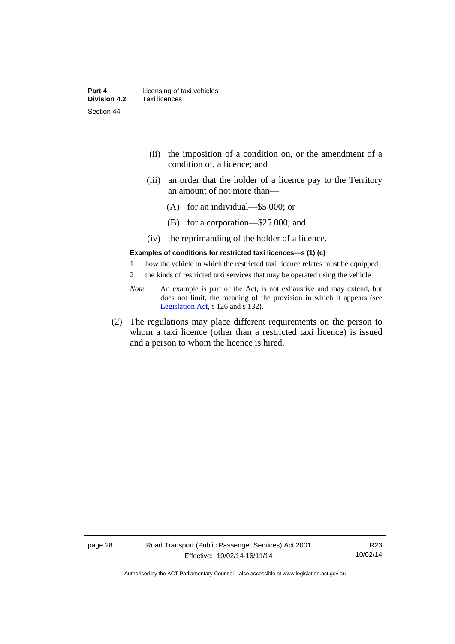| Part 4              | Licensing of taxi vehicles |
|---------------------|----------------------------|
| <b>Division 4.2</b> | Taxi licences              |
| Section 44          |                            |

- (ii) the imposition of a condition on, or the amendment of a condition of, a licence; and
- (iii) an order that the holder of a licence pay to the Territory an amount of not more than—
	- (A) for an individual—\$5 000; or
	- (B) for a corporation—\$25 000; and
- (iv) the reprimanding of the holder of a licence.

#### **Examples of conditions for restricted taxi licences—s (1) (c)**

- 1 how the vehicle to which the restricted taxi licence relates must be equipped
- 2 the kinds of restricted taxi services that may be operated using the vehicle
- *Note* An example is part of the Act, is not exhaustive and may extend, but does not limit, the meaning of the provision in which it appears (see [Legislation Act,](http://www.legislation.act.gov.au/a/2001-14) s 126 and s 132).
- (2) The regulations may place different requirements on the person to whom a taxi licence (other than a restricted taxi licence) is issued and a person to whom the licence is hired.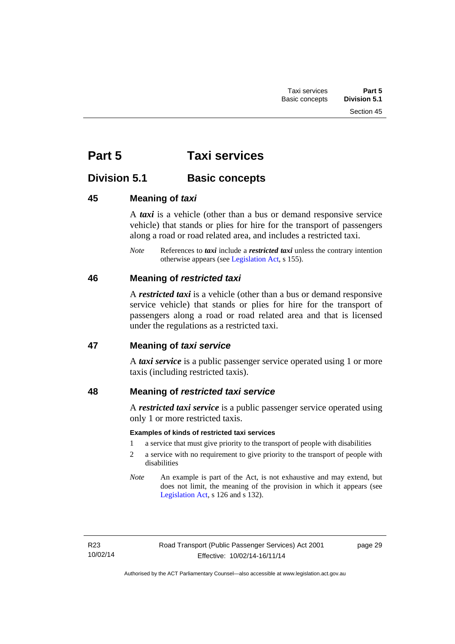# **Part 5 Taxi services**

## **Division 5.1 Basic concepts**

## **45 Meaning of** *taxi*

A *taxi* is a vehicle (other than a bus or demand responsive service vehicle) that stands or plies for hire for the transport of passengers along a road or road related area, and includes a restricted taxi.

*Note* References to *taxi* include a *restricted taxi* unless the contrary intention otherwise appears (see [Legislation Act,](http://www.legislation.act.gov.au/a/2001-14) s 155).

## **46 Meaning of** *restricted taxi*

A *restricted taxi* is a vehicle (other than a bus or demand responsive service vehicle) that stands or plies for hire for the transport of passengers along a road or road related area and that is licensed under the regulations as a restricted taxi.

## **47 Meaning of** *taxi service*

A *taxi service* is a public passenger service operated using 1 or more taxis (including restricted taxis).

## **48 Meaning of** *restricted taxi service*

A *restricted taxi service* is a public passenger service operated using only 1 or more restricted taxis.

## **Examples of kinds of restricted taxi services**

- 1 a service that must give priority to the transport of people with disabilities
- 2 a service with no requirement to give priority to the transport of people with disabilities
- *Note* An example is part of the Act, is not exhaustive and may extend, but does not limit, the meaning of the provision in which it appears (see [Legislation Act,](http://www.legislation.act.gov.au/a/2001-14) s 126 and s 132).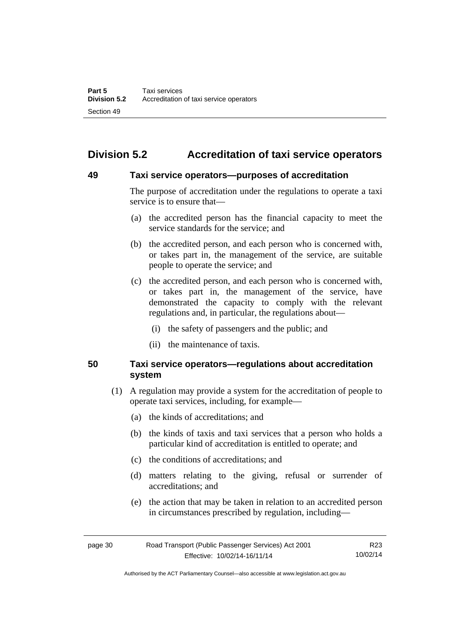# **Division 5.2 Accreditation of taxi service operators**

## **49 Taxi service operators—purposes of accreditation**

The purpose of accreditation under the regulations to operate a taxi service is to ensure that—

- (a) the accredited person has the financial capacity to meet the service standards for the service; and
- (b) the accredited person, and each person who is concerned with, or takes part in, the management of the service, are suitable people to operate the service; and
- (c) the accredited person, and each person who is concerned with, or takes part in, the management of the service, have demonstrated the capacity to comply with the relevant regulations and, in particular, the regulations about—
	- (i) the safety of passengers and the public; and
	- (ii) the maintenance of taxis.

## **50 Taxi service operators—regulations about accreditation system**

- (1) A regulation may provide a system for the accreditation of people to operate taxi services, including, for example—
	- (a) the kinds of accreditations; and
	- (b) the kinds of taxis and taxi services that a person who holds a particular kind of accreditation is entitled to operate; and
	- (c) the conditions of accreditations; and
	- (d) matters relating to the giving, refusal or surrender of accreditations; and
	- (e) the action that may be taken in relation to an accredited person in circumstances prescribed by regulation, including—

page 30 Road Transport (Public Passenger Services) Act 2001 Effective: 10/02/14-16/11/14 R23 10/02/14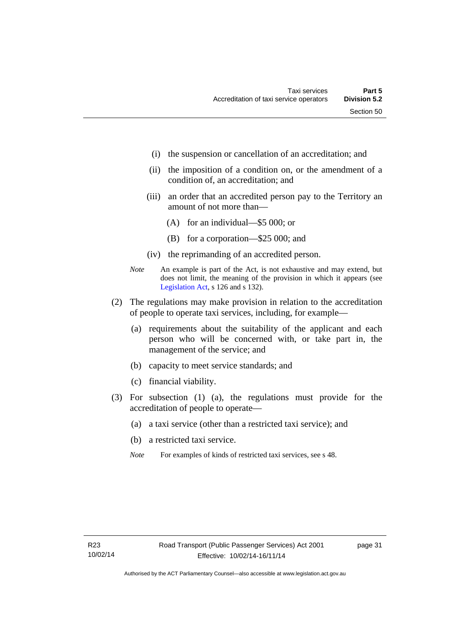- (i) the suspension or cancellation of an accreditation; and
- (ii) the imposition of a condition on, or the amendment of a condition of, an accreditation; and
- (iii) an order that an accredited person pay to the Territory an amount of not more than—
	- (A) for an individual—\$5 000; or
	- (B) for a corporation—\$25 000; and
- (iv) the reprimanding of an accredited person.
- *Note* An example is part of the Act, is not exhaustive and may extend, but does not limit, the meaning of the provision in which it appears (see [Legislation Act,](http://www.legislation.act.gov.au/a/2001-14) s 126 and s 132).
- (2) The regulations may make provision in relation to the accreditation of people to operate taxi services, including, for example—
	- (a) requirements about the suitability of the applicant and each person who will be concerned with, or take part in, the management of the service; and
	- (b) capacity to meet service standards; and
	- (c) financial viability.
- (3) For subsection (1) (a), the regulations must provide for the accreditation of people to operate—
	- (a) a taxi service (other than a restricted taxi service); and
	- (b) a restricted taxi service.
	- *Note* For examples of kinds of restricted taxi services, see s 48.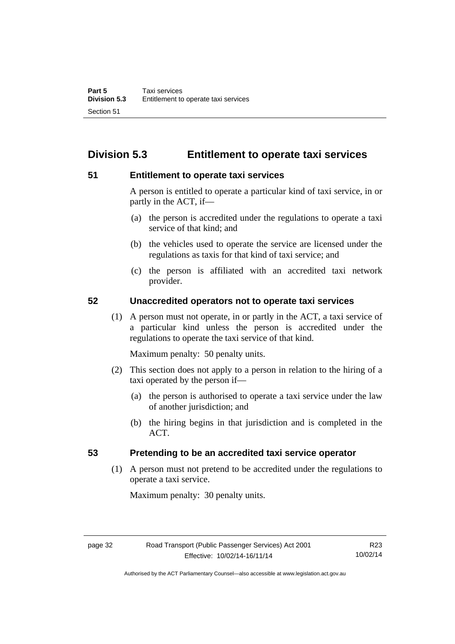# **Division 5.3 Entitlement to operate taxi services**

## **51 Entitlement to operate taxi services**

A person is entitled to operate a particular kind of taxi service, in or partly in the ACT, if—

- (a) the person is accredited under the regulations to operate a taxi service of that kind; and
- (b) the vehicles used to operate the service are licensed under the regulations as taxis for that kind of taxi service; and
- (c) the person is affiliated with an accredited taxi network provider.

## **52 Unaccredited operators not to operate taxi services**

(1) A person must not operate, in or partly in the ACT, a taxi service of a particular kind unless the person is accredited under the regulations to operate the taxi service of that kind.

Maximum penalty: 50 penalty units.

- (2) This section does not apply to a person in relation to the hiring of a taxi operated by the person if—
	- (a) the person is authorised to operate a taxi service under the law of another jurisdiction; and
	- (b) the hiring begins in that jurisdiction and is completed in the ACT.

## **53 Pretending to be an accredited taxi service operator**

(1) A person must not pretend to be accredited under the regulations to operate a taxi service.

Maximum penalty: 30 penalty units.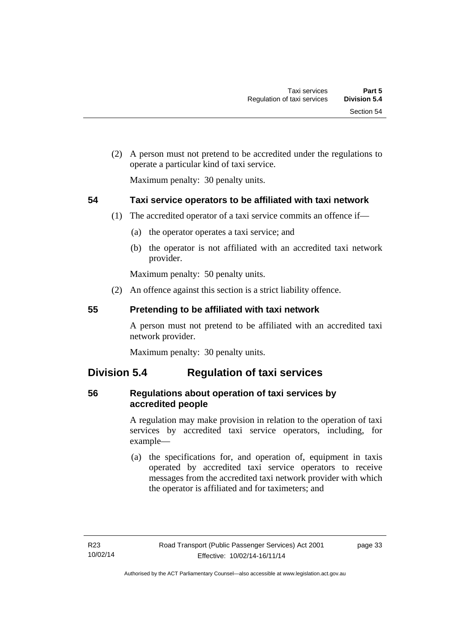(2) A person must not pretend to be accredited under the regulations to operate a particular kind of taxi service.

Maximum penalty: 30 penalty units.

## **54 Taxi service operators to be affiliated with taxi network**

- (1) The accredited operator of a taxi service commits an offence if—
	- (a) the operator operates a taxi service; and
	- (b) the operator is not affiliated with an accredited taxi network provider.

Maximum penalty: 50 penalty units.

(2) An offence against this section is a strict liability offence.

## **55 Pretending to be affiliated with taxi network**

A person must not pretend to be affiliated with an accredited taxi network provider.

Maximum penalty: 30 penalty units.

## **Division 5.4 Regulation of taxi services**

## **56 Regulations about operation of taxi services by accredited people**

A regulation may make provision in relation to the operation of taxi services by accredited taxi service operators, including, for example—

 (a) the specifications for, and operation of, equipment in taxis operated by accredited taxi service operators to receive messages from the accredited taxi network provider with which the operator is affiliated and for taximeters; and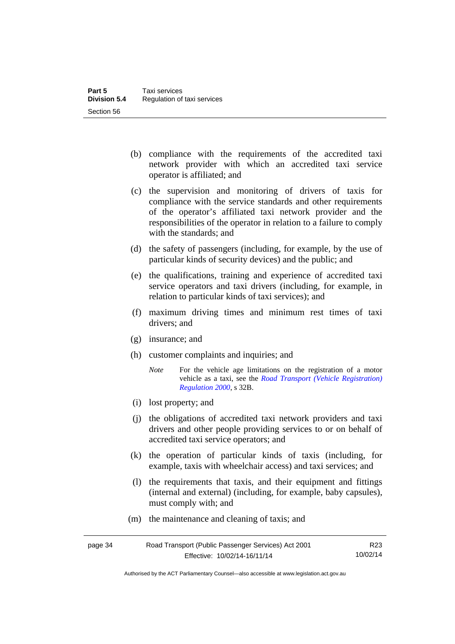- (b) compliance with the requirements of the accredited taxi network provider with which an accredited taxi service operator is affiliated; and
- (c) the supervision and monitoring of drivers of taxis for compliance with the service standards and other requirements of the operator's affiliated taxi network provider and the responsibilities of the operator in relation to a failure to comply with the standards; and
- (d) the safety of passengers (including, for example, by the use of particular kinds of security devices) and the public; and
- (e) the qualifications, training and experience of accredited taxi service operators and taxi drivers (including, for example, in relation to particular kinds of taxi services); and
- (f) maximum driving times and minimum rest times of taxi drivers; and
- (g) insurance; and
- (h) customer complaints and inquiries; and
	- *Note* For the vehicle age limitations on the registration of a motor vehicle as a taxi, see the *[Road Transport \(Vehicle Registration\)](http://www.legislation.act.gov.au/sl/2000-12)  [Regulation 2000](http://www.legislation.act.gov.au/sl/2000-12)*, s 32B.
- (i) lost property; and
- (j) the obligations of accredited taxi network providers and taxi drivers and other people providing services to or on behalf of accredited taxi service operators; and
- (k) the operation of particular kinds of taxis (including, for example, taxis with wheelchair access) and taxi services; and
- (l) the requirements that taxis, and their equipment and fittings (internal and external) (including, for example, baby capsules), must comply with; and
- (m) the maintenance and cleaning of taxis; and

| page 34 | Road Transport (Public Passenger Services) Act 2001 | R23      |
|---------|-----------------------------------------------------|----------|
|         | Effective: 10/02/14-16/11/14                        | 10/02/14 |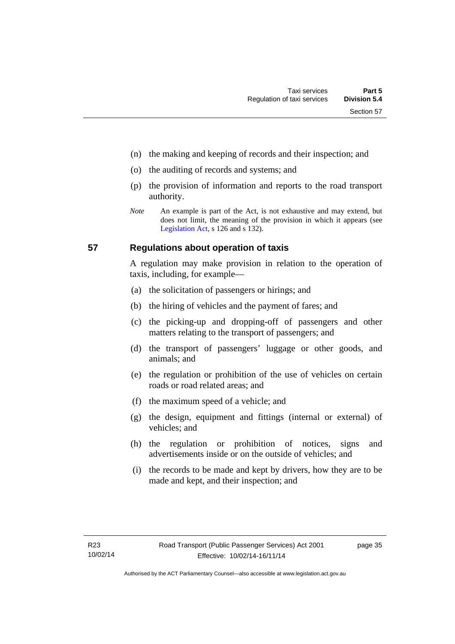- (n) the making and keeping of records and their inspection; and
- (o) the auditing of records and systems; and
- (p) the provision of information and reports to the road transport authority.
- *Note* An example is part of the Act, is not exhaustive and may extend, but does not limit, the meaning of the provision in which it appears (see [Legislation Act,](http://www.legislation.act.gov.au/a/2001-14) s 126 and s 132).

## **57 Regulations about operation of taxis**

A regulation may make provision in relation to the operation of taxis, including, for example—

- (a) the solicitation of passengers or hirings; and
- (b) the hiring of vehicles and the payment of fares; and
- (c) the picking-up and dropping-off of passengers and other matters relating to the transport of passengers; and
- (d) the transport of passengers' luggage or other goods, and animals; and
- (e) the regulation or prohibition of the use of vehicles on certain roads or road related areas; and
- (f) the maximum speed of a vehicle; and
- (g) the design, equipment and fittings (internal or external) of vehicles; and
- (h) the regulation or prohibition of notices, signs and advertisements inside or on the outside of vehicles; and
- (i) the records to be made and kept by drivers, how they are to be made and kept, and their inspection; and

page 35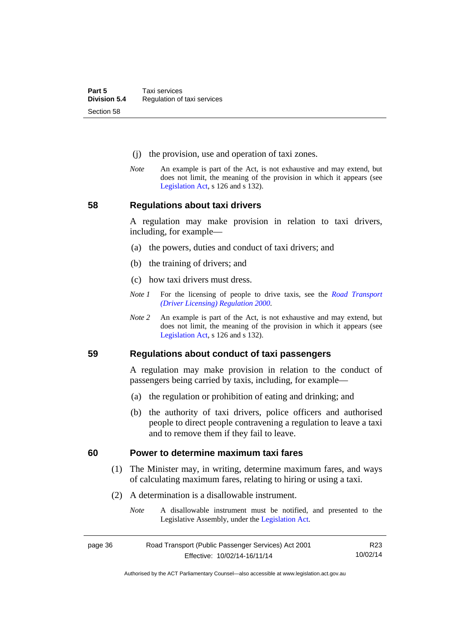- (j) the provision, use and operation of taxi zones.
- *Note* An example is part of the Act, is not exhaustive and may extend, but does not limit, the meaning of the provision in which it appears (see [Legislation Act,](http://www.legislation.act.gov.au/a/2001-14) s 126 and s 132).

## **58 Regulations about taxi drivers**

A regulation may make provision in relation to taxi drivers, including, for example—

- (a) the powers, duties and conduct of taxi drivers; and
- (b) the training of drivers; and
- (c) how taxi drivers must dress.
- *Note 1* For the licensing of people to drive taxis, see the *[Road Transport](http://www.legislation.act.gov.au/sl/2000-14)  [\(Driver Licensing\) Regulation 2000](http://www.legislation.act.gov.au/sl/2000-14)*.
- *Note 2* An example is part of the Act, is not exhaustive and may extend, but does not limit, the meaning of the provision in which it appears (see [Legislation Act,](http://www.legislation.act.gov.au/a/2001-14) s 126 and s 132).

#### **59 Regulations about conduct of taxi passengers**

A regulation may make provision in relation to the conduct of passengers being carried by taxis, including, for example—

- (a) the regulation or prohibition of eating and drinking; and
- (b) the authority of taxi drivers, police officers and authorised people to direct people contravening a regulation to leave a taxi and to remove them if they fail to leave.

#### **60 Power to determine maximum taxi fares**

- (1) The Minister may, in writing, determine maximum fares, and ways of calculating maximum fares, relating to hiring or using a taxi.
- (2) A determination is a disallowable instrument.
	- *Note* A disallowable instrument must be notified, and presented to the Legislative Assembly, under the [Legislation Act.](http://www.legislation.act.gov.au/a/2001-14)

| page 36 | Road Transport (Public Passenger Services) Act 2001 | R <sub>23</sub> |
|---------|-----------------------------------------------------|-----------------|
|         | Effective: 10/02/14-16/11/14                        | 10/02/14        |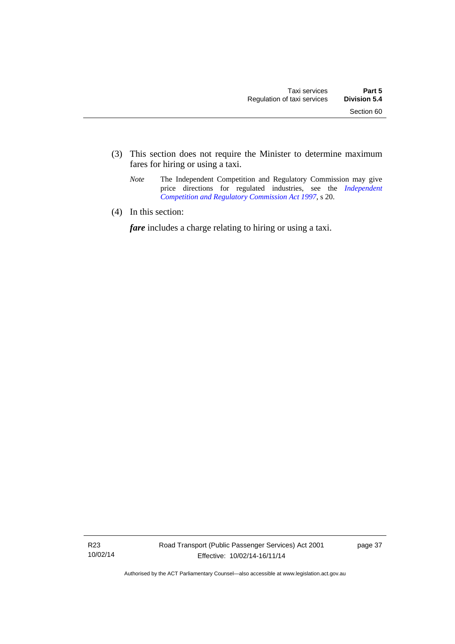- (3) This section does not require the Minister to determine maximum fares for hiring or using a taxi.
	- *Note* The Independent Competition and Regulatory Commission may give price directions for regulated industries, see the *Independent [Competition and Regulatory Commission Act 1997](http://www.legislation.act.gov.au/a/1997-77)*, s 20.
- (4) In this section:

*fare* includes a charge relating to hiring or using a taxi.

R23 10/02/14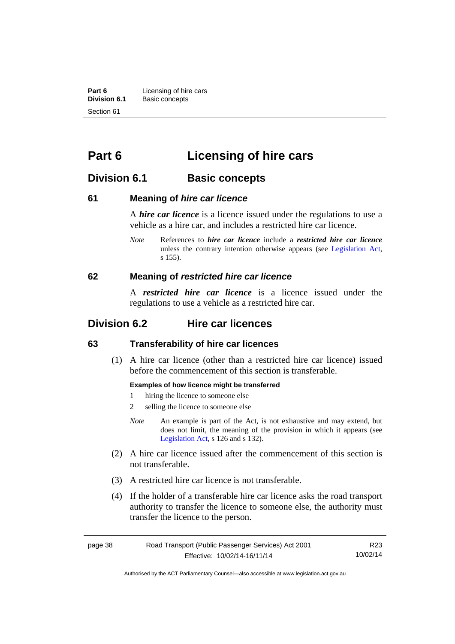**Part 6 Licensing of hire cars**<br>**Division 6.1 Basic concepts Division 6.1** Basic concepts Section 61

# **Part 6 Licensing of hire cars**

## **Division 6.1 Basic concepts**

## **61 Meaning of** *hire car licence*

A *hire car licence* is a licence issued under the regulations to use a vehicle as a hire car, and includes a restricted hire car licence.

*Note* References to *hire car licence* include a *restricted hire car licence* unless the contrary intention otherwise appears (see [Legislation Act,](http://www.legislation.act.gov.au/a/2001-14) s 155).

## **62 Meaning of** *restricted hire car licence*

A *restricted hire car licence* is a licence issued under the regulations to use a vehicle as a restricted hire car.

## **Division 6.2 Hire car licences**

## **63 Transferability of hire car licences**

 (1) A hire car licence (other than a restricted hire car licence) issued before the commencement of this section is transferable.

#### **Examples of how licence might be transferred**

- 1 hiring the licence to someone else
- 2 selling the licence to someone else
- *Note* An example is part of the Act, is not exhaustive and may extend, but does not limit, the meaning of the provision in which it appears (see [Legislation Act,](http://www.legislation.act.gov.au/a/2001-14) s 126 and s 132).
- (2) A hire car licence issued after the commencement of this section is not transferable.
- (3) A restricted hire car licence is not transferable.
- (4) If the holder of a transferable hire car licence asks the road transport authority to transfer the licence to someone else, the authority must transfer the licence to the person.

| page 38 | Road Transport (Public Passenger Services) Act 2001 | R23      |
|---------|-----------------------------------------------------|----------|
|         | Effective: 10/02/14-16/11/14                        | 10/02/14 |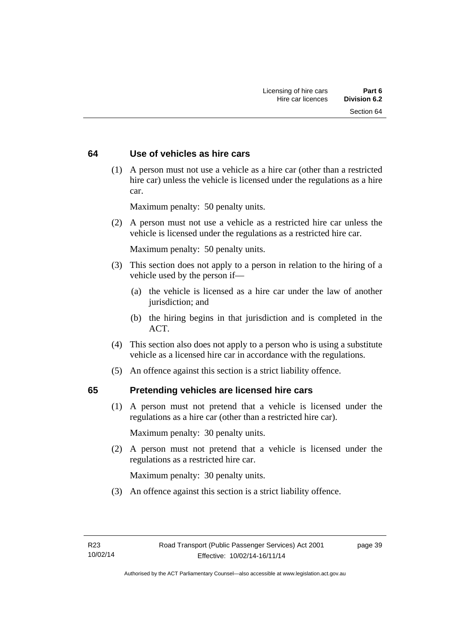## **64 Use of vehicles as hire cars**

 (1) A person must not use a vehicle as a hire car (other than a restricted hire car) unless the vehicle is licensed under the regulations as a hire car.

Maximum penalty: 50 penalty units.

 (2) A person must not use a vehicle as a restricted hire car unless the vehicle is licensed under the regulations as a restricted hire car.

Maximum penalty: 50 penalty units.

- (3) This section does not apply to a person in relation to the hiring of a vehicle used by the person if—
	- (a) the vehicle is licensed as a hire car under the law of another jurisdiction; and
	- (b) the hiring begins in that jurisdiction and is completed in the ACT.
- (4) This section also does not apply to a person who is using a substitute vehicle as a licensed hire car in accordance with the regulations.
- (5) An offence against this section is a strict liability offence.

#### **65 Pretending vehicles are licensed hire cars**

(1) A person must not pretend that a vehicle is licensed under the regulations as a hire car (other than a restricted hire car).

Maximum penalty: 30 penalty units.

 (2) A person must not pretend that a vehicle is licensed under the regulations as a restricted hire car.

Maximum penalty: 30 penalty units.

(3) An offence against this section is a strict liability offence.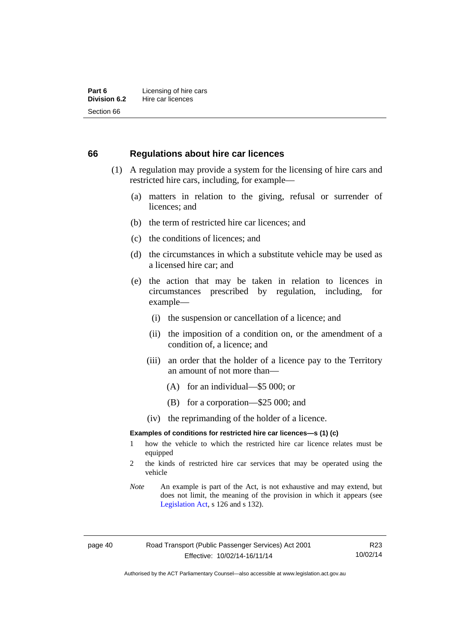#### **66 Regulations about hire car licences**

- (1) A regulation may provide a system for the licensing of hire cars and restricted hire cars, including, for example—
	- (a) matters in relation to the giving, refusal or surrender of licences; and
	- (b) the term of restricted hire car licences; and
	- (c) the conditions of licences; and
	- (d) the circumstances in which a substitute vehicle may be used as a licensed hire car; and
	- (e) the action that may be taken in relation to licences in circumstances prescribed by regulation, including, for example—
		- (i) the suspension or cancellation of a licence; and
		- (ii) the imposition of a condition on, or the amendment of a condition of, a licence; and
		- (iii) an order that the holder of a licence pay to the Territory an amount of not more than—
			- (A) for an individual—\$5 000; or
			- (B) for a corporation—\$25 000; and
		- (iv) the reprimanding of the holder of a licence.

#### **Examples of conditions for restricted hire car licences—s (1) (c)**

- 1 how the vehicle to which the restricted hire car licence relates must be equipped
- 2 the kinds of restricted hire car services that may be operated using the vehicle
- *Note* An example is part of the Act, is not exhaustive and may extend, but does not limit, the meaning of the provision in which it appears (see [Legislation Act,](http://www.legislation.act.gov.au/a/2001-14) s 126 and s 132).

```
R23
10/02/14
```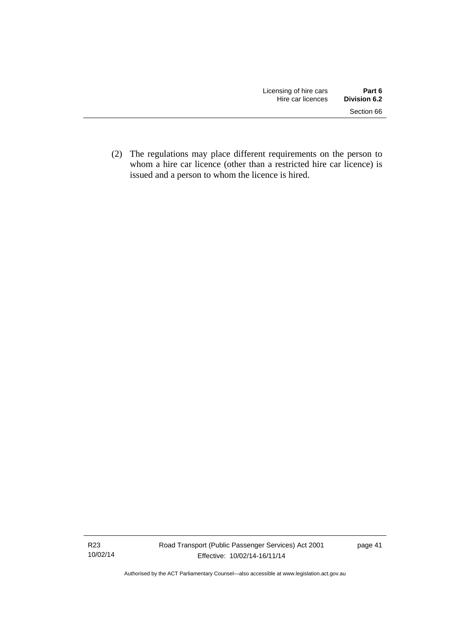(2) The regulations may place different requirements on the person to whom a hire car licence (other than a restricted hire car licence) is issued and a person to whom the licence is hired.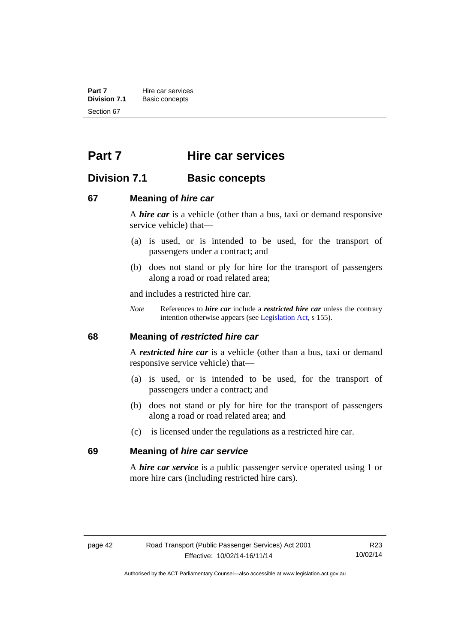**Part 7 Hire car services**<br>**Division 7.1 Basic concepts Division 7.1** Basic concepts Section 67

# **Part 7 Hire car services**

## **Division 7.1 Basic concepts**

## **67 Meaning of** *hire car*

A *hire car* is a vehicle (other than a bus, taxi or demand responsive service vehicle) that—

- (a) is used, or is intended to be used, for the transport of passengers under a contract; and
- (b) does not stand or ply for hire for the transport of passengers along a road or road related area;

and includes a restricted hire car.

*Note* References to *hire car* include a *restricted hire car* unless the contrary intention otherwise appears (see [Legislation Act](http://www.legislation.act.gov.au/a/2001-14), s 155).

## **68 Meaning of** *restricted hire car*

A *restricted hire car* is a vehicle (other than a bus, taxi or demand responsive service vehicle) that—

- (a) is used, or is intended to be used, for the transport of passengers under a contract; and
- (b) does not stand or ply for hire for the transport of passengers along a road or road related area; and
- (c) is licensed under the regulations as a restricted hire car.

#### **69 Meaning of** *hire car service*

A *hire car service* is a public passenger service operated using 1 or more hire cars (including restricted hire cars).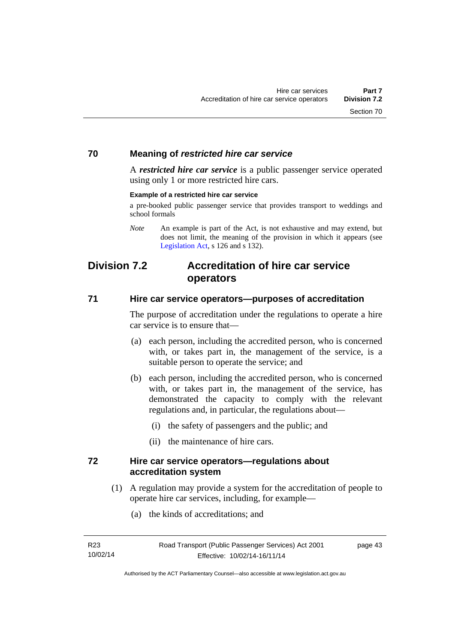## **70 Meaning of** *restricted hire car service*

A *restricted hire car service* is a public passenger service operated using only 1 or more restricted hire cars.

#### **Example of a restricted hire car service**

a pre-booked public passenger service that provides transport to weddings and school formals

## **Division 7.2 Accreditation of hire car service operators**

## **71 Hire car service operators—purposes of accreditation**

The purpose of accreditation under the regulations to operate a hire car service is to ensure that—

- (a) each person, including the accredited person, who is concerned with, or takes part in, the management of the service, is a suitable person to operate the service; and
- (b) each person, including the accredited person, who is concerned with, or takes part in, the management of the service, has demonstrated the capacity to comply with the relevant regulations and, in particular, the regulations about—
	- (i) the safety of passengers and the public; and
	- (ii) the maintenance of hire cars.

## **72 Hire car service operators—regulations about accreditation system**

- (1) A regulation may provide a system for the accreditation of people to operate hire car services, including, for example—
	- (a) the kinds of accreditations; and

*Note* An example is part of the Act, is not exhaustive and may extend, but does not limit, the meaning of the provision in which it appears (see [Legislation Act,](http://www.legislation.act.gov.au/a/2001-14) s 126 and s 132).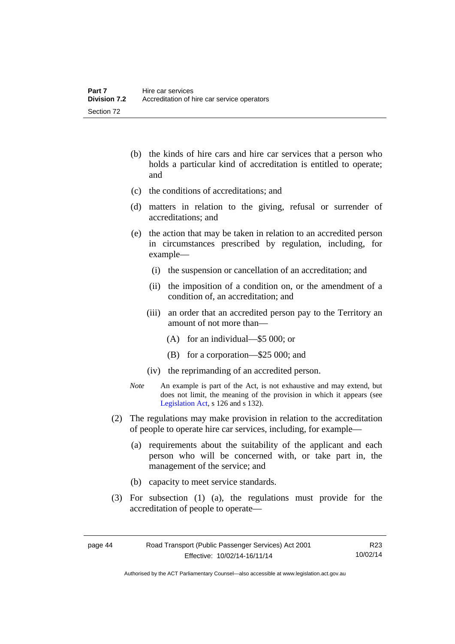- (b) the kinds of hire cars and hire car services that a person who holds a particular kind of accreditation is entitled to operate; and
- (c) the conditions of accreditations; and
- (d) matters in relation to the giving, refusal or surrender of accreditations; and
- (e) the action that may be taken in relation to an accredited person in circumstances prescribed by regulation, including, for example—
	- (i) the suspension or cancellation of an accreditation; and
	- (ii) the imposition of a condition on, or the amendment of a condition of, an accreditation; and
	- (iii) an order that an accredited person pay to the Territory an amount of not more than—
		- (A) for an individual—\$5 000; or
		- (B) for a corporation—\$25 000; and
	- (iv) the reprimanding of an accredited person.
- *Note* An example is part of the Act, is not exhaustive and may extend, but does not limit, the meaning of the provision in which it appears (see [Legislation Act,](http://www.legislation.act.gov.au/a/2001-14) s 126 and s 132).
- (2) The regulations may make provision in relation to the accreditation of people to operate hire car services, including, for example—
	- (a) requirements about the suitability of the applicant and each person who will be concerned with, or take part in, the management of the service; and
	- (b) capacity to meet service standards.
- (3) For subsection (1) (a), the regulations must provide for the accreditation of people to operate—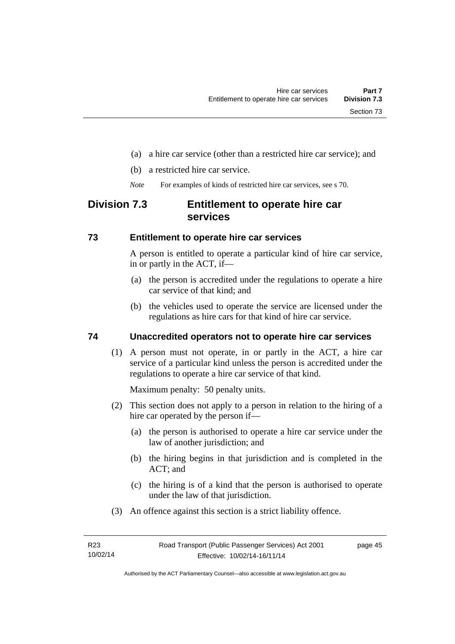- (a) a hire car service (other than a restricted hire car service); and
- (b) a restricted hire car service.
- *Note* For examples of kinds of restricted hire car services, see s 70.

## **Division 7.3 Entitlement to operate hire car services**

## **73 Entitlement to operate hire car services**

A person is entitled to operate a particular kind of hire car service, in or partly in the ACT, if—

- (a) the person is accredited under the regulations to operate a hire car service of that kind; and
- (b) the vehicles used to operate the service are licensed under the regulations as hire cars for that kind of hire car service.

## **74 Unaccredited operators not to operate hire car services**

(1) A person must not operate, in or partly in the ACT, a hire car service of a particular kind unless the person is accredited under the regulations to operate a hire car service of that kind.

Maximum penalty: 50 penalty units.

- (2) This section does not apply to a person in relation to the hiring of a hire car operated by the person if—
	- (a) the person is authorised to operate a hire car service under the law of another jurisdiction; and
	- (b) the hiring begins in that jurisdiction and is completed in the ACT; and
	- (c) the hiring is of a kind that the person is authorised to operate under the law of that jurisdiction.
- (3) An offence against this section is a strict liability offence.

page 45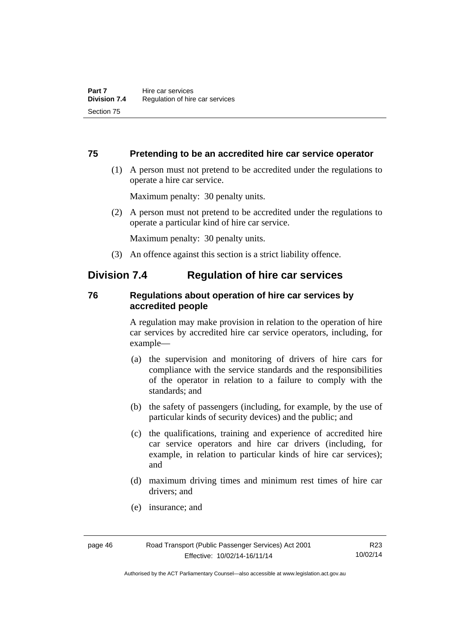## **75 Pretending to be an accredited hire car service operator**

 (1) A person must not pretend to be accredited under the regulations to operate a hire car service.

Maximum penalty: 30 penalty units.

 (2) A person must not pretend to be accredited under the regulations to operate a particular kind of hire car service.

Maximum penalty: 30 penalty units.

(3) An offence against this section is a strict liability offence.

## **Division 7.4 Regulation of hire car services**

## **76 Regulations about operation of hire car services by accredited people**

A regulation may make provision in relation to the operation of hire car services by accredited hire car service operators, including, for example—

- (a) the supervision and monitoring of drivers of hire cars for compliance with the service standards and the responsibilities of the operator in relation to a failure to comply with the standards; and
- (b) the safety of passengers (including, for example, by the use of particular kinds of security devices) and the public; and
- (c) the qualifications, training and experience of accredited hire car service operators and hire car drivers (including, for example, in relation to particular kinds of hire car services); and
- (d) maximum driving times and minimum rest times of hire car drivers; and
- (e) insurance; and

Authorised by the ACT Parliamentary Counsel—also accessible at www.legislation.act.gov.au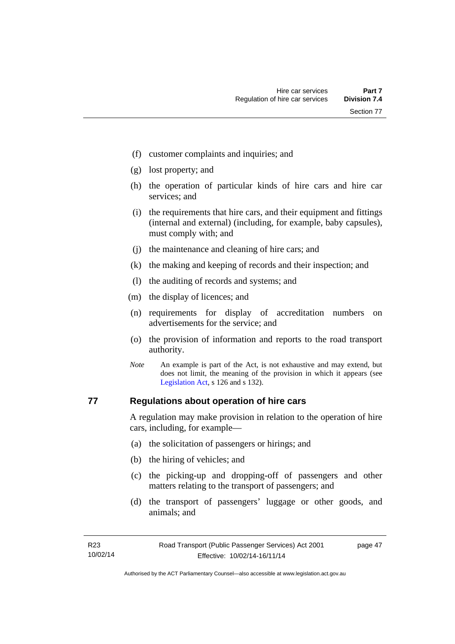- (f) customer complaints and inquiries; and
- (g) lost property; and
- (h) the operation of particular kinds of hire cars and hire car services; and
- (i) the requirements that hire cars, and their equipment and fittings (internal and external) (including, for example, baby capsules), must comply with; and
- (j) the maintenance and cleaning of hire cars; and
- (k) the making and keeping of records and their inspection; and
- (l) the auditing of records and systems; and
- (m) the display of licences; and
- (n) requirements for display of accreditation numbers on advertisements for the service; and
- (o) the provision of information and reports to the road transport authority.
- *Note* An example is part of the Act, is not exhaustive and may extend, but does not limit, the meaning of the provision in which it appears (see [Legislation Act,](http://www.legislation.act.gov.au/a/2001-14) s 126 and s 132).

## **77 Regulations about operation of hire cars**

A regulation may make provision in relation to the operation of hire cars, including, for example—

- (a) the solicitation of passengers or hirings; and
- (b) the hiring of vehicles; and
- (c) the picking-up and dropping-off of passengers and other matters relating to the transport of passengers; and
- (d) the transport of passengers' luggage or other goods, and animals; and

page 47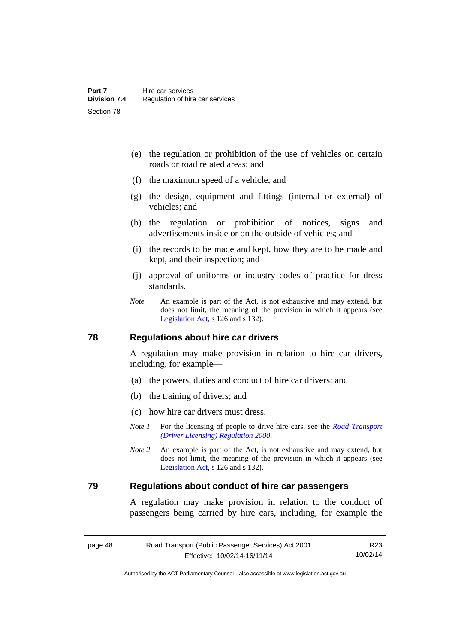- (e) the regulation or prohibition of the use of vehicles on certain roads or road related areas; and
- (f) the maximum speed of a vehicle; and
- (g) the design, equipment and fittings (internal or external) of vehicles; and
- (h) the regulation or prohibition of notices, signs and advertisements inside or on the outside of vehicles; and
- (i) the records to be made and kept, how they are to be made and kept, and their inspection; and
- (j) approval of uniforms or industry codes of practice for dress standards.
- *Note* An example is part of the Act, is not exhaustive and may extend, but does not limit, the meaning of the provision in which it appears (see [Legislation Act,](http://www.legislation.act.gov.au/a/2001-14) s 126 and s 132).

#### **78 Regulations about hire car drivers**

A regulation may make provision in relation to hire car drivers, including, for example—

- (a) the powers, duties and conduct of hire car drivers; and
- (b) the training of drivers; and
- (c) how hire car drivers must dress.
- *Note 1* For the licensing of people to drive hire cars, see the *Road Transport [\(Driver Licensing\) Regulation 2000](http://www.legislation.act.gov.au/sl/2000-14)*.
- *Note 2* An example is part of the Act, is not exhaustive and may extend, but does not limit, the meaning of the provision in which it appears (see [Legislation Act,](http://www.legislation.act.gov.au/a/2001-14) s 126 and s 132).

## **79 Regulations about conduct of hire car passengers**

A regulation may make provision in relation to the conduct of passengers being carried by hire cars, including, for example the

R23 10/02/14

Authorised by the ACT Parliamentary Counsel—also accessible at www.legislation.act.gov.au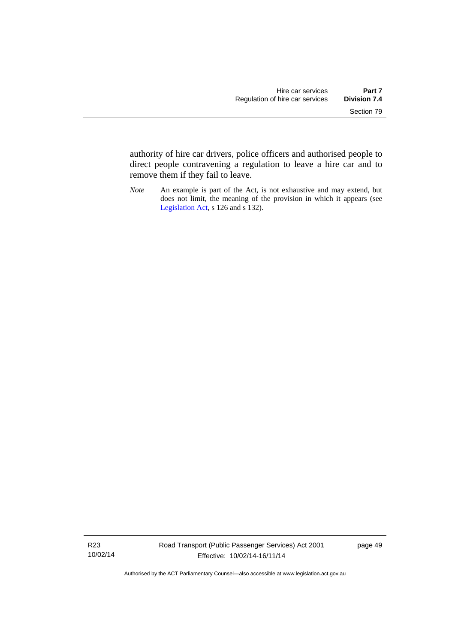authority of hire car drivers, police officers and authorised people to direct people contravening a regulation to leave a hire car and to remove them if they fail to leave.

*Note* An example is part of the Act, is not exhaustive and may extend, but does not limit, the meaning of the provision in which it appears (see [Legislation Act,](http://www.legislation.act.gov.au/a/2001-14) s 126 and s 132).

R23 10/02/14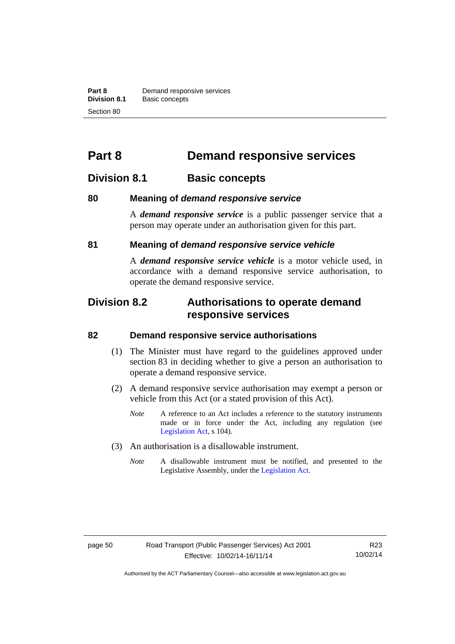**Part 8 Demand responsive services**<br>**Division 8.1 Basic concepts Division 8.1** Basic concepts Section 80

# **Part 8 Demand responsive services**

## **Division 8.1 Basic concepts**

## **80 Meaning of** *demand responsive service*

A *demand responsive service* is a public passenger service that a person may operate under an authorisation given for this part.

## **81 Meaning of** *demand responsive service vehicle*

A *demand responsive service vehicle* is a motor vehicle used, in accordance with a demand responsive service authorisation, to operate the demand responsive service.

## **Division 8.2 Authorisations to operate demand responsive services**

#### **82 Demand responsive service authorisations**

- (1) The Minister must have regard to the guidelines approved under section 83 in deciding whether to give a person an authorisation to operate a demand responsive service.
- (2) A demand responsive service authorisation may exempt a person or vehicle from this Act (or a stated provision of this Act).
	- *Note* A reference to an Act includes a reference to the statutory instruments made or in force under the Act, including any regulation (see [Legislation Act,](http://www.legislation.act.gov.au/a/2001-14) s 104).
- (3) An authorisation is a disallowable instrument.
	- *Note* A disallowable instrument must be notified, and presented to the Legislative Assembly, under the [Legislation Act.](http://www.legislation.act.gov.au/a/2001-14)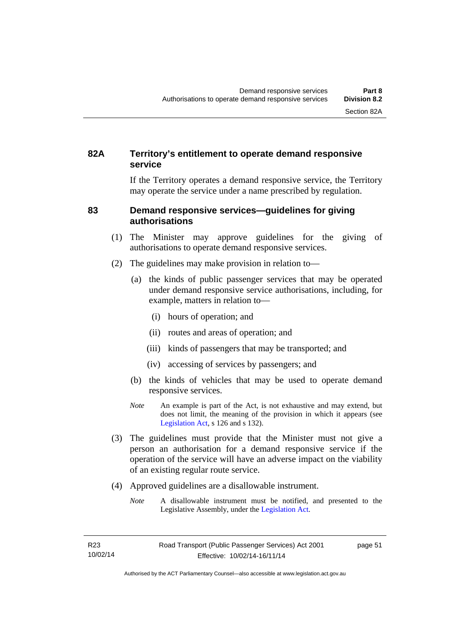## **82A Territory's entitlement to operate demand responsive service**

If the Territory operates a demand responsive service, the Territory may operate the service under a name prescribed by regulation.

#### **83 Demand responsive services—guidelines for giving authorisations**

- (1) The Minister may approve guidelines for the giving of authorisations to operate demand responsive services.
- (2) The guidelines may make provision in relation to—
	- (a) the kinds of public passenger services that may be operated under demand responsive service authorisations, including, for example, matters in relation to—
		- (i) hours of operation; and
		- (ii) routes and areas of operation; and
		- (iii) kinds of passengers that may be transported; and
		- (iv) accessing of services by passengers; and
	- (b) the kinds of vehicles that may be used to operate demand responsive services.
	- *Note* An example is part of the Act, is not exhaustive and may extend, but does not limit, the meaning of the provision in which it appears (see [Legislation Act,](http://www.legislation.act.gov.au/a/2001-14) s 126 and s 132).
- (3) The guidelines must provide that the Minister must not give a person an authorisation for a demand responsive service if the operation of the service will have an adverse impact on the viability of an existing regular route service.
- (4) Approved guidelines are a disallowable instrument.
	- *Note* A disallowable instrument must be notified, and presented to the Legislative Assembly, under the [Legislation Act.](http://www.legislation.act.gov.au/a/2001-14)

page 51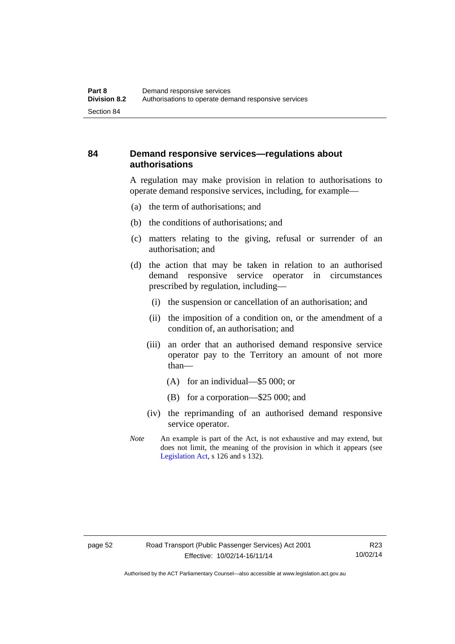## **84 Demand responsive services—regulations about authorisations**

A regulation may make provision in relation to authorisations to operate demand responsive services, including, for example—

- (a) the term of authorisations; and
- (b) the conditions of authorisations; and
- (c) matters relating to the giving, refusal or surrender of an authorisation; and
- (d) the action that may be taken in relation to an authorised demand responsive service operator in circumstances prescribed by regulation, including—
	- (i) the suspension or cancellation of an authorisation; and
	- (ii) the imposition of a condition on, or the amendment of a condition of, an authorisation; and
	- (iii) an order that an authorised demand responsive service operator pay to the Territory an amount of not more than—
		- (A) for an individual—\$5 000; or
		- (B) for a corporation—\$25 000; and
	- (iv) the reprimanding of an authorised demand responsive service operator.
- *Note* An example is part of the Act, is not exhaustive and may extend, but does not limit, the meaning of the provision in which it appears (see [Legislation Act,](http://www.legislation.act.gov.au/a/2001-14) s 126 and s 132).

R23 10/02/14

Authorised by the ACT Parliamentary Counsel—also accessible at www.legislation.act.gov.au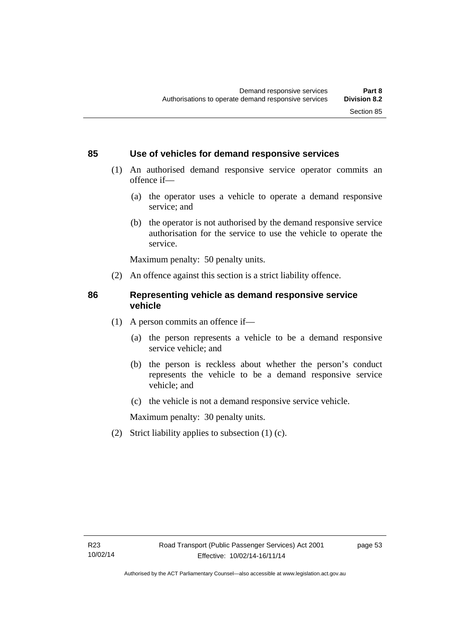## **85 Use of vehicles for demand responsive services**

- (1) An authorised demand responsive service operator commits an offence if—
	- (a) the operator uses a vehicle to operate a demand responsive service; and
	- (b) the operator is not authorised by the demand responsive service authorisation for the service to use the vehicle to operate the service.

Maximum penalty: 50 penalty units.

(2) An offence against this section is a strict liability offence.

## **86 Representing vehicle as demand responsive service vehicle**

- (1) A person commits an offence if—
	- (a) the person represents a vehicle to be a demand responsive service vehicle; and
	- (b) the person is reckless about whether the person's conduct represents the vehicle to be a demand responsive service vehicle; and
	- (c) the vehicle is not a demand responsive service vehicle.

Maximum penalty: 30 penalty units.

(2) Strict liability applies to subsection (1) (c).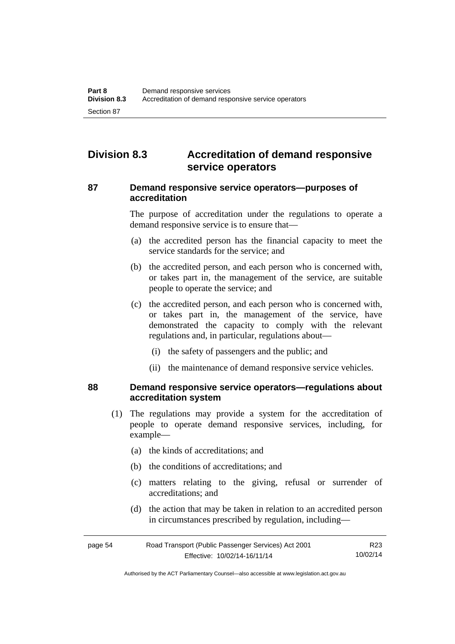## **Division 8.3 Accreditation of demand responsive service operators**

## **87 Demand responsive service operators—purposes of accreditation**

The purpose of accreditation under the regulations to operate a demand responsive service is to ensure that—

- (a) the accredited person has the financial capacity to meet the service standards for the service; and
- (b) the accredited person, and each person who is concerned with, or takes part in, the management of the service, are suitable people to operate the service; and
- (c) the accredited person, and each person who is concerned with, or takes part in, the management of the service, have demonstrated the capacity to comply with the relevant regulations and, in particular, regulations about—
	- (i) the safety of passengers and the public; and
	- (ii) the maintenance of demand responsive service vehicles.

## **88 Demand responsive service operators—regulations about accreditation system**

- (1) The regulations may provide a system for the accreditation of people to operate demand responsive services, including, for example—
	- (a) the kinds of accreditations; and
	- (b) the conditions of accreditations; and
	- (c) matters relating to the giving, refusal or surrender of accreditations; and
	- (d) the action that may be taken in relation to an accredited person in circumstances prescribed by regulation, including—

| page 54 | Road Transport (Public Passenger Services) Act 2001 | R23      |
|---------|-----------------------------------------------------|----------|
|         | Effective: 10/02/14-16/11/14                        | 10/02/14 |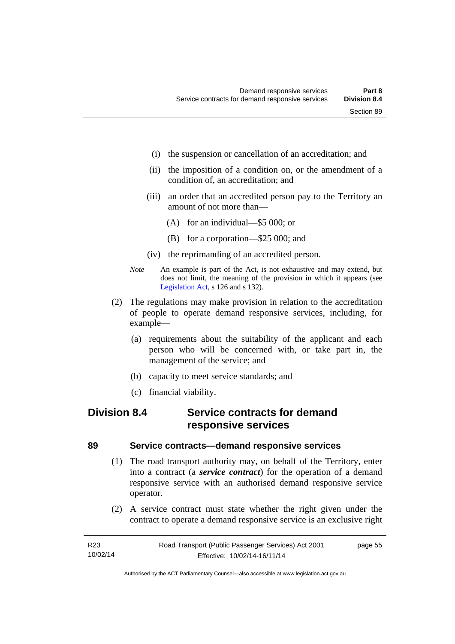- (i) the suspension or cancellation of an accreditation; and
- (ii) the imposition of a condition on, or the amendment of a condition of, an accreditation; and
- (iii) an order that an accredited person pay to the Territory an amount of not more than—
	- (A) for an individual—\$5 000; or
	- (B) for a corporation—\$25 000; and
- (iv) the reprimanding of an accredited person.
- *Note* An example is part of the Act, is not exhaustive and may extend, but does not limit, the meaning of the provision in which it appears (see [Legislation Act,](http://www.legislation.act.gov.au/a/2001-14) s 126 and s 132).
- (2) The regulations may make provision in relation to the accreditation of people to operate demand responsive services, including, for example—
	- (a) requirements about the suitability of the applicant and each person who will be concerned with, or take part in, the management of the service; and
	- (b) capacity to meet service standards; and
	- (c) financial viability.

## **Division 8.4 Service contracts for demand responsive services**

## **89 Service contracts—demand responsive services**

- (1) The road transport authority may, on behalf of the Territory, enter into a contract (a *service contract*) for the operation of a demand responsive service with an authorised demand responsive service operator.
- (2) A service contract must state whether the right given under the contract to operate a demand responsive service is an exclusive right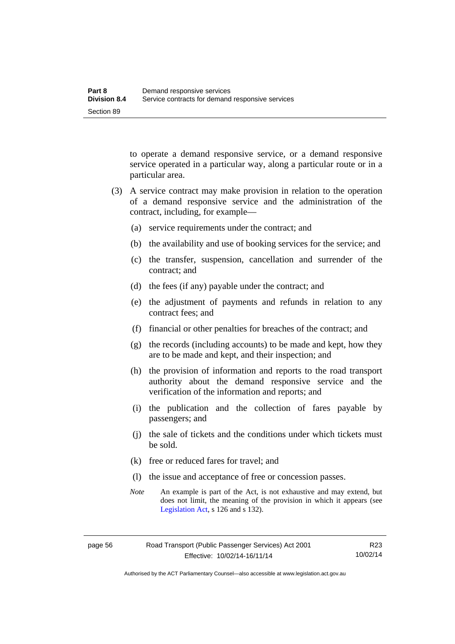to operate a demand responsive service, or a demand responsive service operated in a particular way, along a particular route or in a particular area.

- (3) A service contract may make provision in relation to the operation of a demand responsive service and the administration of the contract, including, for example—
	- (a) service requirements under the contract; and
	- (b) the availability and use of booking services for the service; and
	- (c) the transfer, suspension, cancellation and surrender of the contract; and
	- (d) the fees (if any) payable under the contract; and
	- (e) the adjustment of payments and refunds in relation to any contract fees; and
	- (f) financial or other penalties for breaches of the contract; and
	- (g) the records (including accounts) to be made and kept, how they are to be made and kept, and their inspection; and
	- (h) the provision of information and reports to the road transport authority about the demand responsive service and the verification of the information and reports; and
	- (i) the publication and the collection of fares payable by passengers; and
	- (j) the sale of tickets and the conditions under which tickets must be sold.
	- (k) free or reduced fares for travel; and
	- (l) the issue and acceptance of free or concession passes.
	- *Note* An example is part of the Act, is not exhaustive and may extend, but does not limit, the meaning of the provision in which it appears (see [Legislation Act,](http://www.legislation.act.gov.au/a/2001-14) s 126 and s 132).

Authorised by the ACT Parliamentary Counsel—also accessible at www.legislation.act.gov.au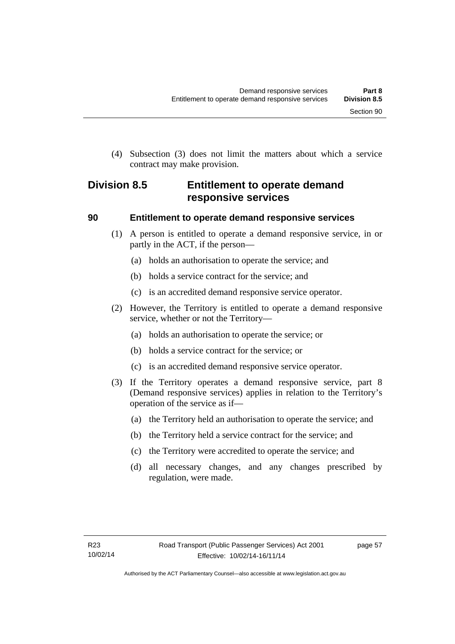(4) Subsection (3) does not limit the matters about which a service contract may make provision.

## **Division 8.5 Entitlement to operate demand responsive services**

## **90 Entitlement to operate demand responsive services**

- (1) A person is entitled to operate a demand responsive service, in or partly in the ACT, if the person—
	- (a) holds an authorisation to operate the service; and
	- (b) holds a service contract for the service; and
	- (c) is an accredited demand responsive service operator.
- (2) However, the Territory is entitled to operate a demand responsive service, whether or not the Territory—
	- (a) holds an authorisation to operate the service; or
	- (b) holds a service contract for the service; or
	- (c) is an accredited demand responsive service operator.
- (3) If the Territory operates a demand responsive service, part 8 (Demand responsive services) applies in relation to the Territory's operation of the service as if—
	- (a) the Territory held an authorisation to operate the service; and
	- (b) the Territory held a service contract for the service; and
	- (c) the Territory were accredited to operate the service; and
	- (d) all necessary changes, and any changes prescribed by regulation, were made.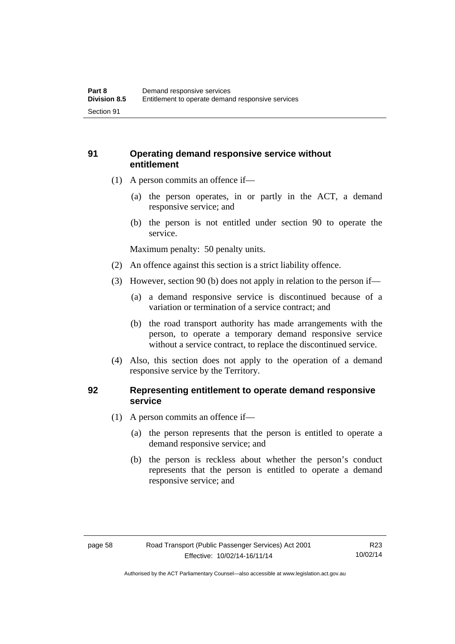## **91 Operating demand responsive service without entitlement**

- (1) A person commits an offence if—
	- (a) the person operates, in or partly in the ACT, a demand responsive service; and
	- (b) the person is not entitled under section 90 to operate the service.

Maximum penalty: 50 penalty units.

- (2) An offence against this section is a strict liability offence.
- (3) However, section 90 (b) does not apply in relation to the person if—
	- (a) a demand responsive service is discontinued because of a variation or termination of a service contract; and
	- (b) the road transport authority has made arrangements with the person, to operate a temporary demand responsive service without a service contract, to replace the discontinued service.
- (4) Also, this section does not apply to the operation of a demand responsive service by the Territory.

## **92 Representing entitlement to operate demand responsive service**

- (1) A person commits an offence if—
	- (a) the person represents that the person is entitled to operate a demand responsive service; and
	- (b) the person is reckless about whether the person's conduct represents that the person is entitled to operate a demand responsive service; and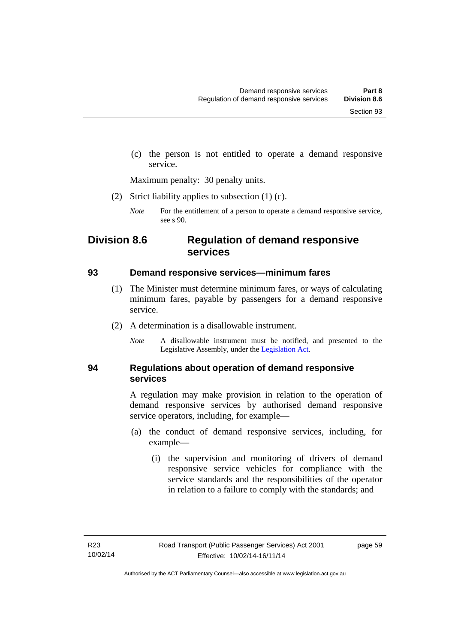(c) the person is not entitled to operate a demand responsive service.

Maximum penalty: 30 penalty units.

(2) Strict liability applies to subsection (1) (c).

## **Division 8.6 Regulation of demand responsive services**

## **93 Demand responsive services—minimum fares**

- (1) The Minister must determine minimum fares, or ways of calculating minimum fares, payable by passengers for a demand responsive service.
- (2) A determination is a disallowable instrument.
	- *Note* A disallowable instrument must be notified, and presented to the Legislative Assembly, under the [Legislation Act.](http://www.legislation.act.gov.au/a/2001-14)

## **94 Regulations about operation of demand responsive services**

A regulation may make provision in relation to the operation of demand responsive services by authorised demand responsive service operators, including, for example—

- (a) the conduct of demand responsive services, including, for example—
	- (i) the supervision and monitoring of drivers of demand responsive service vehicles for compliance with the service standards and the responsibilities of the operator in relation to a failure to comply with the standards; and

*Note* For the entitlement of a person to operate a demand responsive service, see s 90.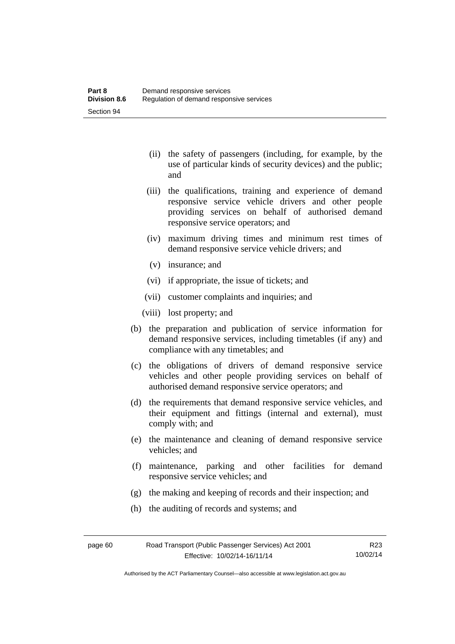- (ii) the safety of passengers (including, for example, by the use of particular kinds of security devices) and the public; and
- (iii) the qualifications, training and experience of demand responsive service vehicle drivers and other people providing services on behalf of authorised demand responsive service operators; and
- (iv) maximum driving times and minimum rest times of demand responsive service vehicle drivers; and
- (v) insurance; and
- (vi) if appropriate, the issue of tickets; and
- (vii) customer complaints and inquiries; and
- (viii) lost property; and
- (b) the preparation and publication of service information for demand responsive services, including timetables (if any) and compliance with any timetables; and
- (c) the obligations of drivers of demand responsive service vehicles and other people providing services on behalf of authorised demand responsive service operators; and
- (d) the requirements that demand responsive service vehicles, and their equipment and fittings (internal and external), must comply with; and
- (e) the maintenance and cleaning of demand responsive service vehicles; and
- (f) maintenance, parking and other facilities for demand responsive service vehicles; and
- (g) the making and keeping of records and their inspection; and
- (h) the auditing of records and systems; and

Authorised by the ACT Parliamentary Counsel—also accessible at www.legislation.act.gov.au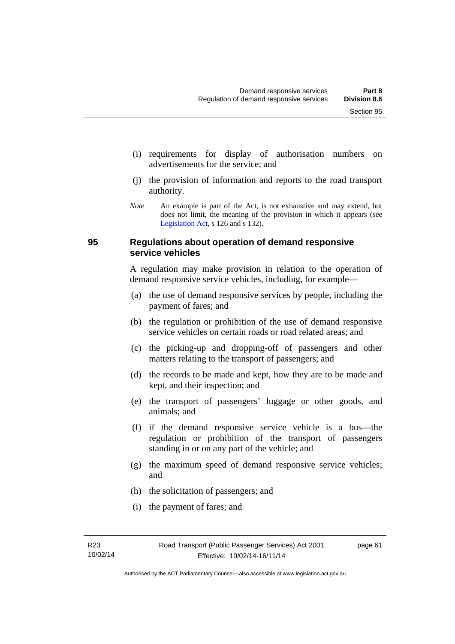- (i) requirements for display of authorisation numbers on advertisements for the service; and
- (j) the provision of information and reports to the road transport authority.
- *Note* An example is part of the Act, is not exhaustive and may extend, but does not limit, the meaning of the provision in which it appears (see [Legislation Act,](http://www.legislation.act.gov.au/a/2001-14) s 126 and s 132).

## **95 Regulations about operation of demand responsive service vehicles**

A regulation may make provision in relation to the operation of demand responsive service vehicles, including, for example—

- (a) the use of demand responsive services by people, including the payment of fares; and
- (b) the regulation or prohibition of the use of demand responsive service vehicles on certain roads or road related areas; and
- (c) the picking-up and dropping-off of passengers and other matters relating to the transport of passengers; and
- (d) the records to be made and kept, how they are to be made and kept, and their inspection; and
- (e) the transport of passengers' luggage or other goods, and animals; and
- (f) if the demand responsive service vehicle is a bus—the regulation or prohibition of the transport of passengers standing in or on any part of the vehicle; and
- (g) the maximum speed of demand responsive service vehicles; and
- (h) the solicitation of passengers; and
- (i) the payment of fares; and

page 61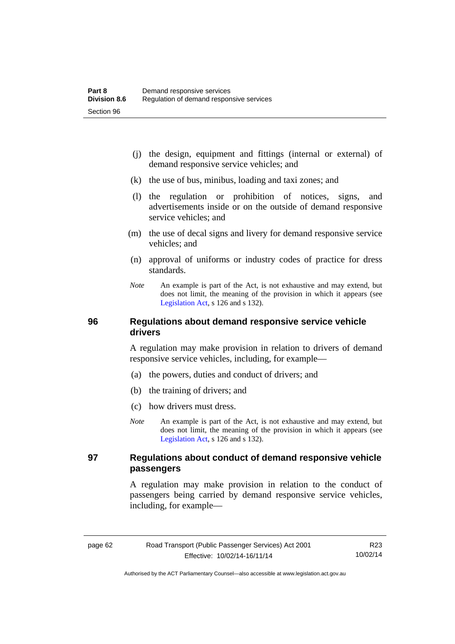- (j) the design, equipment and fittings (internal or external) of demand responsive service vehicles; and
- (k) the use of bus, minibus, loading and taxi zones; and
- (l) the regulation or prohibition of notices, signs, and advertisements inside or on the outside of demand responsive service vehicles; and
- (m) the use of decal signs and livery for demand responsive service vehicles; and
- (n) approval of uniforms or industry codes of practice for dress standards.
- *Note* An example is part of the Act, is not exhaustive and may extend, but does not limit, the meaning of the provision in which it appears (see [Legislation Act,](http://www.legislation.act.gov.au/a/2001-14) s 126 and s 132).

## **96 Regulations about demand responsive service vehicle drivers**

A regulation may make provision in relation to drivers of demand responsive service vehicles, including, for example—

- (a) the powers, duties and conduct of drivers; and
- (b) the training of drivers; and
- (c) how drivers must dress.
- *Note* An example is part of the Act, is not exhaustive and may extend, but does not limit, the meaning of the provision in which it appears (see [Legislation Act,](http://www.legislation.act.gov.au/a/2001-14) s 126 and s 132).

## **97 Regulations about conduct of demand responsive vehicle passengers**

A regulation may make provision in relation to the conduct of passengers being carried by demand responsive service vehicles, including, for example—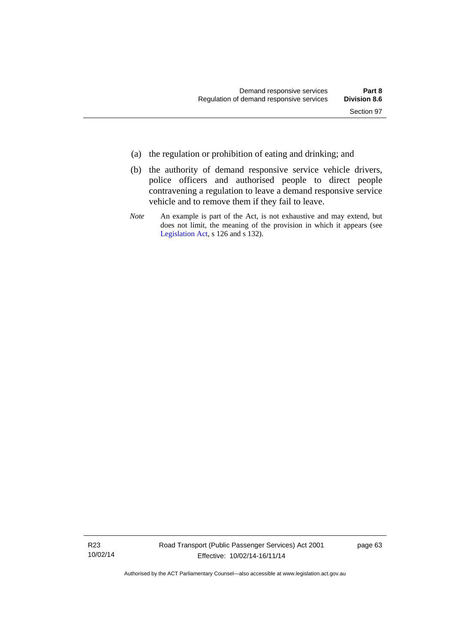- (a) the regulation or prohibition of eating and drinking; and
- (b) the authority of demand responsive service vehicle drivers, police officers and authorised people to direct people contravening a regulation to leave a demand responsive service vehicle and to remove them if they fail to leave.
- *Note* An example is part of the Act, is not exhaustive and may extend, but does not limit, the meaning of the provision in which it appears (see [Legislation Act,](http://www.legislation.act.gov.au/a/2001-14) s 126 and s 132).

R23 10/02/14 page 63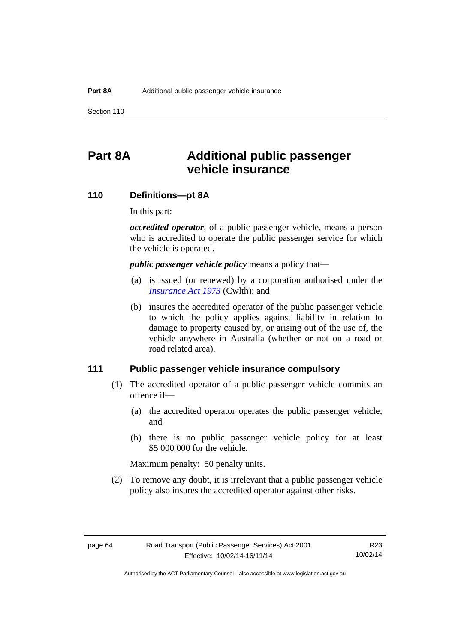Section 110

# **Part 8A Additional public passenger vehicle insurance**

## **110 Definitions—pt 8A**

In this part:

*accredited operator*, of a public passenger vehicle, means a person who is accredited to operate the public passenger service for which the vehicle is operated.

*public passenger vehicle policy* means a policy that—

- (a) is issued (or renewed) by a corporation authorised under the *[Insurance Act 1973](http://www.comlaw.gov.au/Details/C2013C00019)* (Cwlth); and
- (b) insures the accredited operator of the public passenger vehicle to which the policy applies against liability in relation to damage to property caused by, or arising out of the use of, the vehicle anywhere in Australia (whether or not on a road or road related area).

## **111 Public passenger vehicle insurance compulsory**

- (1) The accredited operator of a public passenger vehicle commits an offence if—
	- (a) the accredited operator operates the public passenger vehicle; and
	- (b) there is no public passenger vehicle policy for at least \$5 000 000 for the vehicle.

Maximum penalty: 50 penalty units.

 (2) To remove any doubt, it is irrelevant that a public passenger vehicle policy also insures the accredited operator against other risks.

R23 10/02/14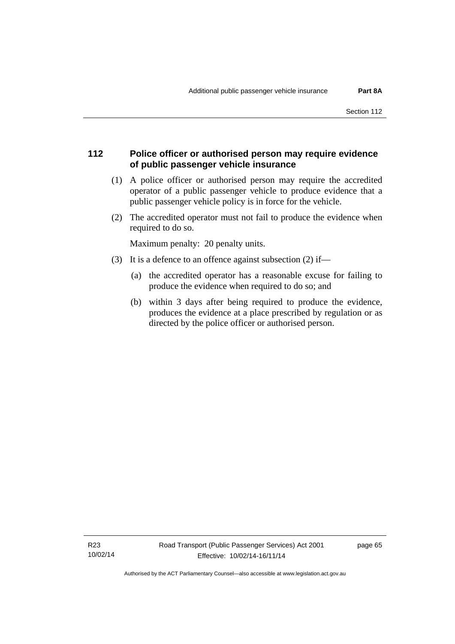### **112 Police officer or authorised person may require evidence of public passenger vehicle insurance**

- (1) A police officer or authorised person may require the accredited operator of a public passenger vehicle to produce evidence that a public passenger vehicle policy is in force for the vehicle.
- (2) The accredited operator must not fail to produce the evidence when required to do so.

Maximum penalty: 20 penalty units.

- (3) It is a defence to an offence against subsection (2) if—
	- (a) the accredited operator has a reasonable excuse for failing to produce the evidence when required to do so; and
	- (b) within 3 days after being required to produce the evidence, produces the evidence at a place prescribed by regulation or as directed by the police officer or authorised person.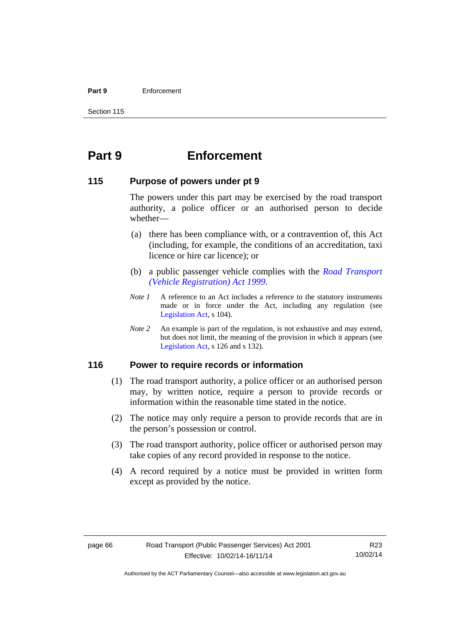#### **Part 9** Enforcement

Section 115

# **Part 9 Enforcement**

### **115 Purpose of powers under pt 9**

The powers under this part may be exercised by the road transport authority, a police officer or an authorised person to decide whether—

- (a) there has been compliance with, or a contravention of, this Act (including, for example, the conditions of an accreditation, taxi licence or hire car licence); or
- (b) a public passenger vehicle complies with the *[Road Transport](http://www.legislation.act.gov.au/a/1999-81)  [\(Vehicle Registration\) Act 1999](http://www.legislation.act.gov.au/a/1999-81)*.
- *Note 1* A reference to an Act includes a reference to the statutory instruments made or in force under the Act, including any regulation (see [Legislation Act,](http://www.legislation.act.gov.au/a/2001-14) s 104).
- *Note 2* An example is part of the regulation, is not exhaustive and may extend, but does not limit, the meaning of the provision in which it appears (see [Legislation Act,](http://www.legislation.act.gov.au/a/2001-14) s 126 and s 132).

### **116 Power to require records or information**

- (1) The road transport authority, a police officer or an authorised person may, by written notice, require a person to provide records or information within the reasonable time stated in the notice.
- (2) The notice may only require a person to provide records that are in the person's possession or control.
- (3) The road transport authority, police officer or authorised person may take copies of any record provided in response to the notice.
- (4) A record required by a notice must be provided in written form except as provided by the notice.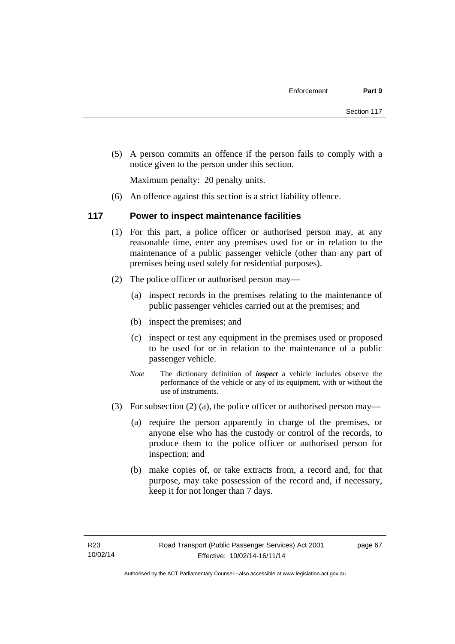(5) A person commits an offence if the person fails to comply with a notice given to the person under this section.

Maximum penalty: 20 penalty units.

(6) An offence against this section is a strict liability offence.

### **117 Power to inspect maintenance facilities**

- (1) For this part, a police officer or authorised person may, at any reasonable time, enter any premises used for or in relation to the maintenance of a public passenger vehicle (other than any part of premises being used solely for residential purposes).
- (2) The police officer or authorised person may—
	- (a) inspect records in the premises relating to the maintenance of public passenger vehicles carried out at the premises; and
	- (b) inspect the premises; and
	- (c) inspect or test any equipment in the premises used or proposed to be used for or in relation to the maintenance of a public passenger vehicle.
	- *Note* The dictionary definition of *inspect* a vehicle includes observe the performance of the vehicle or any of its equipment, with or without the use of instruments.
- (3) For subsection (2) (a), the police officer or authorised person may—
	- (a) require the person apparently in charge of the premises, or anyone else who has the custody or control of the records, to produce them to the police officer or authorised person for inspection; and
	- (b) make copies of, or take extracts from, a record and, for that purpose, may take possession of the record and, if necessary, keep it for not longer than 7 days.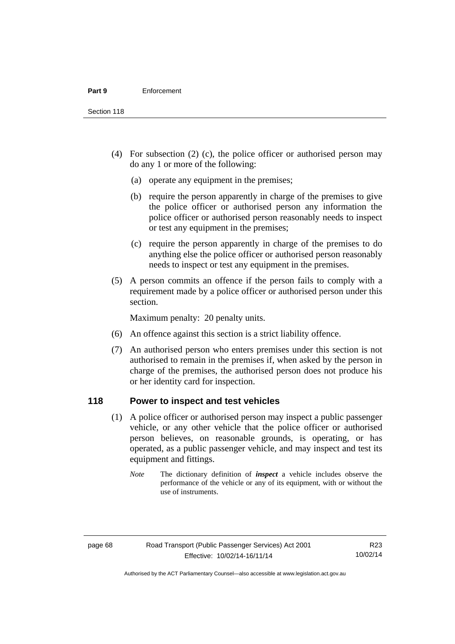- (4) For subsection (2) (c), the police officer or authorised person may do any 1 or more of the following:
	- (a) operate any equipment in the premises;
	- (b) require the person apparently in charge of the premises to give the police officer or authorised person any information the police officer or authorised person reasonably needs to inspect or test any equipment in the premises;
	- (c) require the person apparently in charge of the premises to do anything else the police officer or authorised person reasonably needs to inspect or test any equipment in the premises.
- (5) A person commits an offence if the person fails to comply with a requirement made by a police officer or authorised person under this section.

Maximum penalty: 20 penalty units.

- (6) An offence against this section is a strict liability offence.
- (7) An authorised person who enters premises under this section is not authorised to remain in the premises if, when asked by the person in charge of the premises, the authorised person does not produce his or her identity card for inspection.

### **118 Power to inspect and test vehicles**

- (1) A police officer or authorised person may inspect a public passenger vehicle, or any other vehicle that the police officer or authorised person believes, on reasonable grounds, is operating, or has operated, as a public passenger vehicle, and may inspect and test its equipment and fittings.
	- *Note* The dictionary definition of *inspect* a vehicle includes observe the performance of the vehicle or any of its equipment, with or without the use of instruments.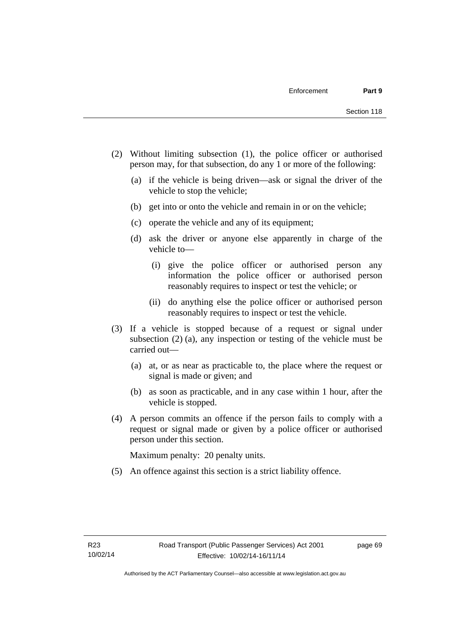- (2) Without limiting subsection (1), the police officer or authorised person may, for that subsection, do any 1 or more of the following:
	- (a) if the vehicle is being driven—ask or signal the driver of the vehicle to stop the vehicle;
	- (b) get into or onto the vehicle and remain in or on the vehicle;
	- (c) operate the vehicle and any of its equipment;
	- (d) ask the driver or anyone else apparently in charge of the vehicle to—
		- (i) give the police officer or authorised person any information the police officer or authorised person reasonably requires to inspect or test the vehicle; or
		- (ii) do anything else the police officer or authorised person reasonably requires to inspect or test the vehicle.
- (3) If a vehicle is stopped because of a request or signal under subsection (2) (a), any inspection or testing of the vehicle must be carried out—
	- (a) at, or as near as practicable to, the place where the request or signal is made or given; and
	- (b) as soon as practicable, and in any case within 1 hour, after the vehicle is stopped.
- (4) A person commits an offence if the person fails to comply with a request or signal made or given by a police officer or authorised person under this section.

Maximum penalty: 20 penalty units.

(5) An offence against this section is a strict liability offence.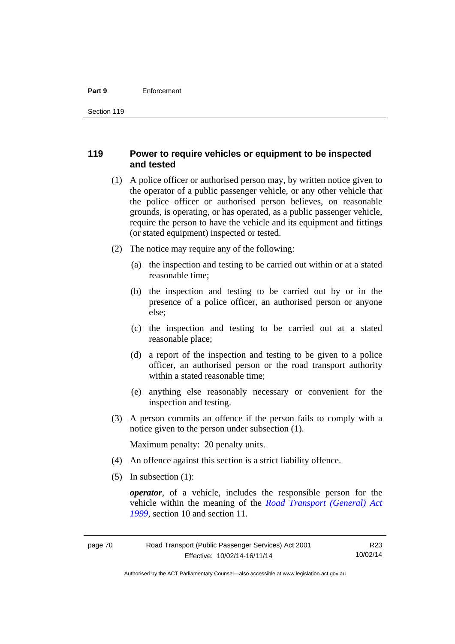#### **Part 9** Enforcement

### **119 Power to require vehicles or equipment to be inspected and tested**

- (1) A police officer or authorised person may, by written notice given to the operator of a public passenger vehicle, or any other vehicle that the police officer or authorised person believes, on reasonable grounds, is operating, or has operated, as a public passenger vehicle, require the person to have the vehicle and its equipment and fittings (or stated equipment) inspected or tested.
- (2) The notice may require any of the following:
	- (a) the inspection and testing to be carried out within or at a stated reasonable time;
	- (b) the inspection and testing to be carried out by or in the presence of a police officer, an authorised person or anyone else;
	- (c) the inspection and testing to be carried out at a stated reasonable place;
	- (d) a report of the inspection and testing to be given to a police officer, an authorised person or the road transport authority within a stated reasonable time;
	- (e) anything else reasonably necessary or convenient for the inspection and testing.
- (3) A person commits an offence if the person fails to comply with a notice given to the person under subsection (1).

Maximum penalty: 20 penalty units.

- (4) An offence against this section is a strict liability offence.
- (5) In subsection (1):

*operator*, of a vehicle, includes the responsible person for the vehicle within the meaning of the *[Road Transport \(General\) Act](http://www.legislation.act.gov.au/a/1999-77)  [1999](http://www.legislation.act.gov.au/a/1999-77)*, section 10 and section 11.

R23 10/02/14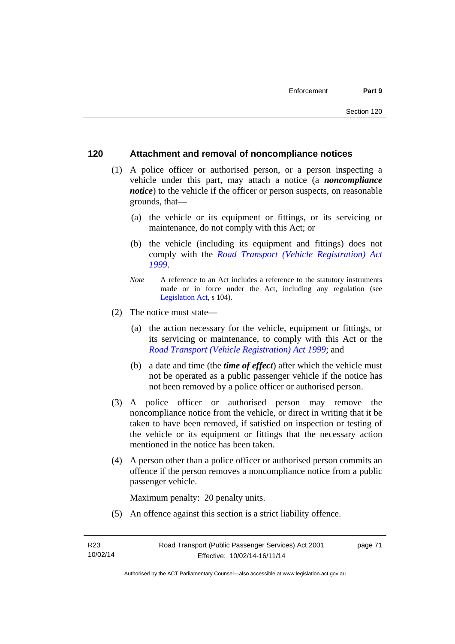### **120 Attachment and removal of noncompliance notices**

- (1) A police officer or authorised person, or a person inspecting a vehicle under this part, may attach a notice (a *noncompliance notice*) to the vehicle if the officer or person suspects, on reasonable grounds, that—
	- (a) the vehicle or its equipment or fittings, or its servicing or maintenance, do not comply with this Act; or
	- (b) the vehicle (including its equipment and fittings) does not comply with the *[Road Transport \(Vehicle Registration\) Act](http://www.legislation.act.gov.au/a/1999-81)  [1999](http://www.legislation.act.gov.au/a/1999-81)*.
	- *Note* A reference to an Act includes a reference to the statutory instruments made or in force under the Act, including any regulation (see [Legislation Act,](http://www.legislation.act.gov.au/a/2001-14) s 104).
- (2) The notice must state—
	- (a) the action necessary for the vehicle, equipment or fittings, or its servicing or maintenance, to comply with this Act or the *[Road Transport \(Vehicle Registration\) Act 1999](http://www.legislation.act.gov.au/a/1999-81)*; and
	- (b) a date and time (the *time of effect*) after which the vehicle must not be operated as a public passenger vehicle if the notice has not been removed by a police officer or authorised person.
- (3) A police officer or authorised person may remove the noncompliance notice from the vehicle, or direct in writing that it be taken to have been removed, if satisfied on inspection or testing of the vehicle or its equipment or fittings that the necessary action mentioned in the notice has been taken.
- (4) A person other than a police officer or authorised person commits an offence if the person removes a noncompliance notice from a public passenger vehicle.

Maximum penalty: 20 penalty units.

(5) An offence against this section is a strict liability offence.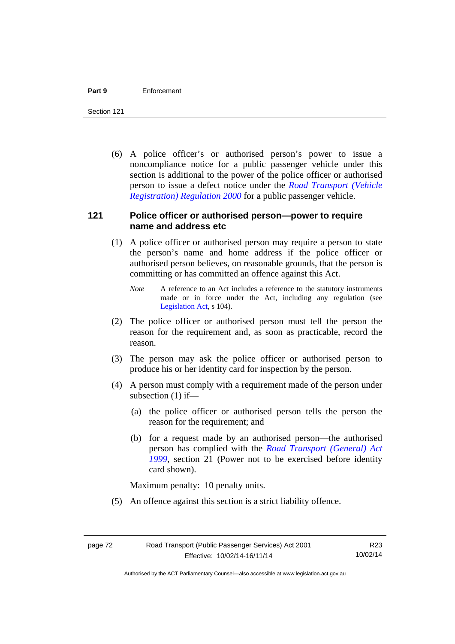#### **Part 9** Enforcement

Section 121

 (6) A police officer's or authorised person's power to issue a noncompliance notice for a public passenger vehicle under this section is additional to the power of the police officer or authorised person to issue a defect notice under the *[Road Transport \(Vehicle](http://www.legislation.act.gov.au/sl/2000-12)  [Registration\) Regulation 2000](http://www.legislation.act.gov.au/sl/2000-12)* for a public passenger vehicle.

### **121 Police officer or authorised person—power to require name and address etc**

- (1) A police officer or authorised person may require a person to state the person's name and home address if the police officer or authorised person believes, on reasonable grounds, that the person is committing or has committed an offence against this Act.
	- *Note* A reference to an Act includes a reference to the statutory instruments made or in force under the Act, including any regulation (see [Legislation Act,](http://www.legislation.act.gov.au/a/2001-14) s 104).
- (2) The police officer or authorised person must tell the person the reason for the requirement and, as soon as practicable, record the reason.
- (3) The person may ask the police officer or authorised person to produce his or her identity card for inspection by the person.
- (4) A person must comply with a requirement made of the person under subsection (1) if—
	- (a) the police officer or authorised person tells the person the reason for the requirement; and
	- (b) for a request made by an authorised person—the authorised person has complied with the *[Road Transport \(General\) Act](http://www.legislation.act.gov.au/a/1999-77)  [1999](http://www.legislation.act.gov.au/a/1999-77)*, section 21 (Power not to be exercised before identity card shown).

Maximum penalty: 10 penalty units.

(5) An offence against this section is a strict liability offence.

Authorised by the ACT Parliamentary Counsel—also accessible at www.legislation.act.gov.au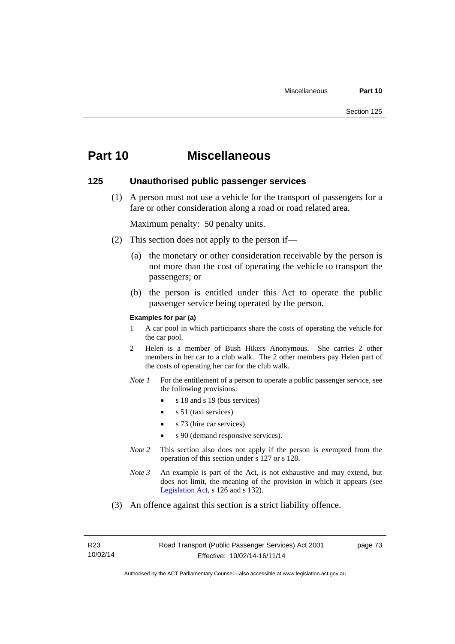# **Part 10 Miscellaneous**

### **125 Unauthorised public passenger services**

 (1) A person must not use a vehicle for the transport of passengers for a fare or other consideration along a road or road related area.

Maximum penalty: 50 penalty units.

- (2) This section does not apply to the person if—
	- (a) the monetary or other consideration receivable by the person is not more than the cost of operating the vehicle to transport the passengers; or
	- (b) the person is entitled under this Act to operate the public passenger service being operated by the person.

#### **Examples for par (a)**

- 1 A car pool in which participants share the costs of operating the vehicle for the car pool.
- 2 Helen is a member of Bush Hikers Anonymous. She carries 2 other members in her car to a club walk. The 2 other members pay Helen part of the costs of operating her car for the club walk.
- *Note 1* For the entitlement of a person to operate a public passenger service, see the following provisions:
	- $\bullet$  s 18 and s 19 (bus services)
	- s 51 (taxi services)
	- s 73 (hire car services)
	- s 90 (demand responsive services).
- *Note* 2 This section also does not apply if the person is exempted from the operation of this section under s 127 or s 128.
- *Note 3* An example is part of the Act, is not exhaustive and may extend, but does not limit, the meaning of the provision in which it appears (see [Legislation Act,](http://www.legislation.act.gov.au/a/2001-14) s 126 and s 132).
- (3) An offence against this section is a strict liability offence.

R23 10/02/14 page 73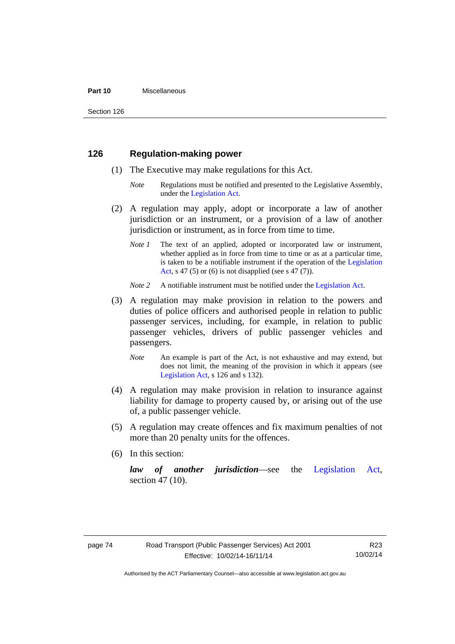#### **Part 10** Miscellaneous

Section 126

### **126 Regulation-making power**

- (1) The Executive may make regulations for this Act.
	- *Note* Regulations must be notified and presented to the Legislative Assembly, under the [Legislation Act.](http://www.legislation.act.gov.au/a/2001-14)
- (2) A regulation may apply, adopt or incorporate a law of another jurisdiction or an instrument, or a provision of a law of another jurisdiction or instrument, as in force from time to time.
	- *Note 1* The text of an applied, adopted or incorporated law or instrument, whether applied as in force from time to time or as at a particular time, is taken to be a notifiable instrument if the operation of the [Legislation](http://www.legislation.act.gov.au/a/2001-14)  [Act](http://www.legislation.act.gov.au/a/2001-14), s 47 (5) or (6) is not disapplied (see s 47 (7)).
	- *Note 2* A notifiable instrument must be notified under the [Legislation Act](http://www.legislation.act.gov.au/a/2001-14).
- (3) A regulation may make provision in relation to the powers and duties of police officers and authorised people in relation to public passenger services, including, for example, in relation to public passenger vehicles, drivers of public passenger vehicles and passengers.
	- *Note* An example is part of the Act, is not exhaustive and may extend, but does not limit, the meaning of the provision in which it appears (see [Legislation Act,](http://www.legislation.act.gov.au/a/2001-14) s 126 and s 132).
- (4) A regulation may make provision in relation to insurance against liability for damage to property caused by, or arising out of the use of, a public passenger vehicle.
- (5) A regulation may create offences and fix maximum penalties of not more than 20 penalty units for the offences.
- (6) In this section:

*law of another jurisdiction*—see the [Legislation Act](http://www.legislation.act.gov.au/a/2001-14), section 47 (10).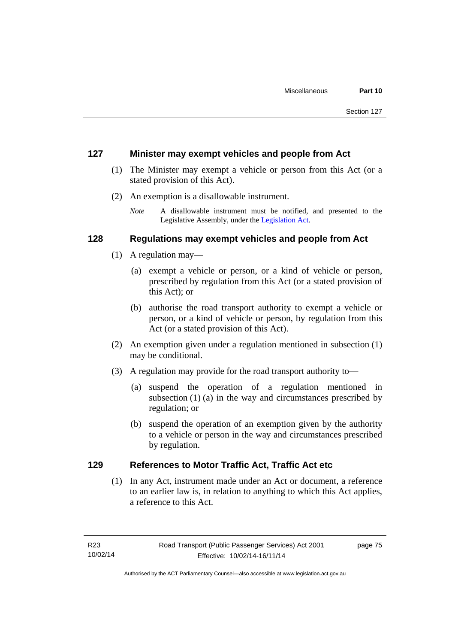### **127 Minister may exempt vehicles and people from Act**

- (1) The Minister may exempt a vehicle or person from this Act (or a stated provision of this Act).
- (2) An exemption is a disallowable instrument.
	- *Note* A disallowable instrument must be notified, and presented to the Legislative Assembly, under the [Legislation Act.](http://www.legislation.act.gov.au/a/2001-14)

### **128 Regulations may exempt vehicles and people from Act**

- (1) A regulation may—
	- (a) exempt a vehicle or person, or a kind of vehicle or person, prescribed by regulation from this Act (or a stated provision of this Act); or
	- (b) authorise the road transport authority to exempt a vehicle or person, or a kind of vehicle or person, by regulation from this Act (or a stated provision of this Act).
- (2) An exemption given under a regulation mentioned in subsection (1) may be conditional.
- (3) A regulation may provide for the road transport authority to—
	- (a) suspend the operation of a regulation mentioned in subsection (1) (a) in the way and circumstances prescribed by regulation; or
	- (b) suspend the operation of an exemption given by the authority to a vehicle or person in the way and circumstances prescribed by regulation.

### **129 References to Motor Traffic Act, Traffic Act etc**

(1) In any Act, instrument made under an Act or document, a reference to an earlier law is, in relation to anything to which this Act applies, a reference to this Act.

page 75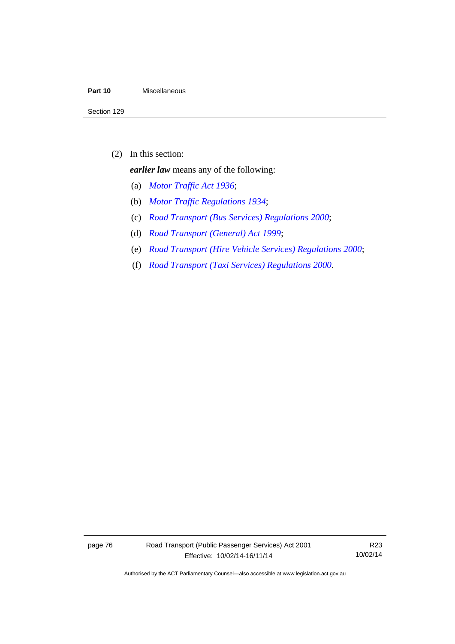#### **Part 10** Miscellaneous

(2) In this section:

*earlier law* means any of the following:

- (a) *[Motor Traffic Act 1936](http://www.legislation.act.gov.au/a/1936-45)*;
- (b) *[Motor Traffic Regulations 1934](http://www.legislation.act.gov.au/sl/1934-6)*;
- (c) *[Road Transport \(Bus Services\) Regulations 2000](http://www.legislation.act.gov.au/sl/2000-9)*;
- (d) *[Road Transport \(General\) Act 1999](http://www.legislation.act.gov.au/a/1999-77)*;
- (e) *[Road Transport \(Hire Vehicle Services\) Regulations 2000](http://www.legislation.act.gov.au/sl/2000-4)*;
- (f) *[Road Transport \(Taxi Services\) Regulations 2000](http://www.legislation.act.gov.au/sl/2000-5)*.

page 76 Road Transport (Public Passenger Services) Act 2001 Effective: 10/02/14-16/11/14

R23 10/02/14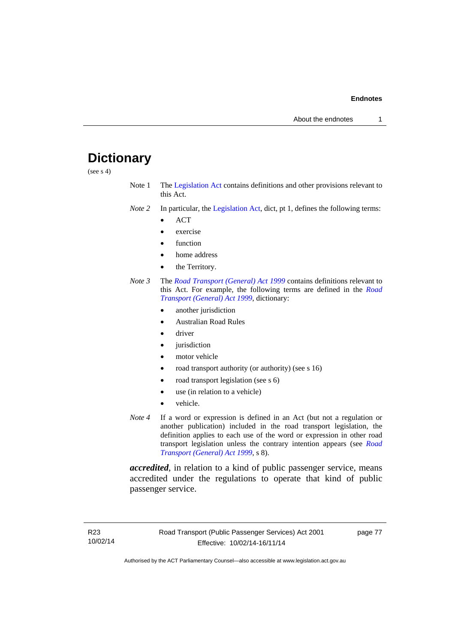# **Dictionary**

(see s 4)

- Note 1 The [Legislation Act](http://www.legislation.act.gov.au/a/2001-14) contains definitions and other provisions relevant to this Act.
- *Note 2* In particular, the [Legislation Act,](http://www.legislation.act.gov.au/a/2001-14) dict, pt 1, defines the following terms:
	- ACT
	- exercise
	- function
	- home address
	- the Territory.
- *Note 3* The *[Road Transport \(General\) Act 1999](http://www.legislation.act.gov.au/a/1999-77)* contains definitions relevant to this Act. For example, the following terms are defined in the *[Road](http://www.legislation.act.gov.au/a/1999-77)  [Transport \(General\) Act 1999](http://www.legislation.act.gov.au/a/1999-77)*, dictionary:
	- another jurisdiction
	- Australian Road Rules
	- driver
	- jurisdiction
	- motor vehicle
	- road transport authority (or authority) (see s 16)
	- road transport legislation (see s 6)
	- use (in relation to a vehicle)
	- vehicle.
- *Note 4* If a word or expression is defined in an Act (but not a regulation or another publication) included in the road transport legislation, the definition applies to each use of the word or expression in other road transport legislation unless the contrary intention appears (see *[Road](http://www.legislation.act.gov.au/a/1999-77)  [Transport \(General\) Act 1999](http://www.legislation.act.gov.au/a/1999-77)*, s 8).

*accredited*, in relation to a kind of public passenger service, means accredited under the regulations to operate that kind of public passenger service.

page 77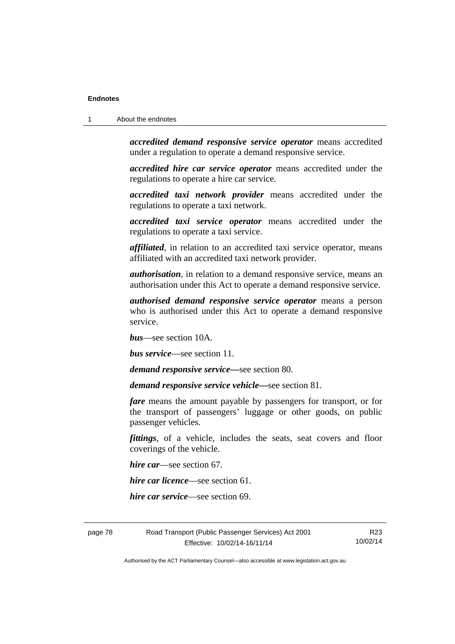#### 1 About the endnotes

*accredited demand responsive service operator* means accredited under a regulation to operate a demand responsive service.

*accredited hire car service operator* means accredited under the regulations to operate a hire car service.

*accredited taxi network provider* means accredited under the regulations to operate a taxi network.

*accredited taxi service operator* means accredited under the regulations to operate a taxi service.

*affiliated*, in relation to an accredited taxi service operator, means affiliated with an accredited taxi network provider.

*authorisation*, in relation to a demand responsive service, means an authorisation under this Act to operate a demand responsive service.

*authorised demand responsive service operator* means a person who is authorised under this Act to operate a demand responsive service.

*bus*—see section 10A.

*bus service*—see section 11.

*demand responsive service—*see section 80.

*demand responsive service vehicle—*see section 81.

*fare* means the amount payable by passengers for transport, or for the transport of passengers' luggage or other goods, on public passenger vehicles.

*fittings*, of a vehicle, includes the seats, seat covers and floor coverings of the vehicle.

*hire car*—see section 67.

*hire car licence*—see section 61.

*hire car service*—see section 69.

page 78 Road Transport (Public Passenger Services) Act 2001 Effective: 10/02/14-16/11/14

R23 10/02/14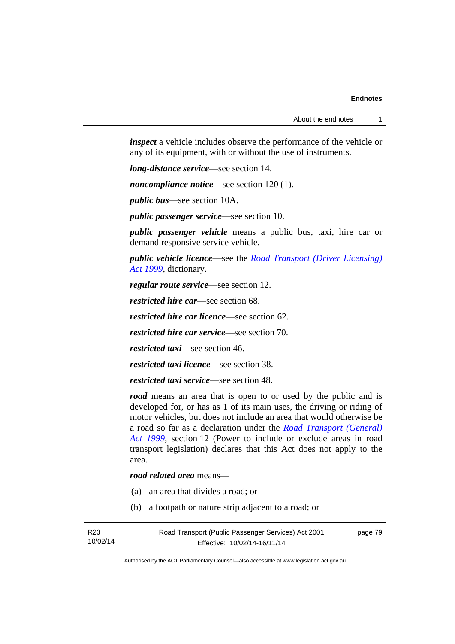*inspect* a vehicle includes observe the performance of the vehicle or any of its equipment, with or without the use of instruments.

*long-distance service*—see section 14.

*noncompliance notice*—see section 120 (1).

*public bus*—see section 10A.

*public passenger service*—see section 10.

*public passenger vehicle* means a public bus, taxi, hire car or demand responsive service vehicle.

*public vehicle licence*—see the *[Road Transport \(Driver Licensing\)](http://www.legislation.act.gov.au/a/1999-78)  [Act 1999](http://www.legislation.act.gov.au/a/1999-78)*, dictionary.

*regular route service*—see section 12.

*restricted hire car*—see section 68.

*restricted hire car licence*—see section 62.

*restricted hire car service*—see section 70.

*restricted taxi*—see section 46.

*restricted taxi licence*—see section 38.

*restricted taxi service*—see section 48.

*road* means an area that is open to or used by the public and is developed for, or has as 1 of its main uses, the driving or riding of motor vehicles, but does not include an area that would otherwise be a road so far as a declaration under the *[Road Transport \(General\)](http://www.legislation.act.gov.au/a/1999-77)  [Act 1999](http://www.legislation.act.gov.au/a/1999-77)*, section 12 (Power to include or exclude areas in road transport legislation) declares that this Act does not apply to the area.

*road related area* means—

- (a) an area that divides a road; or
- (b) a footpath or nature strip adjacent to a road; or

page 79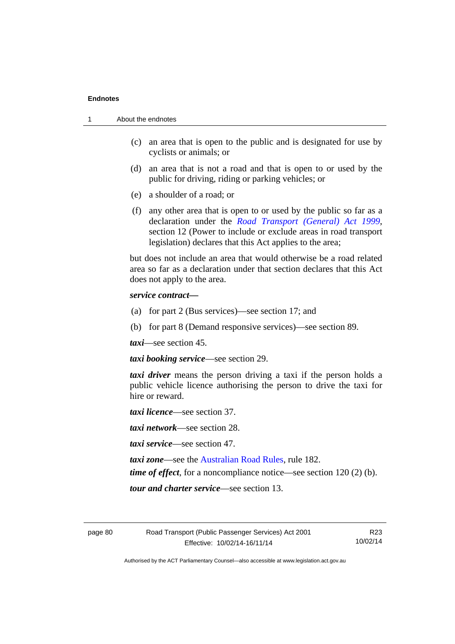- (c) an area that is open to the public and is designated for use by cyclists or animals; or
- (d) an area that is not a road and that is open to or used by the public for driving, riding or parking vehicles; or
- (e) a shoulder of a road; or
- (f) any other area that is open to or used by the public so far as a declaration under the *[Road Transport \(General\) Act 1999](http://www.legislation.act.gov.au/a/1999-77)*, section 12 (Power to include or exclude areas in road transport legislation) declares that this Act applies to the area;

but does not include an area that would otherwise be a road related area so far as a declaration under that section declares that this Act does not apply to the area.

#### *service contract—*

- (a) for part 2 (Bus services)—see section 17; and
- (b) for part 8 (Demand responsive services)—see section 89.

*taxi*—see section 45.

*taxi booking service*—see section 29.

*taxi driver* means the person driving a taxi if the person holds a public vehicle licence authorising the person to drive the taxi for hire or reward.

*taxi licence*—see section 37.

*taxi network*—see section 28.

*taxi service*—see section 47.

*taxi zone*—see the [Australian Road Rules](http://www.legislation.act.gov.au//ni/db_37271/default.asp), rule 182.

*time of effect*, for a noncompliance notice—see section 120 (2) (b).

*tour and charter service*—see section 13.

page 80 Road Transport (Public Passenger Services) Act 2001 Effective: 10/02/14-16/11/14

R23 10/02/14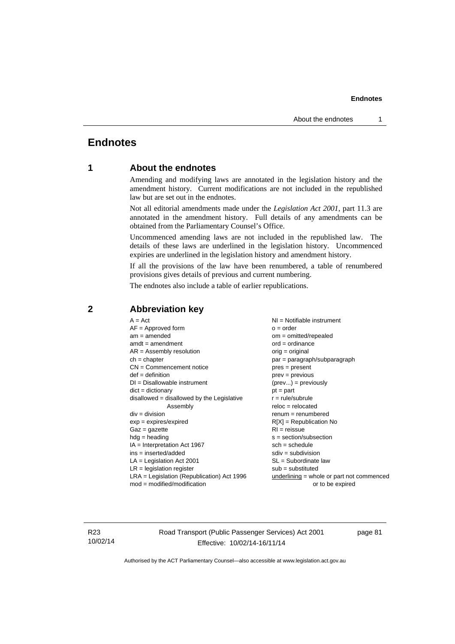## **Endnotes**

### **1 About the endnotes**

Amending and modifying laws are annotated in the legislation history and the amendment history. Current modifications are not included in the republished law but are set out in the endnotes.

Not all editorial amendments made under the *Legislation Act 2001*, part 11.3 are annotated in the amendment history. Full details of any amendments can be obtained from the Parliamentary Counsel's Office.

Uncommenced amending laws are not included in the republished law. The details of these laws are underlined in the legislation history. Uncommenced expiries are underlined in the legislation history and amendment history.

If all the provisions of the law have been renumbered, a table of renumbered provisions gives details of previous and current numbering.

The endnotes also include a table of earlier republications.

| $A = Act$<br>$AF =$ Approved form<br>$am = amended$<br>$amdt = amendment$<br>$AR = Assembly resolution$<br>$ch = chapter$<br>$CN =$ Commencement notice<br>$def = definition$<br>$DI = Disallowable instrument$<br>$dict = dictionary$<br>disallowed = disallowed by the Legislative<br>Assembly<br>$div = division$<br>$exp = expires/expired$<br>$Gaz = gazette$<br>$hdg = heading$<br>$IA = Interpretation Act 1967$<br>$ins = inserted/added$<br>$LA =$ Legislation Act 2001<br>$LR =$ legislation register | NI = Notifiable instrument<br>$o = order$<br>$om = omitted/repealed$<br>$ord = ordinance$<br>$orig = original$<br>par = paragraph/subparagraph<br>$pres = present$<br>$prev = previous$<br>$(\text{prev}) = \text{previously}$<br>$pt = part$<br>$r = rule/subrule$<br>$reloc = relocated$<br>$remum = renumbered$<br>$R[X]$ = Republication No<br>$RI = reissue$<br>$s = section/subsection$<br>$sch = schedule$<br>$sdiv = subdivision$<br>$SL = Subordinate$ law<br>$sub =$ substituted |
|-----------------------------------------------------------------------------------------------------------------------------------------------------------------------------------------------------------------------------------------------------------------------------------------------------------------------------------------------------------------------------------------------------------------------------------------------------------------------------------------------------------------|--------------------------------------------------------------------------------------------------------------------------------------------------------------------------------------------------------------------------------------------------------------------------------------------------------------------------------------------------------------------------------------------------------------------------------------------------------------------------------------------|
| $LRA =$ Legislation (Republication) Act 1996                                                                                                                                                                                                                                                                                                                                                                                                                                                                    | $underlining = whole or part not commenced$                                                                                                                                                                                                                                                                                                                                                                                                                                                |
| $mod = modified/modification$                                                                                                                                                                                                                                                                                                                                                                                                                                                                                   | or to be expired                                                                                                                                                                                                                                                                                                                                                                                                                                                                           |
|                                                                                                                                                                                                                                                                                                                                                                                                                                                                                                                 |                                                                                                                                                                                                                                                                                                                                                                                                                                                                                            |

### **2 Abbreviation key**

R23 10/02/14 Road Transport (Public Passenger Services) Act 2001 Effective: 10/02/14-16/11/14

page 81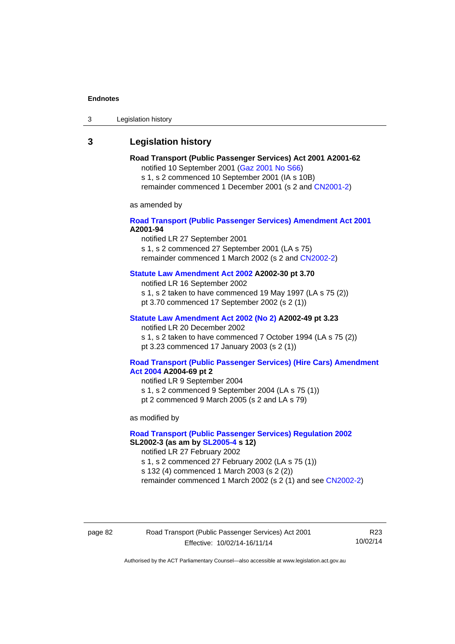3 Legislation history

### **3 Legislation history**

#### **Road Transport (Public Passenger Services) Act 2001 A2001-62**  notified 10 September 2001 [\(Gaz 2001 No S66\)](http://www.legislation.act.gov.au/gaz/2001-S66/default.asp)

s 1, s 2 commenced 10 September 2001 (IA s 10B) remainder commenced 1 December 2001 (s 2 and [CN2001-2\)](http://www.legislation.act.gov.au/cn/2001-2/default.asp)

as amended by

#### **[Road Transport \(Public Passenger Services\) Amendment Act 2001](http://www.legislation.act.gov.au/a/2001-94) A2001-94**

notified LR 27 September 2001

s 1, s 2 commenced 27 September 2001 (LA s 75) remainder commenced 1 March 2002 (s 2 and [CN2002-2\)](http://www.legislation.act.gov.au/cn/2002-2/default.asp)

### **[Statute Law Amendment Act 2002](http://www.legislation.act.gov.au/a/2002-30) A2002-30 pt 3.70**

notified LR 16 September 2002

s 1, s 2 taken to have commenced 19 May 1997 (LA s 75 (2))

pt 3.70 commenced 17 September 2002 (s 2 (1))

### **[Statute Law Amendment Act 2002 \(No 2\)](http://www.legislation.act.gov.au/a/2002-49) A2002-49 pt 3.23**

notified LR 20 December 2002 s 1, s 2 taken to have commenced 7 October 1994 (LA s 75 (2)) pt 3.23 commenced 17 January 2003 (s 2 (1))

#### **[Road Transport \(Public Passenger Services\) \(Hire Cars\) Amendment](http://www.legislation.act.gov.au/a/2004-69)  [Act 2004](http://www.legislation.act.gov.au/a/2004-69) A2004-69 pt 2**

notified LR 9 September 2004 s 1, s 2 commenced 9 September 2004 (LA s 75 (1)) pt 2 commenced 9 March 2005 (s 2 and LA s 79)

as modified by

#### **[Road Transport \(Public Passenger Services\) Regulation 2002](http://www.legislation.act.gov.au/sl/2002-3) SL2002-3 (as am by [SL2005-4](http://www.legislation.act.gov.au/sl/2005-4) s 12)**

notified LR 27 February 2002

s 1, s 2 commenced 27 February 2002 (LA s 75 (1))

s 132 (4) commenced 1 March 2003 (s 2 (2))

remainder commenced 1 March 2002 (s 2 (1) and see [CN2002-2](http://www.legislation.act.gov.au/cn/2002-2/default.asp))

page 82 Road Transport (Public Passenger Services) Act 2001 Effective: 10/02/14-16/11/14

R23 10/02/14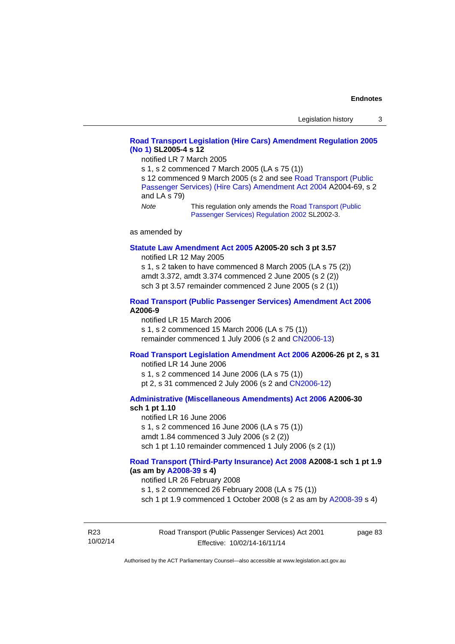### **[Road Transport Legislation \(Hire Cars\) Amendment Regulation 2005](http://www.legislation.act.gov.au/sl/2005-4)  [\(No 1\)](http://www.legislation.act.gov.au/sl/2005-4) SL2005-4 s 12**

notified LR 7 March 2005

s 1, s 2 commenced 7 March 2005 (LA s 75 (1))

s 12 commenced 9 March 2005 (s 2 and see Road Transport (Public [Passenger Services\) \(Hire Cars\) Amendment Act 2004](http://www.legislation.act.gov.au/a/2004-69) A2004-69, s 2 and LA s 79)

*Note* This regulation only amends the [Road Transport \(Public](http://www.legislation.act.gov.au/sl/2002-3)  [Passenger Services\) Regulation 2002](http://www.legislation.act.gov.au/sl/2002-3) SL2002-3.

as amended by

#### **[Statute Law Amendment Act 2005](http://www.legislation.act.gov.au/a/2005-20) A2005-20 sch 3 pt 3.57**

notified LR 12 May 2005

s 1, s 2 taken to have commenced 8 March 2005 (LA s 75 (2)) amdt 3.372, amdt 3.374 commenced 2 June 2005 (s 2 (2)) sch 3 pt 3.57 remainder commenced 2 June 2005 (s 2 (1))

#### **[Road Transport \(Public Passenger Services\) Amendment Act 2006](http://www.legislation.act.gov.au/a/2006-9) A2006-9**

notified LR 15 March 2006 s 1, s 2 commenced 15 March 2006 (LA s 75 (1)) remainder commenced 1 July 2006 (s 2 and [CN2006-13](http://www.legislation.act.gov.au/cn/2006-13/default.asp))

#### **[Road Transport Legislation Amendment Act 2006](http://www.legislation.act.gov.au/a/2006-26) A2006-26 pt 2, s 31**

notified LR 14 June 2006 s 1, s 2 commenced 14 June 2006 (LA s 75 (1)) pt 2, s 31 commenced 2 July 2006 (s 2 and [CN2006-12](http://www.legislation.act.gov.au/cn/2006-12/default.asp))

#### **[Administrative \(Miscellaneous Amendments\) Act 2006](http://www.legislation.act.gov.au/a/2006-30) A2006-30 sch 1 pt 1.10**

notified LR 16 June 2006 s 1, s 2 commenced 16 June 2006 (LA s 75 (1)) amdt 1.84 commenced 3 July 2006 (s 2 (2)) sch 1 pt 1.10 remainder commenced 1 July 2006 (s 2 (1))

#### **[Road Transport \(Third-Party Insurance\) Act 2008](http://www.legislation.act.gov.au/a/2008-1) A2008-1 sch 1 pt 1.9 (as am by [A2008-39](http://www.legislation.act.gov.au/a/2008-39) s 4)**

notified LR 26 February 2008

s 1, s 2 commenced 26 February 2008 (LA s 75 (1))

sch 1 pt 1.9 commenced 1 October 2008 (s 2 as am by [A2008-39](http://www.legislation.act.gov.au/a/2008-39) s 4)

R23 10/02/14 Road Transport (Public Passenger Services) Act 2001 Effective: 10/02/14-16/11/14

page 83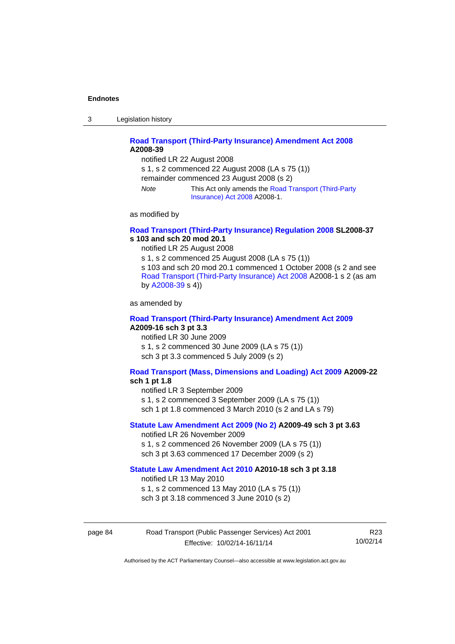3 Legislation history

### **[Road Transport \(Third-Party Insurance\) Amendment Act 2008](http://www.legislation.act.gov.au/a/2008-39) A2008-39**

notified LR 22 August 2008 s 1, s 2 commenced 22 August 2008 (LA s 75 (1)) remainder commenced 23 August 2008 (s 2) *Note* This Act only amends the [Road Transport \(Third-Party](http://www.legislation.act.gov.au/a/2008-1)  [Insurance\) Act 2008](http://www.legislation.act.gov.au/a/2008-1) A2008-1.

as modified by

#### **[Road Transport \(Third-Party Insurance\) Regulation 2008](http://www.legislation.act.gov.au/sl/2008-37) SL2008-37 s 103 and sch 20 mod 20.1**

notified LR 25 August 2008

s 1, s 2 commenced 25 August 2008 (LA s 75 (1)) s 103 and sch 20 mod 20.1 commenced 1 October 2008 (s 2 and see [Road Transport \(Third-Party Insurance\) Act 2008](http://www.legislation.act.gov.au/a/2008-1) A2008-1 s 2 (as am by [A2008-39](http://www.legislation.act.gov.au/a/2008-39) s 4))

as amended by

#### **[Road Transport \(Third-Party Insurance\) Amendment Act 2009](http://www.legislation.act.gov.au/a/2009-16) A2009-16 sch 3 pt 3.3**

notified LR 30 June 2009 s 1, s 2 commenced 30 June 2009 (LA s 75 (1)) sch 3 pt 3.3 commenced 5 July 2009 (s 2)

### **[Road Transport \(Mass, Dimensions and Loading\) Act 2009](http://www.legislation.act.gov.au/a/2009-22/default.asp) A2009-22**

#### **sch 1 pt 1.8**

notified LR 3 September 2009

s 1, s 2 commenced 3 September 2009 (LA s 75 (1))

sch 1 pt 1.8 commenced 3 March 2010 (s 2 and LA s 79)

### **[Statute Law Amendment Act 2009 \(No 2\)](http://www.legislation.act.gov.au/a/2009-49) A2009-49 sch 3 pt 3.63**

notified LR 26 November 2009 s 1, s 2 commenced 26 November 2009 (LA s 75 (1)) sch 3 pt 3.63 commenced 17 December 2009 (s 2)

#### **[Statute Law Amendment Act 2010](http://www.legislation.act.gov.au/a/2010-18) A2010-18 sch 3 pt 3.18**

notified LR 13 May 2010

s 1, s 2 commenced 13 May 2010 (LA s 75 (1))

sch 3 pt 3.18 commenced 3 June 2010 (s 2)

| page 84 | Road Transport (Public Passenger Services) Act 2001 |          |
|---------|-----------------------------------------------------|----------|
|         | Effective: 10/02/14-16/11/14                        | 10/02/14 |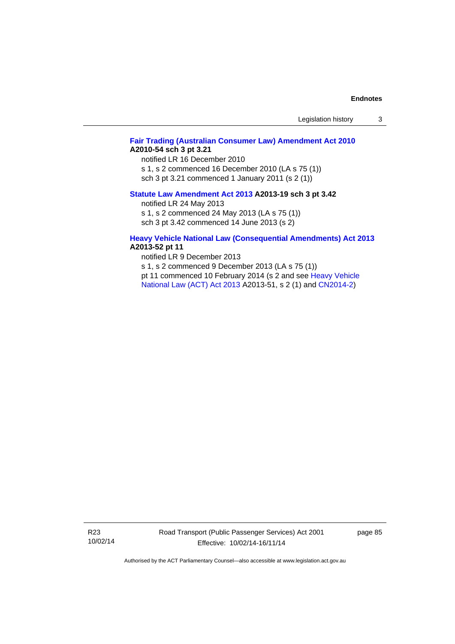| Legislation history |  |  |
|---------------------|--|--|
|---------------------|--|--|

### **[Fair Trading \(Australian Consumer Law\) Amendment Act 2010](http://www.legislation.act.gov.au/a/2010-54) A2010-54 sch 3 pt 3.21**

notified LR 16 December 2010 s 1, s 2 commenced 16 December 2010 (LA s 75 (1)) sch 3 pt 3.21 commenced 1 January 2011 (s 2 (1))

#### **[Statute Law Amendment Act 2013](http://www.legislation.act.gov.au/a/2013-19) A2013-19 sch 3 pt 3.42**

notified LR 24 May 2013

s 1, s 2 commenced 24 May 2013 (LA s 75 (1))

sch 3 pt 3.42 commenced 14 June 2013 (s 2)

#### **[Heavy Vehicle National Law \(Consequential Amendments\) Act 2013](http://www.legislation.act.gov.au/a/2013-52) A2013-52 pt 11**

notified LR 9 December 2013

s 1, s 2 commenced 9 December 2013 (LA s 75 (1)) pt 11 commenced 10 February 2014 (s 2 and see [Heavy Vehicle](http://www.legislation.act.gov.au/a/2013-51/default.asp)  [National Law \(ACT\) Act 2013](http://www.legislation.act.gov.au/a/2013-51/default.asp) A2013-51, s 2 (1) and [CN2014-2](http://www.legislation.act.gov.au/cn/2014-2/default.asp))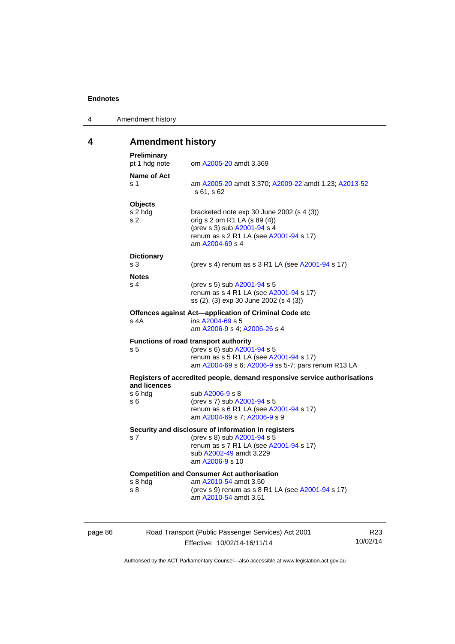| 4 | Amendment history |
|---|-------------------|
|---|-------------------|

# **4 Amendment history**

| Preliminary<br>pt 1 hdg note                | om A2005-20 amdt 3.369                                                                                                                                                |
|---------------------------------------------|-----------------------------------------------------------------------------------------------------------------------------------------------------------------------|
| Name of Act<br>s <sub>1</sub>               | am A2005-20 amdt 3.370; A2009-22 amdt 1.23; A2013-52<br>s 61, s 62                                                                                                    |
| <b>Objects</b><br>s 2 hdg<br>s <sub>2</sub> | bracketed note exp 30 June 2002 (s 4 (3))<br>orig s 2 om R1 LA (s 89 (4))<br>(prev s 3) sub A2001-94 s 4<br>renum as s 2 R1 LA (see A2001-94 s 17)<br>am A2004-69 s 4 |
| <b>Dictionary</b><br>s <sub>3</sub>         | (prev s 4) renum as s 3 R1 LA (see A2001-94 s 17)                                                                                                                     |
|                                             |                                                                                                                                                                       |
| <b>Notes</b><br>s <sub>4</sub>              | (prev s 5) sub A2001-94 s 5<br>renum as s 4 R1 LA (see A2001-94 s 17)<br>ss (2), (3) exp 30 June 2002 (s 4 (3))                                                       |
| s 4A                                        | Offences against Act-application of Criminal Code etc<br>ins A2004-69 s 5<br>am A2006-9 s 4; A2006-26 s 4                                                             |
|                                             | Functions of road transport authority                                                                                                                                 |
| s 5                                         | (prev s 6) sub A2001-94 s 5<br>renum as s 5 R1 LA (see A2001-94 s 17)<br>am A2004-69 s 6; A2006-9 ss 5-7; pars renum R13 LA                                           |
| and licences                                | Registers of accredited people, demand responsive service authorisations                                                                                              |
| s 6 hdg<br>s 6                              | sub A2006-9 s 8<br>(prev s 7) sub A2001-94 s 5<br>renum as s 6 R1 LA (see A2001-94 s 17)<br>am A2004-69 s 7; A2006-9 s 9                                              |
|                                             | Security and disclosure of information in registers                                                                                                                   |
| s <sub>7</sub>                              | (prev s 8) sub A2001-94 s 5<br>renum as s 7 R1 LA (see A2001-94 s 17)<br>sub A2002-49 amdt 3.229<br>am A2006-9 s 10                                                   |
|                                             | <b>Competition and Consumer Act authorisation</b>                                                                                                                     |
|                                             |                                                                                                                                                                       |

| page 86 |  |
|---------|--|
|---------|--|

86 Road Transport (Public Passenger Services) Act 2001 Effective: 10/02/14-16/11/14

R23 10/02/14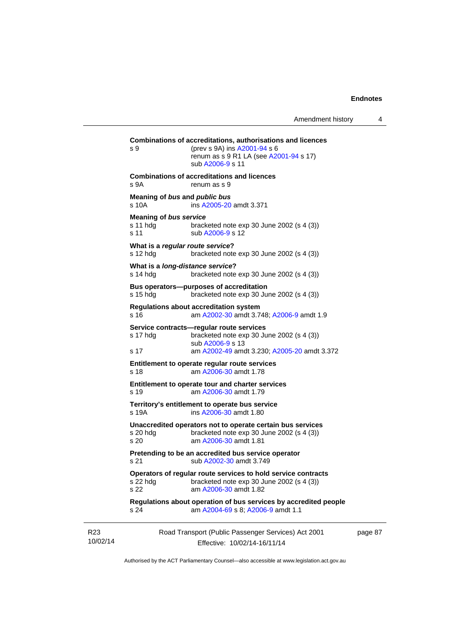| s 9                                               | (prev s 9A) ins A2001-94 s 6<br>renum as s 9 R1 LA (see A2001-94 s 17)<br>sub A2006-9 s 11                                                               |
|---------------------------------------------------|----------------------------------------------------------------------------------------------------------------------------------------------------------|
| s 9A                                              | <b>Combinations of accreditations and licences</b><br>renum as s 9                                                                                       |
| Meaning of bus and public bus<br>s 10A            | ins A2005-20 amdt 3.371                                                                                                                                  |
| <b>Meaning of bus service</b><br>s 11 hdg<br>s 11 | bracketed note $exp 30$ June 2002 (s 4 (3))<br>sub A2006-9 s 12                                                                                          |
| What is a regular route service?<br>s 12 hdg      | bracketed note $exp 30$ June 2002 (s 4 (3))                                                                                                              |
| What is a long-distance service?<br>s 14 hda      | bracketed note $exp 30$ June 2002 (s 4 (3))                                                                                                              |
| s 15 hdg                                          | Bus operators--purposes of accreditation<br>bracketed note $exp 30$ June 2002 (s 4 (3))                                                                  |
| s 16                                              | <b>Regulations about accreditation system</b><br>am A2002-30 amdt 3.748; A2006-9 amdt 1.9                                                                |
| s 17 hdg<br>s <sub>17</sub>                       | Service contracts-regular route services<br>bracketed note exp 30 June 2002 (s 4 (3))<br>sub A2006-9 s 13<br>am A2002-49 amdt 3.230; A2005-20 amdt 3.372 |
| s 18                                              | Entitlement to operate regular route services<br>am A2006-30 amdt 1.78                                                                                   |
| s 19                                              | Entitlement to operate tour and charter services<br>am A2006-30 amdt 1.79                                                                                |
| s 19A                                             | Territory's entitlement to operate bus service<br>ins A2006-30 amdt 1.80                                                                                 |
| s 20 hdg<br>s 20                                  | Unaccredited operators not to operate certain bus services<br>bracketed note $exp 30$ June 2002 (s 4 (3))<br>am A2006-30 amdt 1.81                       |
| s 21                                              | Pretending to be an accredited bus service operator<br>sub A2002-30 amdt 3.749                                                                           |
| s 22 hdg<br>s 22                                  | Operators of regular route services to hold service contracts<br>bracketed note $exp 30$ June 2002 (s 4 (3))<br>am A2006-30 amdt 1.82                    |
| s 24                                              | Regulations about operation of bus services by accredited people<br>am A2004-69 s 8; A2006-9 amdt 1.1                                                    |

page 87

Authorised by the ACT Parliamentary Counsel—also accessible at www.legislation.act.gov.au

Effective: 10/02/14-16/11/14

R23 10/02/14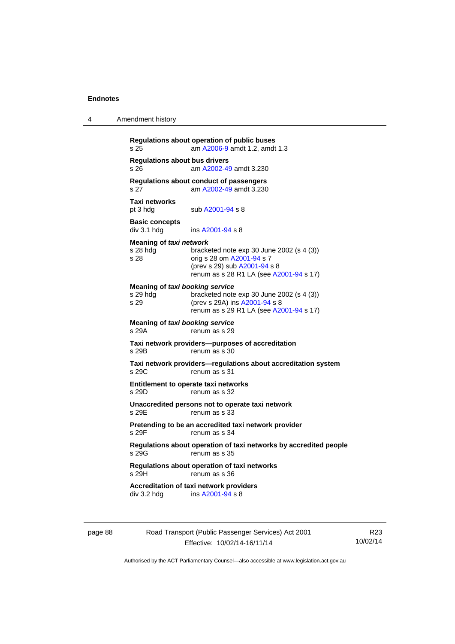4 Amendment history

| <b>Regulations about bus drivers</b>                |                                                                                                                                                   |
|-----------------------------------------------------|---------------------------------------------------------------------------------------------------------------------------------------------------|
| s 26                                                | am A2002-49 amdt 3.230                                                                                                                            |
| s 27                                                | Regulations about conduct of passengers<br>am A2002-49 amdt 3.230                                                                                 |
| <b>Taxi networks</b><br>pt 3 hdg                    | sub A2001-94 s 8                                                                                                                                  |
| <b>Basic concepts</b><br>div 3.1 hdg                | ins A2001-94 s 8                                                                                                                                  |
| Meaning of taxi network<br>s 28 hda<br>s 28         | bracketed note exp 30 June 2002 (s 4 (3))<br>orig s 28 om A2001-94 s 7<br>(prev s 29) sub A2001-94 s 8<br>renum as s 28 R1 LA (see A2001-94 s 17) |
| Meaning of taxi booking service<br>s 29 hda<br>s 29 | bracketed note exp 30 June 2002 (s 4 (3))<br>(prev s 29A) ins A2001-94 s 8<br>renum as s 29 R1 LA (see A2001-94 s 17)                             |
| Meaning of taxi booking service<br>s 29A            | renum as s 29                                                                                                                                     |
| s 29B                                               | Taxi network providers-purposes of accreditation<br>renum as s 30                                                                                 |
| s 29C                                               | Taxi network providers-regulations about accreditation system<br>renum as s 31                                                                    |
| s 29D                                               | <b>Entitlement to operate taxi networks</b><br>renum as s 32                                                                                      |
| s 29E                                               | Unaccredited persons not to operate taxi network<br>renum as s 33                                                                                 |
| s 29F                                               | Pretending to be an accredited taxi network provider<br>renum as s 34                                                                             |
| s 29G                                               | Regulations about operation of taxi networks by accredited people<br>renum as s 35                                                                |
| s 29H                                               | Regulations about operation of taxi networks<br>renum as s 36                                                                                     |
| div 3.2 hdq                                         | <b>Accreditation of taxi network providers</b><br>ins A2001-94 s 8                                                                                |

page 88 Road Transport (Public Passenger Services) Act 2001 Effective: 10/02/14-16/11/14

R23 10/02/14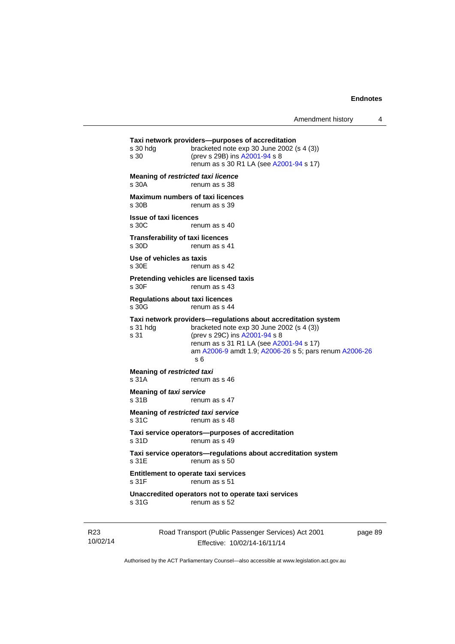```
Road Transport (Public Passenger Services) Act 2001 
Taxi network providers—purposes of accreditation 
s 30 hdg bracketed note exp 30 June 2002 (s 4 (3)) 
s 30 (prev s 29B) ins A2001-94 s 8 
                renum as s 30 R1 LA (see A2001-94 s 17)
Meaning of restricted taxi licence 
s 30A renum as s 38 
Maximum numbers of taxi licences 
s 30B renum as s 39
Issue of taxi licences 
s 30C renum as s 40
Transferability of taxi licences 
s 30D renum as s 41
Use of vehicles as taxis 
s 30E renum as s 42
Pretending vehicles are licensed taxis 
s 30F renum as s 43
Regulations about taxi licences 
s 30G renum as s 44
Taxi network providers—regulations about accreditation system 
s 31 hdg bracketed note exp 30 June 2002 (s 4 (3))
s 31 (prev s 29C) ins A2001-94 s 8 
                renum as s 31 R1 LA (see A2001-94 s 17)
                 am A2006-9 amdt 1.9; A2006-26 s 5; pars renum A2006-26
                 s 6 
Meaning of restricted taxi 
s 31A renum as s 46
Meaning of taxi service<br>s 31B renur
                renum as s 47
Meaning of restricted taxi service 
s 31C renum as s 48
Taxi service operators—purposes of accreditation 
s 31D renum as s 49
Taxi service operators—regulations about accreditation system 
s 31E renum as s 50
Entitlement to operate taxi services 
                renum as s 51
Unaccredited operators not to operate taxi services 
s 31G renum as s 52
```
R23 10/02/14

Effective: 10/02/14-16/11/14

page 89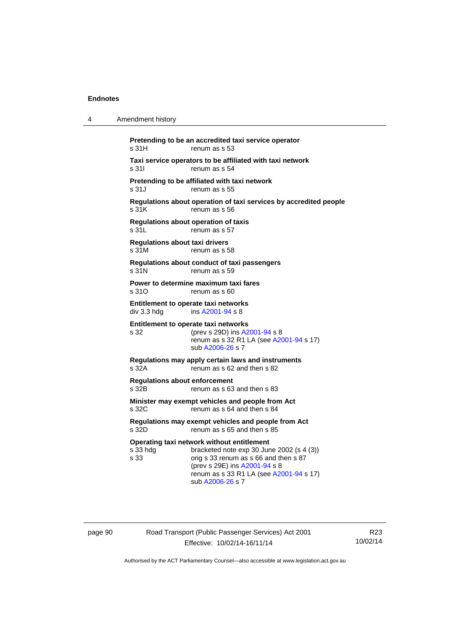| 4 | Amendment history                                                                                                                                                                                                                                    |
|---|------------------------------------------------------------------------------------------------------------------------------------------------------------------------------------------------------------------------------------------------------|
|   | Pretending to be an accredited taxi service operator<br>s 31H<br>renum as s 53                                                                                                                                                                       |
|   | Taxi service operators to be affiliated with taxi network<br>s 31l<br>renum as s 54                                                                                                                                                                  |
|   | Pretending to be affiliated with taxi network<br>s 31 J<br>renum as s 55                                                                                                                                                                             |
|   | Regulations about operation of taxi services by accredited people<br>s 31K<br>renum as s 56                                                                                                                                                          |
|   | <b>Regulations about operation of taxis</b><br>s 31L<br>renum as s 57                                                                                                                                                                                |
|   | <b>Regulations about taxi drivers</b><br>s 31M<br>renum as s 58                                                                                                                                                                                      |
|   | Regulations about conduct of taxi passengers<br>renum as s 59<br>s 31N                                                                                                                                                                               |
|   | Power to determine maximum taxi fares<br>s 31O<br>renum as s 60                                                                                                                                                                                      |
|   | Entitlement to operate taxi networks<br>ins A2001-94 s 8<br>div 3.3 hdg                                                                                                                                                                              |
|   | Entitlement to operate taxi networks<br>(prev s 29D) ins A2001-94 s 8<br>s 32<br>renum as s 32 R1 LA (see A2001-94 s 17)<br>sub A2006-26 s 7                                                                                                         |
|   | Regulations may apply certain laws and instruments<br>s 32A<br>renum as s 62 and then s 82                                                                                                                                                           |
|   | <b>Regulations about enforcement</b><br>s 32B<br>renum as s 63 and then s 83                                                                                                                                                                         |
|   | Minister may exempt vehicles and people from Act<br>s 32C<br>renum as s 64 and then s 84                                                                                                                                                             |
|   | Regulations may exempt vehicles and people from Act<br>renum as s 65 and then s 85<br>s 32D                                                                                                                                                          |
|   | Operating taxi network without entitlement<br>s 33 hdg<br>bracketed note exp 30 June 2002 (s 4 (3))<br>s 33<br>orig s 33 renum as s 66 and then s 87<br>(prev s 29E) ins A2001-94 s 8<br>renum as s 33 R1 LA (see A2001-94 s 17)<br>sub A2006-26 s 7 |

page 90 Road Transport (Public Passenger Services) Act 2001 Effective: 10/02/14-16/11/14

R23 10/02/14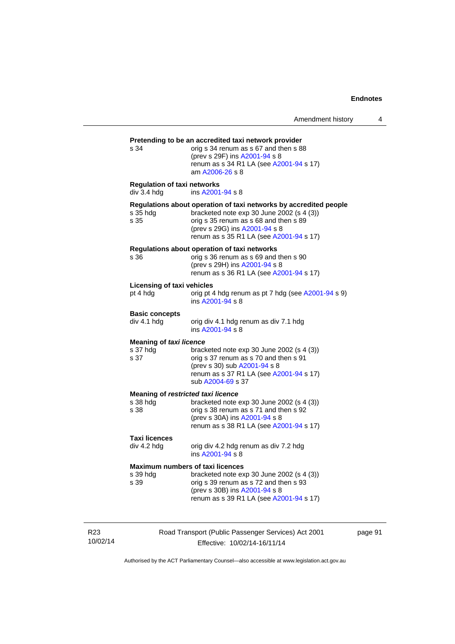| s 34                                               | orig s 34 renum as s 67 and then s 88<br>(prev s 29F) ins A2001-94 s 8<br>renum as s 34 R1 LA (see A2001-94 s 17)<br>am A2006-26 s 8                                                                                                |
|----------------------------------------------------|-------------------------------------------------------------------------------------------------------------------------------------------------------------------------------------------------------------------------------------|
| <b>Regulation of taxi networks</b><br>div 3.4 hdg  | ins A2001-94 s 8                                                                                                                                                                                                                    |
| s 35 hdg<br>s <sub>35</sub>                        | Regulations about operation of taxi networks by accredited people<br>bracketed note exp 30 June 2002 (s 4 (3))<br>orig s 35 renum as s 68 and then s 89<br>(prev s 29G) ins A2001-94 s 8<br>renum as s 35 R1 LA (see A2001-94 s 17) |
| s 36                                               | Regulations about operation of taxi networks<br>orig s 36 renum as s 69 and then s 90<br>(prev s 29H) ins A2001-94 s 8<br>renum as s 36 R1 LA (see A2001-94 s 17)                                                                   |
| Licensing of taxi vehicles<br>pt 4 hdg             | orig pt 4 hdg renum as pt 7 hdg (see A2001-94 s 9)<br>ins A2001-94 s 8                                                                                                                                                              |
| <b>Basic concepts</b><br>div 4.1 hdg               | orig div 4.1 hdg renum as div 7.1 hdg<br>ins A2001-94 s 8                                                                                                                                                                           |
| <b>Meaning of taxi licence</b><br>s 37 hdg<br>s 37 | bracketed note exp 30 June 2002 (s 4 (3))<br>orig s 37 renum as s 70 and then s 91<br>(prev s 30) sub A2001-94 s 8<br>renum as s 37 R1 LA (see A2001-94 s 17)<br>sub A2004-69 s 37                                                  |
| s 38 hdg<br>s 38                                   | <b>Meaning of restricted taxi licence</b><br>bracketed note exp 30 June 2002 (s 4 (3))<br>orig s 38 renum as s 71 and then s 92<br>(prev s 30A) ins A2001-94 s 8<br>renum as s 38 R1 LA (see A2001-94 s 17)                         |
| <b>Taxi licences</b><br>div 4.2 hdg                | orig div 4.2 hdg renum as div 7.2 hdg<br>ins $A2001 - 94$ s $8$                                                                                                                                                                     |
| s 39 hda<br>s 39                                   | <b>Maximum numbers of taxi licences</b><br>bracketed note exp 30 June 2002 (s 4 (3))<br>orig s 39 renum as s 72 and then s 93<br>(prev s 30B) ins A2001-94 s 8<br>renum as s 39 R1 LA (see A2001-94 s 17)                           |

R23 10/02/14 Road Transport (Public Passenger Services) Act 2001 Effective: 10/02/14-16/11/14

page 91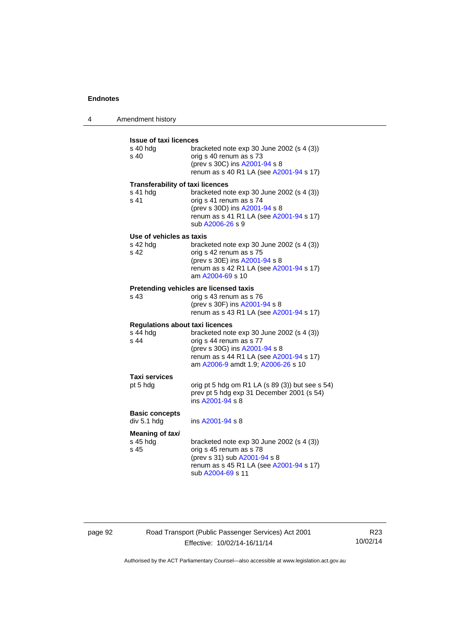4 Amendment history

| <b>Issue of taxi licences</b><br>s 40 hda<br>s <sub>40</sub>          | bracketed note $exp 30$ June 2002 (s 4 (3))<br>orig s 40 renum as s 73<br>(prev s 30C) ins A2001-94 s 8<br>renum as s 40 R1 LA (see A2001-94 s 17)                                     |  |
|-----------------------------------------------------------------------|----------------------------------------------------------------------------------------------------------------------------------------------------------------------------------------|--|
| <b>Transferability of taxi licences</b><br>s 41 hdg<br>s 41           | bracketed note exp 30 June 2002 (s 4 (3))<br>orig s 41 renum as s 74<br>(prev s 30D) ins A2001-94 s 8<br>renum as s 41 R1 LA (see A2001-94 s 17)<br>sub A2006-26 s 9                   |  |
| Use of vehicles as taxis<br>s 42 hdg<br>s 42                          | bracketed note exp 30 June 2002 (s 4 (3))<br>orig s 42 renum as s 75<br>(prev s 30E) ins A2001-94 s 8<br>renum as s 42 R1 LA (see A2001-94 s 17)<br>am A2004-69 s 10                   |  |
| s 43                                                                  | Pretending vehicles are licensed taxis<br>orig s 43 renum as s 76<br>(prev s 30F) ins A2001-94 s 8<br>renum as s 43 R1 LA (see A2001-94 s 17)                                          |  |
| <b>Regulations about taxi licences</b><br>s 44 hdg<br>s <sub>44</sub> | bracketed note exp 30 June 2002 (s 4 (3))<br>orig s 44 renum as s 77<br>(prev s 30G) ins A2001-94 s 8<br>renum as s 44 R1 LA (see A2001-94 s 17)<br>am A2006-9 amdt 1.9; A2006-26 s 10 |  |
| Taxi services<br>pt 5 hdg                                             | orig pt 5 hdg om R1 LA (s 89 (3)) but see s 54)<br>prev pt 5 hdg exp 31 December 2001 (s 54)<br>ins A2001-94 s 8                                                                       |  |
| <b>Basic concepts</b><br>div 5.1 hdg                                  | ins A2001-94 s 8                                                                                                                                                                       |  |
| Meaning of taxi<br>s 45 hdg<br>s 45                                   | bracketed note exp 30 June 2002 (s 4 (3))<br>orig s 45 renum as s 78<br>(prev s 31) sub A2001-94 s 8<br>renum as s 45 R1 LA (see A2001-94 s 17)<br>sub A2004-69 s 11                   |  |

page 92 Road Transport (Public Passenger Services) Act 2001 Effective: 10/02/14-16/11/14

R23 10/02/14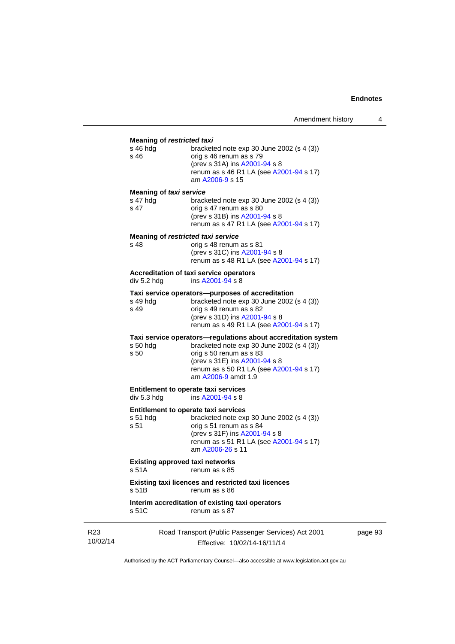#### **Meaning of** *restricted taxi*

| meaning or restricted taxi         |                                                                                                                                                                                                         |
|------------------------------------|---------------------------------------------------------------------------------------------------------------------------------------------------------------------------------------------------------|
| s 46 hdg<br>s 46                   | bracketed note $exp 30$ June 2002 (s 4 (3))<br>orig s 46 renum as s 79<br>(prev s 31A) ins A2001-94 s 8<br>renum as s 46 R1 LA (see A2001-94 s 17)<br>am A2006-9 s 15                                   |
| Meaning of taxi service            |                                                                                                                                                                                                         |
| s 47 hdg<br>s 47                   | bracketed note exp 30 June 2002 (s 4 (3))<br>orig s 47 renum as s 80<br>(prev s 31B) ins A2001-94 s 8<br>renum as s 47 R1 LA (see A2001-94 s 17)                                                        |
| Meaning of restricted taxi service |                                                                                                                                                                                                         |
| s 48                               | orig s 48 renum as s 81<br>(prev s 31C) ins A2001-94 s 8<br>renum as s 48 R1 LA (see A2001-94 s 17)                                                                                                     |
| div 5.2 hdg                        | Accreditation of taxi service operators<br>ins A2001-94 s 8                                                                                                                                             |
| s 49 hdg<br>s 49                   | Taxi service operators--purposes of accreditation<br>bracketed note $exp 30$ June 2002 (s 4 (3))<br>orig s 49 renum as s 82<br>(prev s 31D) ins A2001-94 s 8<br>renum as s 49 R1 LA (see A2001-94 s 17) |
| s 50 hdg                           | Taxi service operators-regulations about accreditation system<br>bracketed note $exp 30$ June 2002 (s 4 (3))                                                                                            |
| $-\sim$                            | $\sim$ $\sim$ $\sim$ $\sim$ $\sim$                                                                                                                                                                      |

| s 50 hda | bracketed note $exp 30$ June $2002$ (s 4 (3))                  |
|----------|----------------------------------------------------------------|
| s 50     | orig s 50 renum as s 83                                        |
|          | (prev s 31E) ins A2001-94 s 8                                  |
|          | renum as s 50 R1 LA (see A2001-94 s 17)<br>am A2006-9 amdt 1.9 |
|          |                                                                |

#### **Entitlement to operate taxi services**<br>div 5.3 hdg ins A2001-94 s 8  $ins A2001-94 s 8$  $ins A2001-94 s 8$  $ins A2001-94 s 8$

#### **Entitlement to operate taxi services**

| (prev s 31F) ins A2001-94 s 8 | s 51 hda<br>s 51 | bracketed note $exp 30$ June 2002 (s 4 (3))<br>orig s 51 renum as s 84 |
|-------------------------------|------------------|------------------------------------------------------------------------|
| am A2006-26 s 11              |                  | renum as s 51 R1 LA (see A2001-94 s 17)                                |

### **Existing approved taxi networks**

 $s 51A$  renum as  $s 85$ 

**Existing taxi licences and restricted taxi licences**  renum as s 86

#### **Interim accreditation of existing taxi operators**   $renum$  as s  $87$

R23 10/02/14 Road Transport (Public Passenger Services) Act 2001 Effective: 10/02/14-16/11/14

page 93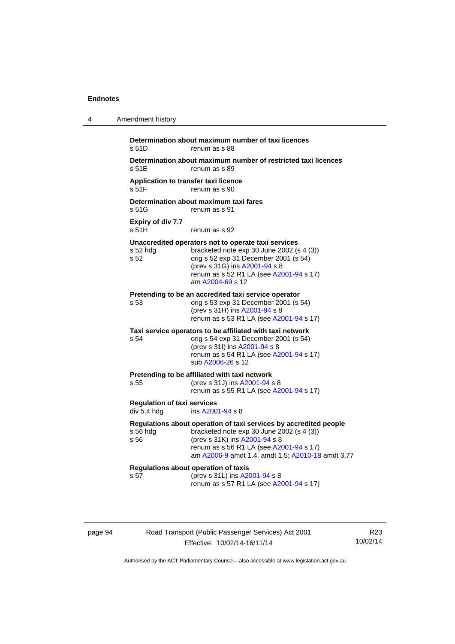| 4 | Amendment history                                 |                                                                                                                                                                                                                                                 |
|---|---------------------------------------------------|-------------------------------------------------------------------------------------------------------------------------------------------------------------------------------------------------------------------------------------------------|
|   | s 51D                                             | Determination about maximum number of taxi licences<br>renum as s 88                                                                                                                                                                            |
|   | s 51E                                             | Determination about maximum number of restricted taxi licences<br>renum as s 89                                                                                                                                                                 |
|   | Application to transfer taxi licence<br>s 51F     | renum as s 90                                                                                                                                                                                                                                   |
|   | s 51G                                             | Determination about maximum taxi fares<br>renum as s 91                                                                                                                                                                                         |
|   | Expiry of div 7.7<br>s.51H                        | renum as s 92                                                                                                                                                                                                                                   |
|   | s 52 hdg<br>s 52                                  | Unaccredited operators not to operate taxi services<br>bracketed note exp 30 June 2002 (s 4 (3))<br>orig s 52 exp 31 December 2001 (s 54)<br>(prev s 31G) ins A2001-94 s 8<br>renum as s 52 R1 LA (see A2001-94 s 17)<br>am A2004-69 s 12       |
|   | s 53                                              | Pretending to be an accredited taxi service operator<br>orig s 53 exp 31 December 2001 (s 54)<br>(prev s 31H) ins A2001-94 s 8<br>renum as s 53 R1 LA (see A2001-94 s 17)                                                                       |
|   | s 54                                              | Taxi service operators to be affiliated with taxi network<br>orig s 54 exp 31 December 2001 (s 54)<br>(prev s 31l) ins A2001-94 s 8<br>renum as s 54 R1 LA (see A2001-94 s 17)<br>sub A2006-26 s 12                                             |
|   | s 55                                              | Pretending to be affiliated with taxi network<br>(prev s 31J) ins A2001-94 s 8<br>renum as s 55 R1 LA (see A2001-94 s 17)                                                                                                                       |
|   | <b>Regulation of taxi services</b><br>div 5.4 hdg | ins A2001-94 s 8                                                                                                                                                                                                                                |
|   | s 56 hdg<br>s 56                                  | Regulations about operation of taxi services by accredited people<br>bracketed note exp 30 June 2002 (s 4 (3))<br>(prev s 31K) ins A2001-94 s 8<br>renum as s 56 R1 LA (see A2001-94 s 17)<br>am A2006-9 amdt 1.4, amdt 1.5; A2010-18 amdt 3.77 |
|   | s 57                                              | Regulations about operation of taxis<br>(prev s 31L) ins A2001-94 s 8<br>renum as s 57 R1 LA (see A2001-94 s 17)                                                                                                                                |

page 94 Road Transport (Public Passenger Services) Act 2001 Effective: 10/02/14-16/11/14

R23 10/02/14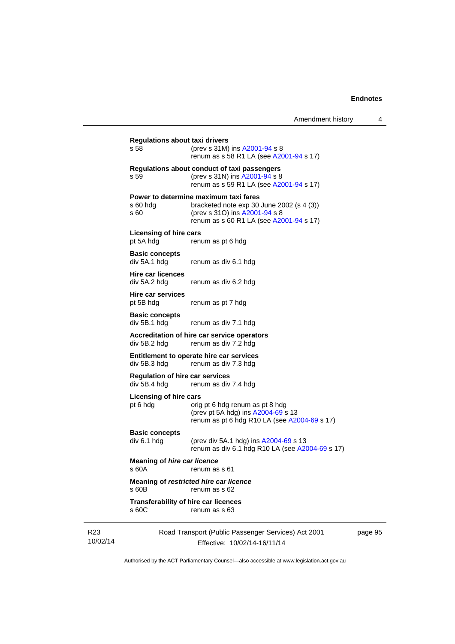| Amendment history |  |
|-------------------|--|
|-------------------|--|

|                 | <b>Regulations about taxi drivers</b><br>s 58          | (prev s 31M) ins A2001-94 s 8<br>renum as s 58 R1 LA (see A2001-94 s 17)                                                                                         |
|-----------------|--------------------------------------------------------|------------------------------------------------------------------------------------------------------------------------------------------------------------------|
|                 | s 59                                                   | Regulations about conduct of taxi passengers<br>(prev s 31N) ins A2001-94 s 8<br>renum as s 59 R1 LA (see A2001-94 s 17)                                         |
|                 | s 60 hdg<br>s 60                                       | Power to determine maximum taxi fares<br>bracketed note $exp 30$ June 2002 (s 4 (3))<br>(prev s 31O) ins A2001-94 s 8<br>renum as s 60 R1 LA (see A2001-94 s 17) |
|                 | <b>Licensing of hire cars</b><br>pt 5A hdg             | renum as pt 6 hdg                                                                                                                                                |
|                 | <b>Basic concepts</b><br>div 5A.1 hdg                  | renum as div 6.1 hdg                                                                                                                                             |
|                 | Hire car licences<br>div 5A.2 hdg                      | renum as div 6.2 hdg                                                                                                                                             |
|                 | Hire car services<br>pt 5B hdg                         | renum as pt 7 hdg                                                                                                                                                |
|                 | <b>Basic concepts</b><br>div 5B.1 hdg                  | renum as div 7.1 hdg                                                                                                                                             |
|                 | div 5B.2 hdg                                           | Accreditation of hire car service operators<br>renum as div 7.2 hdg                                                                                              |
|                 | div 5B.3 hdg                                           | Entitlement to operate hire car services<br>renum as div 7.3 hdg                                                                                                 |
|                 | <b>Regulation of hire car services</b><br>div 5B.4 hdg | renum as div 7.4 hdg                                                                                                                                             |
|                 | <b>Licensing of hire cars</b><br>pt 6 hdg              | orig pt 6 hdg renum as pt 8 hdg<br>(prev pt 5A hdg) ins A2004-69 s 13<br>renum as pt 6 hdg R10 LA (see A2004-69 s 17)                                            |
|                 | <b>Basic concepts</b><br>div 6.1 hdg                   | (prev div 5A.1 hdg) ins A2004-69 s 13<br>renum as div 6.1 hdg R10 LA (see A2004-69 s 17)                                                                         |
|                 | <b>Meaning of hire car licence</b><br>s 60A            | renum as s 61                                                                                                                                                    |
|                 | s 60B                                                  | Meaning of restricted hire car licence<br>renum as s 62                                                                                                          |
|                 | <b>Transferability of hire car licences</b><br>s 60C   | renum as s 63                                                                                                                                                    |
| R23<br>10/02/14 |                                                        | Road Transport (Public Passenger Services) Act 2001<br>Effective: 10/02/14-16/11/14                                                                              |

page 95

Authorised by the ACT Parliamentary Counsel—also accessible at www.legislation.act.gov.au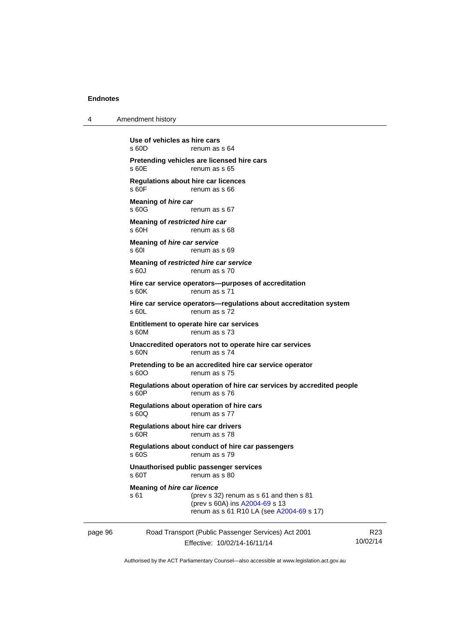4 Amendment history

|         | Use of vehicles as hire cars<br>s 60D<br>renum as s 64                             |                                                                                                                       |                 |
|---------|------------------------------------------------------------------------------------|-----------------------------------------------------------------------------------------------------------------------|-----------------|
|         | Pretending vehicles are licensed hire cars<br>$s$ 60 $F$<br>renum as s 65          |                                                                                                                       |                 |
|         | Regulations about hire car licences<br>s 60F<br>renum as s 66                      |                                                                                                                       |                 |
|         | Meaning of hire car<br>s 60G<br>renum as s 67                                      |                                                                                                                       |                 |
|         | Meaning of restricted hire car<br>s60H<br>renum as s 68                            |                                                                                                                       |                 |
|         | Meaning of hire car service<br>s 601<br>renum as s 69                              |                                                                                                                       |                 |
|         | Meaning of restricted hire car service<br>s 60J<br>renum as s 70                   |                                                                                                                       |                 |
|         | Hire car service operators--purposes of accreditation<br>s 60K<br>renum as s 71    |                                                                                                                       |                 |
|         | $s$ 60L<br>renum as s 72                                                           | Hire car service operators-regulations about accreditation system                                                     |                 |
|         | Entitlement to operate hire car services<br>s 60M<br>renum as s 73                 |                                                                                                                       |                 |
|         | Unaccredited operators not to operate hire car services<br>s 60N<br>renum as s 74  |                                                                                                                       |                 |
|         | Pretending to be an accredited hire car service operator<br>s 60O<br>renum as s 75 |                                                                                                                       |                 |
|         | s 60P<br>renum as s 76                                                             | Regulations about operation of hire car services by accredited people                                                 |                 |
|         | Regulations about operation of hire cars<br>s 60Q<br>renum as s 77                 |                                                                                                                       |                 |
|         | Regulations about hire car drivers<br>s 60R<br>renum as s 78                       |                                                                                                                       |                 |
|         | Regulations about conduct of hire car passengers<br>s 60S<br>renum as s 79         |                                                                                                                       |                 |
|         | Unauthorised public passenger services<br>s 60T<br>renum as s 80                   |                                                                                                                       |                 |
|         | <b>Meaning of hire car licence</b><br>s 61                                         | (prev s 32) renum as s 61 and then s 81<br>(prev s 60A) ins A2004-69 s 13<br>renum as s 61 R10 LA (see A2004-69 s 17) |                 |
| page 96 |                                                                                    | Road Transport (Public Passenger Services) Act 2001                                                                   | R <sub>23</sub> |
|         |                                                                                    | Effective: 10/02/14-16/11/14                                                                                          | 10/02/14        |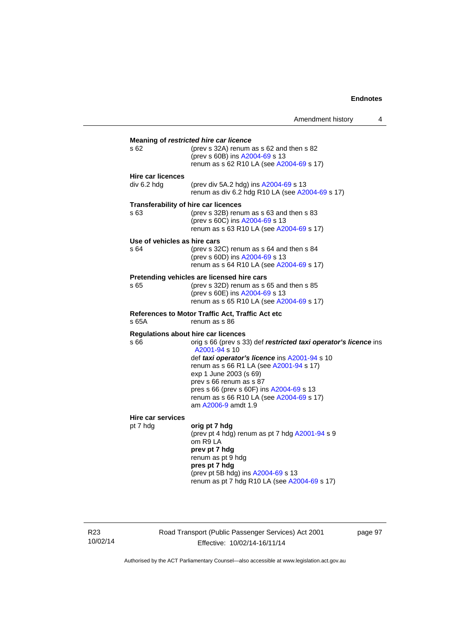|                                              |                                                                                                                                                                                                                                                                                                                                                   | Amendment history | 4 |
|----------------------------------------------|---------------------------------------------------------------------------------------------------------------------------------------------------------------------------------------------------------------------------------------------------------------------------------------------------------------------------------------------------|-------------------|---|
| s 62                                         | Meaning of restricted hire car licence<br>(prev s 32A) renum as s 62 and then s 82<br>(prev s 60B) ins A2004-69 s 13<br>renum as s 62 R10 LA (see A2004-69 s 17)                                                                                                                                                                                  |                   |   |
| <b>Hire car licences</b><br>div 6.2 hdg      | (prev div 5A.2 hdg) ins A2004-69 s 13<br>renum as div 6.2 hdg R10 LA (see A2004-69 s 17)                                                                                                                                                                                                                                                          |                   |   |
| Transferability of hire car licences<br>s 63 | (prev s 32B) renum as s 63 and then s 83<br>(prev s 60C) ins A2004-69 s 13<br>renum as s 63 R10 LA (see A2004-69 s 17)                                                                                                                                                                                                                            |                   |   |
| Use of vehicles as hire cars<br>s 64         | (prev s $32C$ ) renum as s $64$ and then s $84$<br>(prev s 60D) ins A2004-69 s 13<br>renum as s 64 R10 LA (see A2004-69 s 17)                                                                                                                                                                                                                     |                   |   |
| s 65                                         | Pretending vehicles are licensed hire cars<br>(prev s 32D) renum as s 65 and then s 85<br>(prev s 60E) ins A2004-69 s 13<br>renum as s 65 R10 LA (see A2004-69 s 17)                                                                                                                                                                              |                   |   |
| s 65A                                        | References to Motor Traffic Act, Traffic Act etc<br>renum as s 86                                                                                                                                                                                                                                                                                 |                   |   |
| Regulations about hire car licences<br>s 66  | orig s 66 (prev s 33) def restricted taxi operator's licence ins<br>A2001-94 s 10<br>def taxi operator's licence ins A2001-94 s 10<br>renum as s 66 R1 LA (see A2001-94 s 17)<br>exp 1 June 2003 (s 69)<br>prev s 66 renum as s 87<br>pres s 66 (prev s 60F) ins A2004-69 s 13<br>renum as s 66 R10 LA (see A2004-69 s 17)<br>am A2006-9 amdt 1.9 |                   |   |
| Hire car services<br>pt 7 hdg                | orig pt 7 hdg<br>(prev pt 4 hdg) renum as pt 7 hdg A2001-94 s 9<br>om R9 LA<br>prev pt 7 hdg<br>renum as pt 9 hdg<br>pres pt 7 hdg<br>(prev pt 5B hdg) ins A2004-69 s 13<br>renum as pt 7 hdg R10 LA (see A2004-69 s 17)                                                                                                                          |                   |   |

R23 10/02/14 Road Transport (Public Passenger Services) Act 2001 Effective: 10/02/14-16/11/14

page 97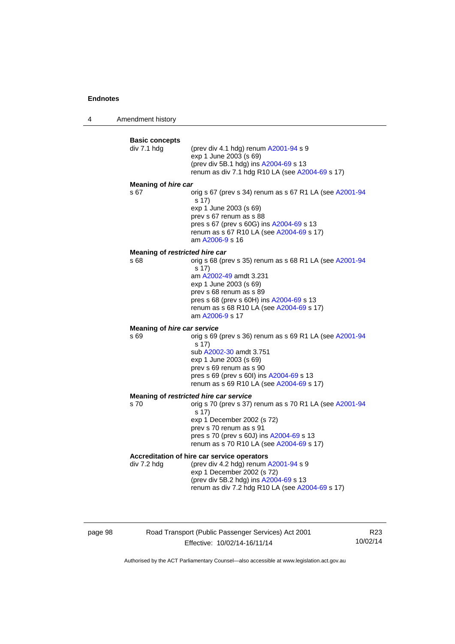4 Amendment history



page 98 Road Transport (Public Passenger Services) Act 2001 Effective: 10/02/14-16/11/14

R23 10/02/14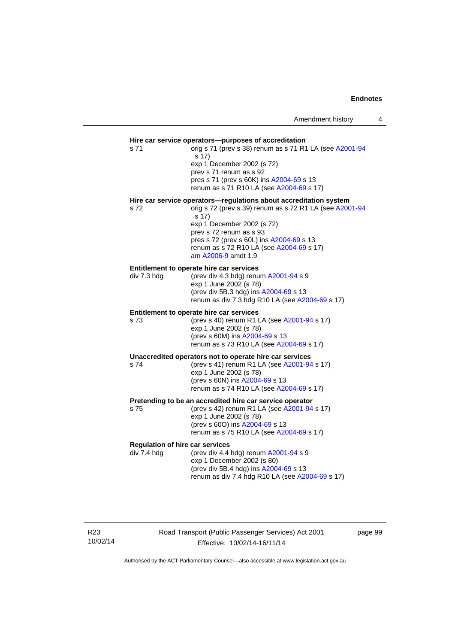#### **Hire car service operators—purposes of accreditation**  s 71 orig s 71 (prev s 38) renum as s 71 R1 LA (see [A2001-94](http://www.legislation.act.gov.au/a/2001-94) s 17) exp 1 December 2002 (s 72) prev s 71 renum as s 92 pres s 71 (prev s 60K) ins [A2004-69](http://www.legislation.act.gov.au/a/2004-69) s 13 renum as s 71 R10 LA (see [A2004-69](http://www.legislation.act.gov.au/a/2004-69) s 17) **Hire car service operators—regulations about accreditation system**  s 72 orig s 72 (prev s 39) renum as s 72 R1 LA (see [A2001-94](http://www.legislation.act.gov.au/a/2001-94) s 17) exp 1 December 2002 (s 72) prev s 72 renum as s 93 pres s 72 (prev s 60L) ins [A2004-69](http://www.legislation.act.gov.au/a/2004-69) s 13 renum as s 72 R10 LA (see [A2004-69](http://www.legislation.act.gov.au/a/2004-69) s 17) am [A2006-9](http://www.legislation.act.gov.au/a/2006-9) amdt 1.9 **Entitlement to operate hire car services**  div 7.3 hdg (prev div 4.3 hdg) renum [A2001-94](http://www.legislation.act.gov.au/a/2001-94) s 9  $exp 1$  June 2002 $(s 78)$ (prev div 5B.3 hdg) ins [A2004-69](http://www.legislation.act.gov.au/a/2004-69) s 13 renum as div 7.3 hdg R10 LA (see [A2004-69](http://www.legislation.act.gov.au/a/2004-69) s 17) **Entitlement to operate hire car services**  s 73 (prev s 40) renum R1 LA (see [A2001-94](http://www.legislation.act.gov.au/a/2001-94) s 17) exp 1 June 2002 (s 78) (prev s 60M) ins [A2004-69](http://www.legislation.act.gov.au/a/2004-69) s 13 renum as s 73 R10 LA (see [A2004-69](http://www.legislation.act.gov.au/a/2004-69) s 17) **Unaccredited operators not to operate hire car services**  s 74 (prev s 41) renum R1 LA (see [A2001-94](http://www.legislation.act.gov.au/a/2001-94) s 17) exp 1 June 2002 (s 78) (prev s 60N) ins [A2004-69](http://www.legislation.act.gov.au/a/2004-69) s 13 renum as s 74 R10 LA (see [A2004-69](http://www.legislation.act.gov.au/a/2004-69) s 17) **Pretending to be an accredited hire car service operator**  s 75 (prev s 42) renum R1 LA (see [A2001-94](http://www.legislation.act.gov.au/a/2001-94) s 17) exp 1 June 2002 (s 78) (prev s 60O) ins [A2004-69](http://www.legislation.act.gov.au/a/2004-69) s 13 renum as s 75 R10 LA (see [A2004-69](http://www.legislation.act.gov.au/a/2004-69) s 17) **Regulation of hire car services**   $div 7.4$  hdg  $(prev div 4.4 hdq)$  renum  $A2001-94 s 9$  $A2001-94 s 9$ exp 1 December 2002 (s 80) (prev div 5B.4 hdg) ins [A2004-69](http://www.legislation.act.gov.au/a/2004-69) s 13 renum as div 7.4 hdg R10 LA (see [A2004-69](http://www.legislation.act.gov.au/a/2004-69) s 17)

R23 10/02/14 Road Transport (Public Passenger Services) Act 2001 Effective: 10/02/14-16/11/14

page 99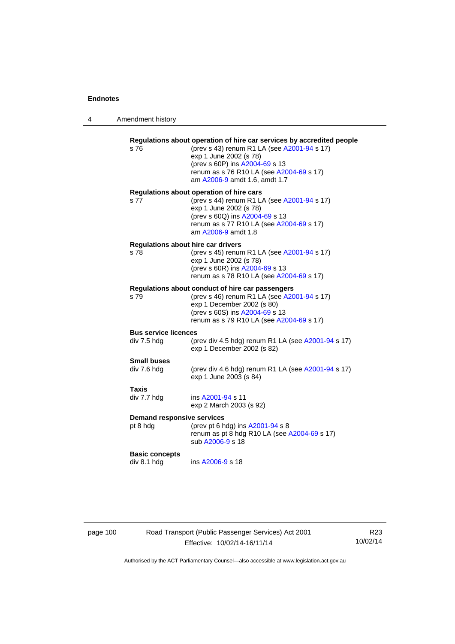|  | Amendment history |  |
|--|-------------------|--|
|--|-------------------|--|

| s 76                                          | Regulations about operation of hire car services by accredited people<br>(prev s 43) renum R1 LA (see A2001-94 s 17)<br>exp 1 June 2002 (s 78)<br>(prev s 60P) ins A2004-69 s 13<br>renum as s 76 R10 LA (see A2004-69 s 17)<br>am A2006-9 amdt 1.6, amdt 1.7 |
|-----------------------------------------------|---------------------------------------------------------------------------------------------------------------------------------------------------------------------------------------------------------------------------------------------------------------|
| s 77                                          | Regulations about operation of hire cars<br>(prev s 44) renum R1 LA (see A2001-94 s 17)<br>exp 1 June 2002 (s 78)<br>(prev s 60Q) ins A2004-69 s 13<br>renum as s 77 R10 LA (see A2004-69 s 17)<br>am A2006-9 amdt 1.8                                        |
| Regulations about hire car drivers<br>s 78    | (prev s 45) renum R1 LA (see A2001-94 s 17)<br>exp 1 June 2002 (s 78)<br>(prev s 60R) ins A2004-69 s 13<br>renum as s 78 R10 LA (see A2004-69 s 17)                                                                                                           |
| s 79                                          | Regulations about conduct of hire car passengers<br>(prev s 46) renum R1 LA (see A2001-94 s 17)<br>exp 1 December 2002 (s 80)<br>(prev s 60S) ins A2004-69 s 13<br>renum as s 79 R10 LA (see A2004-69 s 17)                                                   |
| <b>Bus service licences</b><br>div 7.5 hdg    | (prev div 4.5 hdg) renum R1 LA (see A2001-94 s 17)<br>exp 1 December 2002 (s 82)                                                                                                                                                                              |
| <b>Small buses</b><br>div 7.6 hdg             | (prev div 4.6 hdg) renum R1 LA (see A2001-94 s 17)<br>exp 1 June 2003 (s 84)                                                                                                                                                                                  |
| <b>Taxis</b><br>div 7.7 hdg                   | ins A2001-94 s 11<br>exp 2 March 2003 (s 92)                                                                                                                                                                                                                  |
| <b>Demand responsive services</b><br>pt 8 hdg | (prev pt 6 hdg) ins A2001-94 s 8<br>renum as pt 8 hdg R10 LA (see A2004-69 s 17)<br>sub A2006-9 s 18                                                                                                                                                          |
| <b>Basic concepts</b><br>div 8.1 hdg          | ins A2006-9 s 18                                                                                                                                                                                                                                              |

page 100 Road Transport (Public Passenger Services) Act 2001 Effective: 10/02/14-16/11/14

R23 10/02/14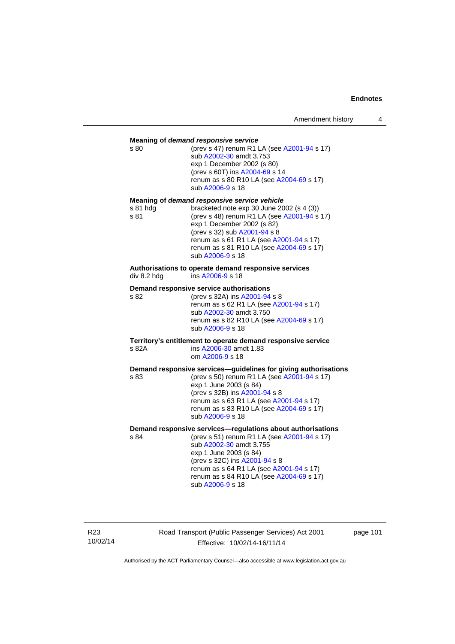| s 80                                                                                                  | Meaning of demand responsive service<br>(prev s 47) renum R1 LA (see A2001-94 s 17)<br>sub A2002-30 amdt 3.753<br>exp 1 December 2002 (s 80)<br>(prev s 60T) ins A2004-69 s 14<br>renum as s 80 R10 LA (see A2004-69 s 17)<br>sub A2006-9 s 18                                       |  |  |
|-------------------------------------------------------------------------------------------------------|--------------------------------------------------------------------------------------------------------------------------------------------------------------------------------------------------------------------------------------------------------------------------------------|--|--|
| Meaning of demand responsive service vehicle<br>bracketed note exp 30 June 2002 (s 4 (3))<br>s 81 hda |                                                                                                                                                                                                                                                                                      |  |  |
| s 81                                                                                                  | (prev s 48) renum R1 LA (see A2001-94 s 17)<br>exp 1 December 2002 (s 82)<br>(prev s 32) sub A2001-94 s 8<br>renum as s 61 R1 LA (see A2001-94 s 17)<br>renum as s 81 R10 LA (see A2004-69 s 17)<br>sub A2006-9 s 18                                                                 |  |  |
| div 8.2 hdg                                                                                           | Authorisations to operate demand responsive services<br>ins A2006-9 s 18                                                                                                                                                                                                             |  |  |
| Demand responsive service authorisations                                                              |                                                                                                                                                                                                                                                                                      |  |  |
| s 82                                                                                                  | (prev s 32A) ins A2001-94 s 8<br>renum as s 62 R1 LA (see A2001-94 s 17)<br>sub A2002-30 amdt 3.750<br>renum as s 82 R10 LA (see A2004-69 s 17)<br>sub A2006-9 s 18                                                                                                                  |  |  |
| Territory's entitlement to operate demand responsive service                                          |                                                                                                                                                                                                                                                                                      |  |  |
| s 82A                                                                                                 | ins A2006-30 amdt 1.83<br>om A2006-9 s 18                                                                                                                                                                                                                                            |  |  |
| s 83                                                                                                  | Demand responsive services-guidelines for giving authorisations<br>(prev s 50) renum R1 LA (see A2001-94 s 17)<br>exp 1 June 2003 (s 84)<br>(prev s 32B) ins A2001-94 s 8<br>renum as s 63 R1 LA (see A2001-94 s 17)<br>renum as s 83 R10 LA (see A2004-69 s 17)<br>sub A2006-9 s 18 |  |  |
|                                                                                                       | Demand responsive services-regulations about authorisations                                                                                                                                                                                                                          |  |  |
| s.84                                                                                                  | (prev s 51) renum R1 LA (see A2001-94 s 17)<br>sub A2002-30 amdt 3.755<br>exp 1 June 2003 (s 84)<br>(prev s 32C) ins A2001-94 s 8<br>renum as s 64 R1 LA (see A2001-94 s 17)<br>renum as s 84 R10 LA (see A2004-69 s 17)<br>sub A2006-9 s 18                                         |  |  |

R23 10/02/14 Road Transport (Public Passenger Services) Act 2001 Effective: 10/02/14-16/11/14

page 101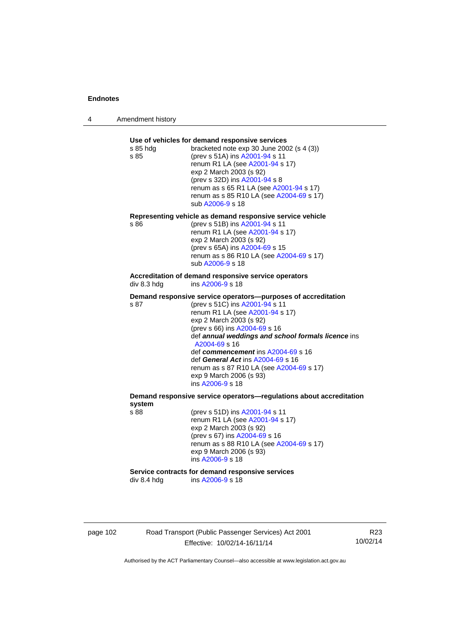4 Amendment history

| s 85 hda<br>s 85 | Use of vehicles for demand responsive services<br>bracketed note exp 30 June 2002 (s 4 (3))<br>(prev s 51A) ins A2001-94 s 11<br>renum R1 LA (see A2001-94 s 17)<br>exp 2 March 2003 (s 92)<br>(prev s 32D) ins A2001-94 s 8<br>renum as s 65 R1 LA (see A2001-94 s 17)<br>renum as s 85 R10 LA (see A2004-69 s 17)<br>sub A2006-9 s 18                                                                                                      |
|------------------|----------------------------------------------------------------------------------------------------------------------------------------------------------------------------------------------------------------------------------------------------------------------------------------------------------------------------------------------------------------------------------------------------------------------------------------------|
| s 86             | Representing vehicle as demand responsive service vehicle<br>(prev s 51B) ins A2001-94 s 11<br>renum R1 LA (see A2001-94 s 17)<br>exp 2 March 2003 (s 92)<br>(prev s 65A) ins A2004-69 s 15<br>renum as s 86 R10 LA (see A2004-69 s 17)<br>sub A2006-9 s 18                                                                                                                                                                                  |
| div 8.3 hdg      | Accreditation of demand responsive service operators<br>ins A2006-9 s 18                                                                                                                                                                                                                                                                                                                                                                     |
| s 87             | Demand responsive service operators--purposes of accreditation<br>(prev s 51C) ins A2001-94 s 11<br>renum R1 LA (see A2001-94 s 17)<br>exp 2 March 2003 (s 92)<br>(prev s 66) ins A2004-69 s 16<br>def annual weddings and school formals licence ins<br>A2004-69 s 16<br>def commencement ins A2004-69 s 16<br>def General Act ins A2004-69 s 16<br>renum as s 87 R10 LA (see A2004-69 s 17)<br>exp 9 March 2006 (s 93)<br>ins A2006-9 s 18 |
| system           | Demand responsive service operators-regulations about accreditation                                                                                                                                                                                                                                                                                                                                                                          |
| s 88             | (prev s 51D) ins A2001-94 s 11<br>renum R1 LA (see A2001-94 s 17)<br>exp 2 March 2003 (s 92)<br>(prev s 67) ins A2004-69 s 16<br>renum as s 88 R10 LA (see A2004-69 s 17)<br>exp 9 March 2006 (s 93)                                                                                                                                                                                                                                         |
|                  | ins A2006-9 s 18                                                                                                                                                                                                                                                                                                                                                                                                                             |

page 102 Road Transport (Public Passenger Services) Act 2001 Effective: 10/02/14-16/11/14

R23 10/02/14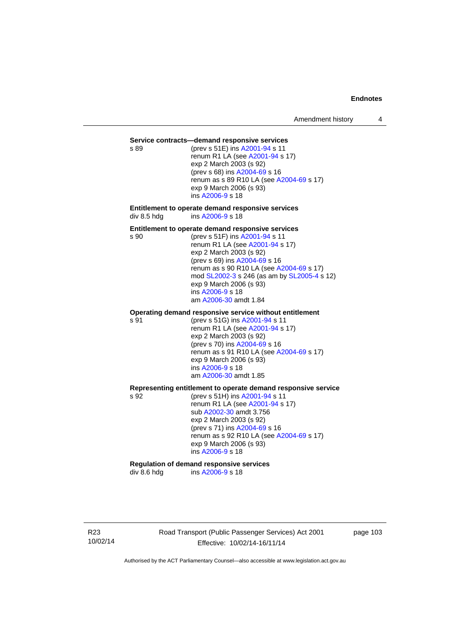### **Service contracts—demand responsive services**

s 89 (prev s 51E) ins [A2001-94](http://www.legislation.act.gov.au/a/2001-94) s 11 renum R1 LA (see [A2001-94](http://www.legislation.act.gov.au/a/2001-94) s 17) exp 2 March 2003 (s 92) (prev s 68) ins [A2004-69](http://www.legislation.act.gov.au/a/2004-69) s 16 renum as s 89 R10 LA (see [A2004-69](http://www.legislation.act.gov.au/a/2004-69) s 17) exp 9 March 2006 (s 93) ins [A2006-9](http://www.legislation.act.gov.au/a/2006-9) s 18

### **Entitlement to operate demand responsive services**  div 8.5 hdg ins [A2006-9](http://www.legislation.act.gov.au/a/2006-9) s 18

### **Entitlement to operate demand responsive services**

s 90 (prev s 51F) ins [A2001-94](http://www.legislation.act.gov.au/a/2001-94) s 11 renum R1 LA (see [A2001-94](http://www.legislation.act.gov.au/a/2001-94) s 17) exp 2 March 2003 (s 92) (prev s 69) ins [A2004-69](http://www.legislation.act.gov.au/a/2004-69) s 16 renum as s 90 R10 LA (see [A2004-69](http://www.legislation.act.gov.au/a/2004-69) s 17) mod [SL2002-3](http://www.legislation.act.gov.au/sl/2002-3) s 246 (as am by [SL2005-4](http://www.legislation.act.gov.au/sl/2005-4) s 12) exp 9 March 2006 (s 93) ins [A2006-9](http://www.legislation.act.gov.au/a/2006-9) s 18 am [A2006-30](http://www.legislation.act.gov.au/a/2006-30) amdt 1.84

### **Operating demand responsive service without entitlement**

s 91 (prev s 51G) ins [A2001-94](http://www.legislation.act.gov.au/a/2001-94) s 11 renum R1 LA (see [A2001-94](http://www.legislation.act.gov.au/a/2001-94) s 17) exp 2 March 2003 (s 92) (prev s 70) ins [A2004-69](http://www.legislation.act.gov.au/a/2004-69) s 16 renum as s 91 R10 LA (see [A2004-69](http://www.legislation.act.gov.au/a/2004-69) s 17) exp 9 March 2006 (s 93) ins [A2006-9](http://www.legislation.act.gov.au/a/2006-9) s 18 am [A2006-30](http://www.legislation.act.gov.au/a/2006-30) amdt 1.85

### **Representing entitlement to operate demand responsive service**

s 92 (prev s 51H) ins [A2001-94](http://www.legislation.act.gov.au/a/2001-94) s 11 renum R1 LA (see [A2001-94](http://www.legislation.act.gov.au/a/2001-94) s 17) sub [A2002-30](http://www.legislation.act.gov.au/a/2002-30) amdt 3.756 exp 2 March 2003 (s 92) (prev s 71) ins [A2004-69](http://www.legislation.act.gov.au/a/2004-69) s 16 renum as s 92 R10 LA (see [A2004-69](http://www.legislation.act.gov.au/a/2004-69) s 17) exp 9 March 2006 (s 93) ins [A2006-9](http://www.legislation.act.gov.au/a/2006-9) s 18

# **Regulation of demand responsive services**

div 8.6 hdg ins [A2006-9](http://www.legislation.act.gov.au/a/2006-9) s 18

R23 10/02/14 Road Transport (Public Passenger Services) Act 2001 Effective: 10/02/14-16/11/14

page 103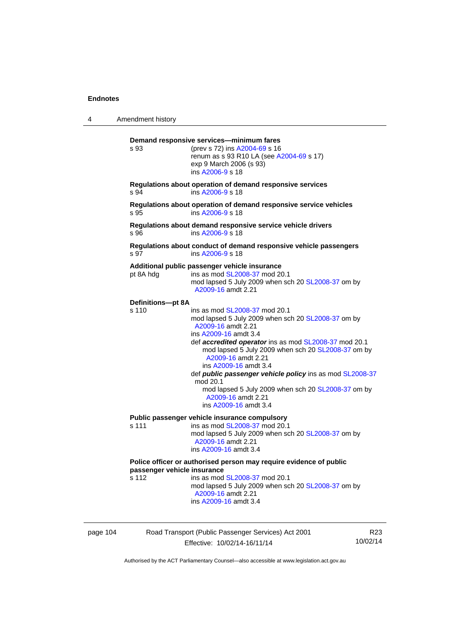| 4                                                                                                                                                                                                       | Amendment history                                                                                                                                                                                                                                |                                                                                                                                                                                                                                                                                                                                                                                                                                                                                      |  |  |
|---------------------------------------------------------------------------------------------------------------------------------------------------------------------------------------------------------|--------------------------------------------------------------------------------------------------------------------------------------------------------------------------------------------------------------------------------------------------|--------------------------------------------------------------------------------------------------------------------------------------------------------------------------------------------------------------------------------------------------------------------------------------------------------------------------------------------------------------------------------------------------------------------------------------------------------------------------------------|--|--|
|                                                                                                                                                                                                         | s 93                                                                                                                                                                                                                                             | Demand responsive services-minimum fares<br>(prev s 72) ins A2004-69 s 16<br>renum as s 93 R10 LA (see A2004-69 s 17)<br>exp 9 March 2006 (s 93)<br>ins A2006-9 s 18                                                                                                                                                                                                                                                                                                                 |  |  |
|                                                                                                                                                                                                         | s 94                                                                                                                                                                                                                                             | Regulations about operation of demand responsive services<br>ins A2006-9 s 18                                                                                                                                                                                                                                                                                                                                                                                                        |  |  |
|                                                                                                                                                                                                         | s 95                                                                                                                                                                                                                                             | Regulations about operation of demand responsive service vehicles<br>ins A2006-9 s 18                                                                                                                                                                                                                                                                                                                                                                                                |  |  |
| Regulations about demand responsive service vehicle drivers<br>ins A2006-9 s 18<br>s 96<br>ins A2006-9 s 18<br>s 97<br>Additional public passenger vehicle insurance<br>pt 8A hdg<br>A2009-16 amdt 2.21 |                                                                                                                                                                                                                                                  |                                                                                                                                                                                                                                                                                                                                                                                                                                                                                      |  |  |
|                                                                                                                                                                                                         |                                                                                                                                                                                                                                                  | Regulations about conduct of demand responsive vehicle passengers                                                                                                                                                                                                                                                                                                                                                                                                                    |  |  |
|                                                                                                                                                                                                         |                                                                                                                                                                                                                                                  | ins as mod SL2008-37 mod 20.1<br>mod lapsed 5 July 2009 when sch 20 SL2008-37 om by                                                                                                                                                                                                                                                                                                                                                                                                  |  |  |
|                                                                                                                                                                                                         | Definitions-pt 8A<br>s 110                                                                                                                                                                                                                       | ins as mod SL2008-37 mod 20.1<br>mod lapsed 5 July 2009 when sch 20 SL2008-37 om by<br>A2009-16 amdt 2.21<br>ins A2009-16 amdt 3.4<br>def accredited operator ins as mod SL2008-37 mod 20.1<br>mod lapsed 5 July 2009 when sch 20 SL2008-37 om by<br>A2009-16 amdt 2.21<br>ins A2009-16 amdt 3.4<br>def <i>public passenger vehicle policy</i> ins as mod SL2008-37<br>mod 20.1<br>mod lapsed 5 July 2009 when sch 20 SL2008-37 om by<br>A2009-16 amdt 2.21<br>ins A2009-16 amdt 3.4 |  |  |
|                                                                                                                                                                                                         | s 111                                                                                                                                                                                                                                            | Public passenger vehicle insurance compulsory<br>ins as mod SL2008-37 mod 20.1<br>mod lapsed 5 July 2009 when sch 20 SL2008-37 om by<br>A2009-16 amdt 2.21<br>ins A2009-16 amdt 3.4                                                                                                                                                                                                                                                                                                  |  |  |
|                                                                                                                                                                                                         | Police officer or authorised person may require evidence of public<br>passenger vehicle insurance<br>s 112<br>ins as mod SL2008-37 mod 20.1<br>mod lapsed 5 July 2009 when sch 20 SL2008-37 om by<br>A2009-16 amdt 2.21<br>ins A2009-16 amdt 3.4 |                                                                                                                                                                                                                                                                                                                                                                                                                                                                                      |  |  |
| page 104                                                                                                                                                                                                |                                                                                                                                                                                                                                                  | Road Transport (Public Passenger Services) Act 2001<br>R <sub>23</sub>                                                                                                                                                                                                                                                                                                                                                                                                               |  |  |

Effective: 10/02/14-16/11/14

R23 10/02/14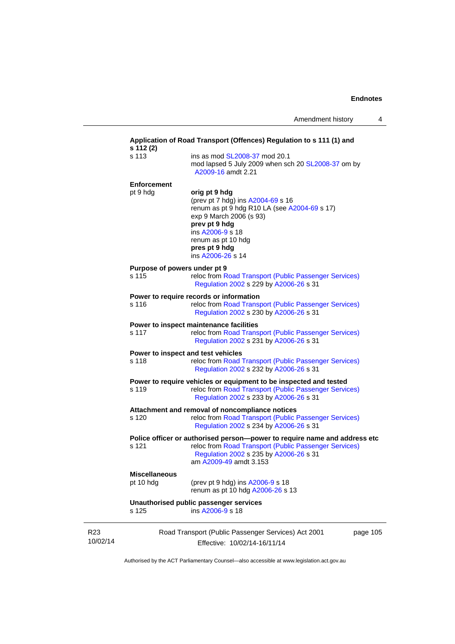|                                                                                                                                                                                                                            | Application of Road Transport (Offences) Regulation to s 111 (1) and<br>s 112 (2)                                                              |                                                                                                                                                                                                                                |  |  |
|----------------------------------------------------------------------------------------------------------------------------------------------------------------------------------------------------------------------------|------------------------------------------------------------------------------------------------------------------------------------------------|--------------------------------------------------------------------------------------------------------------------------------------------------------------------------------------------------------------------------------|--|--|
|                                                                                                                                                                                                                            | s 113                                                                                                                                          | ins as mod SL2008-37 mod 20.1<br>mod lapsed 5 July 2009 when sch 20 SL2008-37 om by<br>A2009-16 amdt 2.21                                                                                                                      |  |  |
|                                                                                                                                                                                                                            | <b>Enforcement</b>                                                                                                                             |                                                                                                                                                                                                                                |  |  |
|                                                                                                                                                                                                                            | pt 9 hdg                                                                                                                                       | orig pt 9 hdg<br>(prev pt 7 hdg) ins A2004-69 s 16<br>renum as pt 9 hdg R10 LA (see A2004-69 s 17)<br>exp 9 March 2006 (s 93)<br>prev pt 9 hdg<br>ins A2006-9 s 18<br>renum as pt 10 hdg<br>pres pt 9 hdg<br>ins A2006-26 s 14 |  |  |
|                                                                                                                                                                                                                            | Purpose of powers under pt 9<br>reloc from Road Transport (Public Passenger Services)<br>Regulation 2002 s 229 by A2006-26 s 31                |                                                                                                                                                                                                                                |  |  |
|                                                                                                                                                                                                                            | s 116                                                                                                                                          | Power to require records or information<br>reloc from Road Transport (Public Passenger Services)<br>Regulation 2002 s 230 by A2006-26 s 31                                                                                     |  |  |
|                                                                                                                                                                                                                            | Power to inspect maintenance facilities<br>reloc from Road Transport (Public Passenger Services)<br>Regulation 2002 s 231 by A2006-26 s 31     |                                                                                                                                                                                                                                |  |  |
|                                                                                                                                                                                                                            | Power to inspect and test vehicles<br>s 118<br>reloc from Road Transport (Public Passenger Services)<br>Regulation 2002 s 232 by A2006-26 s 31 |                                                                                                                                                                                                                                |  |  |
| Power to require vehicles or equipment to be inspected and tested<br>s 119<br>Regulation 2002 s 233 by A2006-26 s 31<br>Attachment and removal of noncompliance notices<br>s 120<br>Regulation 2002 s 234 by A2006-26 s 31 |                                                                                                                                                | reloc from Road Transport (Public Passenger Services)                                                                                                                                                                          |  |  |
|                                                                                                                                                                                                                            |                                                                                                                                                | reloc from Road Transport (Public Passenger Services)                                                                                                                                                                          |  |  |
|                                                                                                                                                                                                                            | s 121                                                                                                                                          | Police officer or authorised person--power to require name and address etc<br>reloc from Road Transport (Public Passenger Services)<br>Regulation 2002 s 235 by A2006-26 s 31<br>am A2009-49 amdt 3.153                        |  |  |
|                                                                                                                                                                                                                            | <b>Miscellaneous</b><br>pt 10 hdg                                                                                                              | (prev pt 9 hdg) ins A2006-9 s 18<br>renum as pt 10 hdg A2006-26 s 13                                                                                                                                                           |  |  |
|                                                                                                                                                                                                                            | Unauthorised public passenger services<br>ins A2006-9 s 18<br>s 125                                                                            |                                                                                                                                                                                                                                |  |  |
| R <sub>23</sub><br>10/02/14                                                                                                                                                                                                |                                                                                                                                                | Road Transport (Public Passenger Services) Act 2001<br>page 105<br>Effective: 10/02/14-16/11/14                                                                                                                                |  |  |

Authorised by the ACT Parliamentary Counsel—also accessible at www.legislation.act.gov.au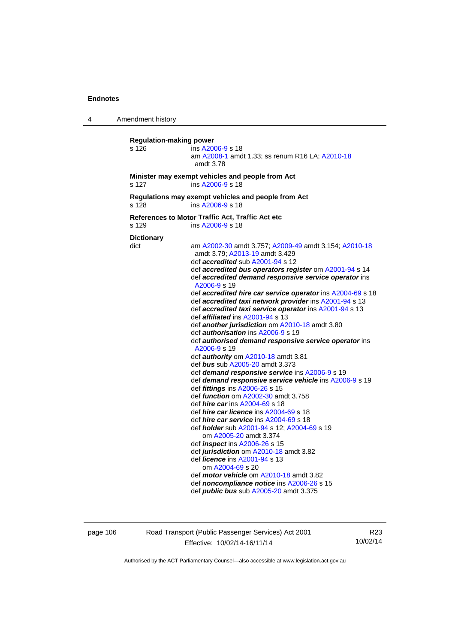4 Amendment history **Regulation-making power**  s 126 ins [A2006-9](http://www.legislation.act.gov.au/a/2006-9) s 18 am [A2008-1](http://www.legislation.act.gov.au/a/2008-1) amdt 1.33; ss renum R16 LA; [A2010-18](http://www.legislation.act.gov.au/a/2010-18) amdt 3.78 **Minister may exempt vehicles and people from Act**  s 127 ins [A2006-9](http://www.legislation.act.gov.au/a/2006-9) s 18 **Regulations may exempt vehicles and people from Act**  s 128 ins [A2006-9](http://www.legislation.act.gov.au/a/2006-9) s 18 **References to Motor Traffic Act, Traffic Act etc**  s 129 ins [A2006-9](http://www.legislation.act.gov.au/a/2006-9) s 18 **Dictionary**  dict am [A2002-30](http://www.legislation.act.gov.au/a/2002-30) amdt 3.757; [A2009-49](http://www.legislation.act.gov.au/a/2009-49) amdt 3.154; [A2010-18](http://www.legislation.act.gov.au/a/2010-18) amdt 3.79; [A2013-19](http://www.legislation.act.gov.au/a/2013-19) amdt 3.429 def *accredited* sub [A2001-94](http://www.legislation.act.gov.au/a/2001-94) s 12 def *accredited bus operators register* om [A2001-94](http://www.legislation.act.gov.au/a/2001-94) s 14 def *accredited demand responsive service operator* ins [A2006-9](http://www.legislation.act.gov.au/a/2006-9) s 19 def *accredited hire car service operator* ins [A2004-69](http://www.legislation.act.gov.au/a/2004-69) s 18 def *accredited taxi network provider* ins [A2001-94](http://www.legislation.act.gov.au/a/2001-94) s 13 def *accredited taxi service operator* ins [A2001-94](http://www.legislation.act.gov.au/a/2001-94) s 13 def *affiliated* ins [A2001-94](http://www.legislation.act.gov.au/a/2001-94) s 13 def *another jurisdiction* om [A2010-18](http://www.legislation.act.gov.au/a/2010-18) amdt 3.80 def *authorisation* ins [A2006-9](http://www.legislation.act.gov.au/a/2006-9) s 19 def *authorised demand responsive service operator* ins [A2006-9](http://www.legislation.act.gov.au/a/2006-9) s 19 def *authority* om [A2010-18](http://www.legislation.act.gov.au/a/2010-18) amdt 3.81 def *bus* sub [A2005-20](http://www.legislation.act.gov.au/a/2005-20) amdt 3.373 def *demand responsive service* ins [A2006-9](http://www.legislation.act.gov.au/a/2006-9) s 19 def *demand responsive service vehicle* ins [A2006-9](http://www.legislation.act.gov.au/a/2006-9) s 19 def *fittings* ins [A2006-26](http://www.legislation.act.gov.au/a/2006-26) s 15 def *function* om [A2002-30](http://www.legislation.act.gov.au/a/2002-30) amdt 3.758 def *hire car* ins [A2004-69](http://www.legislation.act.gov.au/a/2004-69) s 18 def *hire car licence* ins [A2004-69](http://www.legislation.act.gov.au/a/2004-69) s 18 def *hire car service* ins [A2004-69](http://www.legislation.act.gov.au/a/2004-69) s 18 def *holder* sub [A2001-94](http://www.legislation.act.gov.au/a/2001-94) s 12; [A2004-69](http://www.legislation.act.gov.au/a/2004-69) s 19 om [A2005-20](http://www.legislation.act.gov.au/a/2005-20) amdt 3.374 def *inspect* ins [A2006-26](http://www.legislation.act.gov.au/a/2006-26) s 15 def *jurisdiction* om [A2010-18](http://www.legislation.act.gov.au/a/2010-18) amdt 3.82 def *licence* ins [A2001-94](http://www.legislation.act.gov.au/a/2001-94) s 13 om [A2004-69](http://www.legislation.act.gov.au/a/2004-69) s 20 def *motor vehicle* om [A2010-18](http://www.legislation.act.gov.au/a/2010-18) amdt 3.82 def *noncompliance notice* ins [A2006-26](http://www.legislation.act.gov.au/a/2006-26) s 15 def *public bus* sub [A2005-20](http://www.legislation.act.gov.au/a/2005-20) amdt 3.375

page 106 Road Transport (Public Passenger Services) Act 2001 Effective: 10/02/14-16/11/14

R23 10/02/14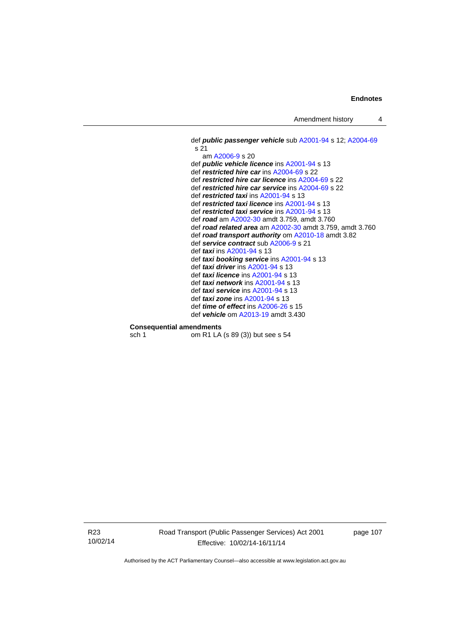Amendment history 4

```
 def public passenger vehicle sub A2001-94 s 12; A2004-69
s 21 
   am A2006-9 s 20 
def public vehicle licence ins A2001-94 s 13 
def restricted hire car ins A2004-69 s 22 
def restricted hire car licence ins A2004-69 s 22 
def restricted hire car service ins A2004-69 s 22 
def restricted taxi ins A2001-94 s 13 
def restricted taxi licence ins A2001-94 s 13 
def restricted taxi service ins A2001-94 s 13 
def road am A2002-30 amdt 3.759, amdt 3.760 
def road related area am A2002-30 amdt 3.759, amdt 3.760 
def road transport authority om A2010-18 amdt 3.82
def service contract sub A2006-9 s 21 
def taxi ins A2001-94 s 13 
def taxi booking service ins A2001-94 s 13 
def taxi driver ins A2001-94 s 13 
def taxi licence ins A2001-94 s 13 
def taxi network ins A2001-94 s 13 
def taxi service ins A2001-94 s 13 
def taxi zone ins A2001-94 s 13 
def time of effect ins A2006-26 s 15 
def vehicle om A2013-19 amdt 3.430
```
## **Consequential amendments**

sch 1 om R1 LA (s 89 (3)) but see s 54

page 107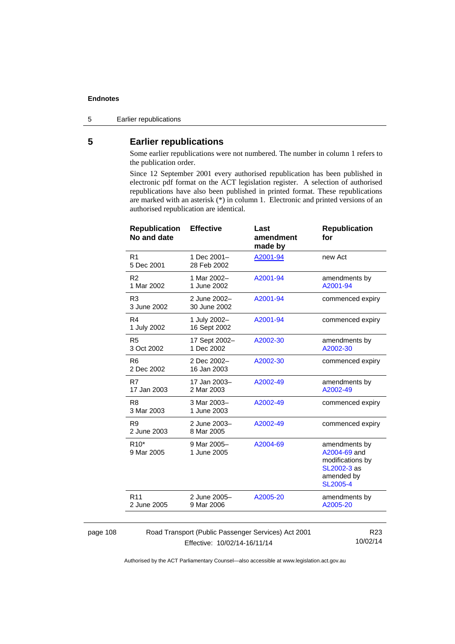5 Earlier republications

# **5 Earlier republications**

Some earlier republications were not numbered. The number in column 1 refers to the publication order.

Since 12 September 2001 every authorised republication has been published in electronic pdf format on the ACT legislation register. A selection of authorised republications have also been published in printed format. These republications are marked with an asterisk (\*) in column 1. Electronic and printed versions of an authorised republication are identical.

| <b>Republication</b><br>No and date | <b>Effective</b>             | Last<br>amendment<br>made by                        | <b>Republication</b><br>for                                                                       |
|-------------------------------------|------------------------------|-----------------------------------------------------|---------------------------------------------------------------------------------------------------|
| R <sub>1</sub><br>5 Dec 2001        | 1 Dec 2001-<br>28 Feb 2002   | A2001-94                                            | new Act                                                                                           |
| R <sub>2</sub><br>1 Mar 2002        | 1 Mar 2002-<br>1 June 2002   | A2001-94                                            | amendments by<br>A2001-94                                                                         |
| R3<br>3 June 2002                   | 2 June 2002-<br>30 June 2002 | A2001-94                                            | commenced expiry                                                                                  |
| R <sub>4</sub><br>1 July 2002       | 1 July 2002-<br>16 Sept 2002 | A2001-94                                            | commenced expiry                                                                                  |
| R <sub>5</sub><br>3 Oct 2002        | 17 Sept 2002-<br>1 Dec 2002  | A2002-30                                            | amendments by<br>A2002-30                                                                         |
| R <sub>6</sub><br>2 Dec 2002        | 2 Dec 2002-<br>16 Jan 2003   | A2002-30                                            | commenced expiry                                                                                  |
| R7<br>17 Jan 2003                   | 17 Jan 2003-<br>2 Mar 2003   | A2002-49                                            | amendments by<br>A2002-49                                                                         |
| R <sub>8</sub><br>3 Mar 2003        | 3 Mar 2003-<br>1 June 2003   | A2002-49                                            | commenced expiry                                                                                  |
| R <sub>9</sub><br>2 June 2003       | 2 June 2003-<br>8 Mar 2005   | A2002-49                                            | commenced expiry                                                                                  |
| $R10*$<br>9 Mar 2005                | 9 Mar 2005-<br>1 June 2005   | A2004-69                                            | amendments by<br>A2004-69 and<br>modifications by<br>SL2002-3 as<br>amended by<br><b>SL2005-4</b> |
| R <sub>11</sub><br>2 June 2005      | 2 June 2005-<br>9 Mar 2006   | A2005-20                                            | amendments by<br>A2005-20                                                                         |
|                                     | Effective: 10/02/14-16/11/14 | Road Transport (Public Passenger Services) Act 2001 | R <sub>23</sub><br>10/02/14                                                                       |

page 108

Effective: 10/02/14-16/11/14